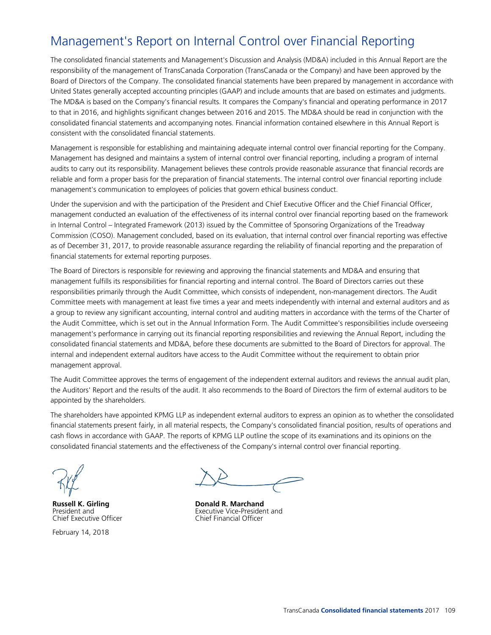# Management's Report on Internal Control over Financial Reporting

The consolidated financial statements and Management's Discussion and Analysis (MD&A) included in this Annual Report are the responsibility of the management of TransCanada Corporation (TransCanada or the Company) and have been approved by the Board of Directors of the Company. The consolidated financial statements have been prepared by management in accordance with United States generally accepted accounting principles (GAAP) and include amounts that are based on estimates and judgments. The MD&A is based on the Company's financial results. It compares the Company's financial and operating performance in 2017 to that in 2016, and highlights significant changes between 2016 and 2015. The MD&A should be read in conjunction with the consolidated financial statements and accompanying notes. Financial information contained elsewhere in this Annual Report is consistent with the consolidated financial statements.

Management is responsible for establishing and maintaining adequate internal control over financial reporting for the Company. Management has designed and maintains a system of internal control over financial reporting, including a program of internal audits to carry out its responsibility. Management believes these controls provide reasonable assurance that financial records are reliable and form a proper basis for the preparation of financial statements. The internal control over financial reporting include management's communication to employees of policies that govern ethical business conduct.

Under the supervision and with the participation of the President and Chief Executive Officer and the Chief Financial Officer, management conducted an evaluation of the effectiveness of its internal control over financial reporting based on the framework in Internal Control – Integrated Framework (2013) issued by the Committee of Sponsoring Organizations of the Treadway Commission (COSO). Management concluded, based on its evaluation, that internal control over financial reporting was effective as of December 31, 2017, to provide reasonable assurance regarding the reliability of financial reporting and the preparation of financial statements for external reporting purposes.

The Board of Directors is responsible for reviewing and approving the financial statements and MD&A and ensuring that management fulfills its responsibilities for financial reporting and internal control. The Board of Directors carries out these responsibilities primarily through the Audit Committee, which consists of independent, non-management directors. The Audit Committee meets with management at least five times a year and meets independently with internal and external auditors and as a group to review any significant accounting, internal control and auditing matters in accordance with the terms of the Charter of the Audit Committee, which is set out in the Annual Information Form. The Audit Committee's responsibilities include overseeing management's performance in carrying out its financial reporting responsibilities and reviewing the Annual Report, including the consolidated financial statements and MD&A, before these documents are submitted to the Board of Directors for approval. The internal and independent external auditors have access to the Audit Committee without the requirement to obtain prior management approval.

The Audit Committee approves the terms of engagement of the independent external auditors and reviews the annual audit plan, the Auditors' Report and the results of the audit. It also recommends to the Board of Directors the firm of external auditors to be appointed by the shareholders.

The shareholders have appointed KPMG LLP as independent external auditors to express an opinion as to whether the consolidated financial statements present fairly, in all material respects, the Company's consolidated financial position, results of operations and cash flows in accordance with GAAP. The reports of KPMG LLP outline the scope of its examinations and its opinions on the consolidated financial statements and the effectiveness of the Company's internal control over financial reporting.

**Russell K. Girling** President and Chief Executive Officer

February 14, 2018

**Donald R. Marchand** Executive Vice-President and Chief Financial Officer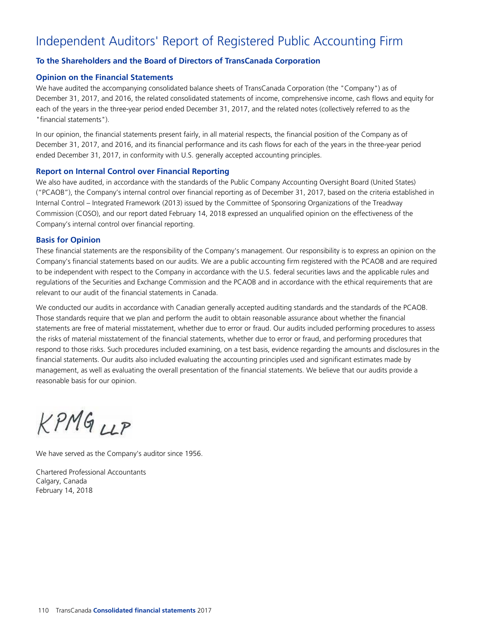# Independent Auditors' Report of Registered Public Accounting Firm

# **To the Shareholders and the Board of Directors of TransCanada Corporation**

# **Opinion on the Financial Statements**

We have audited the accompanying consolidated balance sheets of TransCanada Corporation (the "Company") as of December 31, 2017, and 2016, the related consolidated statements of income, comprehensive income, cash flows and equity for each of the years in the three-year period ended December 31, 2017, and the related notes (collectively referred to as the "financial statements").

In our opinion, the financial statements present fairly, in all material respects, the financial position of the Company as of December 31, 2017, and 2016, and its financial performance and its cash flows for each of the years in the three-year period ended December 31, 2017, in conformity with U.S. generally accepted accounting principles.

## **Report on Internal Control over Financial Reporting**

We also have audited, in accordance with the standards of the Public Company Accounting Oversight Board (United States) ("PCAOB"), the Company's internal control over financial reporting as of December 31, 2017, based on the criteria established in Internal Control – Integrated Framework (2013) issued by the Committee of Sponsoring Organizations of the Treadway Commission (COSO), and our report dated February 14, 2018 expressed an unqualified opinion on the effectiveness of the Company's internal control over financial reporting.

# **Basis for Opinion**

These financial statements are the responsibility of the Company's management. Our responsibility is to express an opinion on the Company's financial statements based on our audits. We are a public accounting firm registered with the PCAOB and are required to be independent with respect to the Company in accordance with the U.S. federal securities laws and the applicable rules and regulations of the Securities and Exchange Commission and the PCAOB and in accordance with the ethical requirements that are relevant to our audit of the financial statements in Canada.

We conducted our audits in accordance with Canadian generally accepted auditing standards and the standards of the PCAOB. Those standards require that we plan and perform the audit to obtain reasonable assurance about whether the financial statements are free of material misstatement, whether due to error or fraud. Our audits included performing procedures to assess the risks of material misstatement of the financial statements, whether due to error or fraud, and performing procedures that respond to those risks. Such procedures included examining, on a test basis, evidence regarding the amounts and disclosures in the financial statements. Our audits also included evaluating the accounting principles used and significant estimates made by management, as well as evaluating the overall presentation of the financial statements. We believe that our audits provide a reasonable basis for our opinion.

 $KPMGUP$ 

We have served as the Company's auditor since 1956.

Chartered Professional Accountants Calgary, Canada February 14, 2018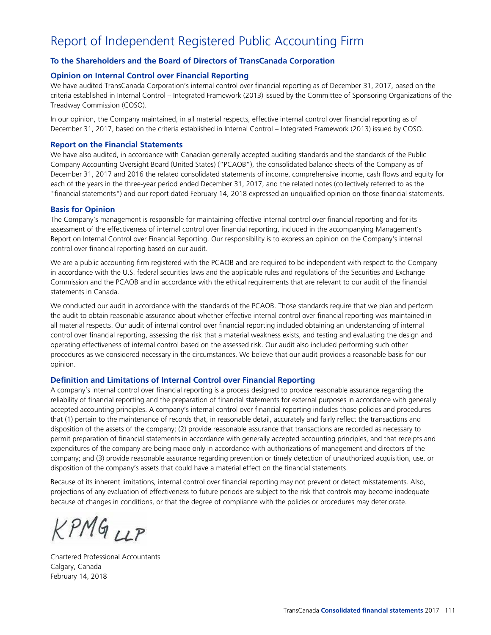# Report of Independent Registered Public Accounting Firm

# **To the Shareholders and the Board of Directors of TransCanada Corporation**

# **Opinion on Internal Control over Financial Reporting**

We have audited TransCanada Corporation's internal control over financial reporting as of December 31, 2017, based on the criteria established in Internal Control – Integrated Framework (2013) issued by the Committee of Sponsoring Organizations of the Treadway Commission (COSO).

In our opinion, the Company maintained, in all material respects, effective internal control over financial reporting as of December 31, 2017, based on the criteria established in Internal Control – Integrated Framework (2013) issued by COSO.

### **Report on the Financial Statements**

We have also audited, in accordance with Canadian generally accepted auditing standards and the standards of the Public Company Accounting Oversight Board (United States) ("PCAOB"), the consolidated balance sheets of the Company as of December 31, 2017 and 2016 the related consolidated statements of income, comprehensive income, cash flows and equity for each of the years in the three-year period ended December 31, 2017, and the related notes (collectively referred to as the "financial statements") and our report dated February 14, 2018 expressed an unqualified opinion on those financial statements.

### **Basis for Opinion**

The Company's management is responsible for maintaining effective internal control over financial reporting and for its assessment of the effectiveness of internal control over financial reporting, included in the accompanying Management's Report on Internal Control over Financial Reporting. Our responsibility is to express an opinion on the Company's internal control over financial reporting based on our audit.

We are a public accounting firm registered with the PCAOB and are required to be independent with respect to the Company in accordance with the U.S. federal securities laws and the applicable rules and regulations of the Securities and Exchange Commission and the PCAOB and in accordance with the ethical requirements that are relevant to our audit of the financial statements in Canada.

We conducted our audit in accordance with the standards of the PCAOB. Those standards require that we plan and perform the audit to obtain reasonable assurance about whether effective internal control over financial reporting was maintained in all material respects. Our audit of internal control over financial reporting included obtaining an understanding of internal control over financial reporting, assessing the risk that a material weakness exists, and testing and evaluating the design and operating effectiveness of internal control based on the assessed risk. Our audit also included performing such other procedures as we considered necessary in the circumstances. We believe that our audit provides a reasonable basis for our opinion.

## **Definition and Limitations of Internal Control over Financial Reporting**

A company's internal control over financial reporting is a process designed to provide reasonable assurance regarding the reliability of financial reporting and the preparation of financial statements for external purposes in accordance with generally accepted accounting principles. A company's internal control over financial reporting includes those policies and procedures that (1) pertain to the maintenance of records that, in reasonable detail, accurately and fairly reflect the transactions and disposition of the assets of the company; (2) provide reasonable assurance that transactions are recorded as necessary to permit preparation of financial statements in accordance with generally accepted accounting principles, and that receipts and expenditures of the company are being made only in accordance with authorizations of management and directors of the company; and (3) provide reasonable assurance regarding prevention or timely detection of unauthorized acquisition, use, or disposition of the company's assets that could have a material effect on the financial statements.

Because of its inherent limitations, internal control over financial reporting may not prevent or detect misstatements. Also, projections of any evaluation of effectiveness to future periods are subject to the risk that controls may become inadequate because of changes in conditions, or that the degree of compliance with the policies or procedures may deteriorate.

KPMG UP

Chartered Professional Accountants Calgary, Canada February 14, 2018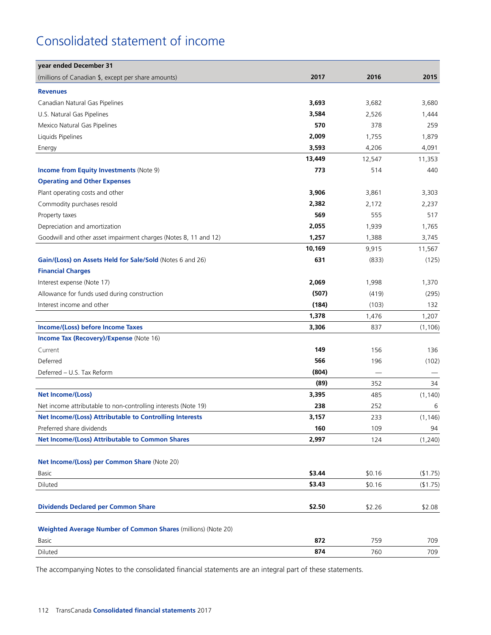# Consolidated statement of income

| year ended December 31                                           |        |        |          |
|------------------------------------------------------------------|--------|--------|----------|
| (millions of Canadian \$, except per share amounts)              | 2017   | 2016   | 2015     |
| <b>Revenues</b>                                                  |        |        |          |
| Canadian Natural Gas Pipelines                                   | 3,693  | 3,682  | 3,680    |
| U.S. Natural Gas Pipelines                                       | 3,584  | 2,526  | 1,444    |
| Mexico Natural Gas Pipelines                                     | 570    | 378    | 259      |
| Liquids Pipelines                                                | 2,009  | 1,755  | 1,879    |
| Energy                                                           | 3,593  | 4,206  | 4,091    |
|                                                                  | 13,449 | 12,547 | 11,353   |
| <b>Income from Equity Investments (Note 9)</b>                   | 773    | 514    | 440      |
| <b>Operating and Other Expenses</b>                              |        |        |          |
| Plant operating costs and other                                  | 3,906  | 3,861  | 3,303    |
| Commodity purchases resold                                       | 2,382  | 2,172  | 2,237    |
| Property taxes                                                   | 569    | 555    | 517      |
| Depreciation and amortization                                    | 2,055  | 1,939  | 1,765    |
| Goodwill and other asset impairment charges (Notes 8, 11 and 12) | 1,257  | 1,388  | 3,745    |
|                                                                  | 10,169 | 9,915  | 11,567   |
| Gain/(Loss) on Assets Held for Sale/Sold (Notes 6 and 26)        | 631    | (833)  | (125)    |
| <b>Financial Charges</b>                                         |        |        |          |
| Interest expense (Note 17)                                       | 2,069  | 1,998  | 1,370    |
| Allowance for funds used during construction                     | (507)  | (419)  | (295)    |
| Interest income and other                                        | (184)  | (103)  | 132      |
|                                                                  | 1,378  | 1,476  | 1,207    |
| Income/(Loss) before Income Taxes                                | 3,306  | 837    | (1, 106) |
| <b>Income Tax (Recovery)/Expense (Note 16)</b>                   |        |        |          |
| Current                                                          | 149    | 156    | 136      |
| Deferred                                                         | 566    | 196    | (102)    |
| Deferred - U.S. Tax Reform                                       | (804)  |        |          |
|                                                                  | (89)   | 352    | 34       |
| Net Income/(Loss)                                                | 3,395  | 485    | (1, 140) |
| Net income attributable to non-controlling interests (Note 19)   | 238    | 252    | 6        |
| <b>Net Income/(Loss) Attributable to Controlling Interests</b>   | 3,157  | 233    | (1, 146) |
| Preferred share dividends                                        | 160    | 109    | 94       |
| Net Income/(Loss) Attributable to Common Shares                  | 2,997  | 124    | (1,240)  |
|                                                                  |        |        |          |
| Net Income/(Loss) per Common Share (Note 20)                     |        |        |          |
| <b>Basic</b>                                                     | \$3.44 | \$0.16 | (\$1.75) |
| Diluted                                                          | \$3.43 | \$0.16 | (\$1.75) |
|                                                                  |        |        |          |
| <b>Dividends Declared per Common Share</b>                       | \$2.50 | \$2.26 | \$2.08   |
| Weighted Average Number of Common Shares (millions) (Note 20)    |        |        |          |
| <b>Basic</b>                                                     | 872    | 759    | 709      |
| Diluted                                                          | 874    | 760    | 709      |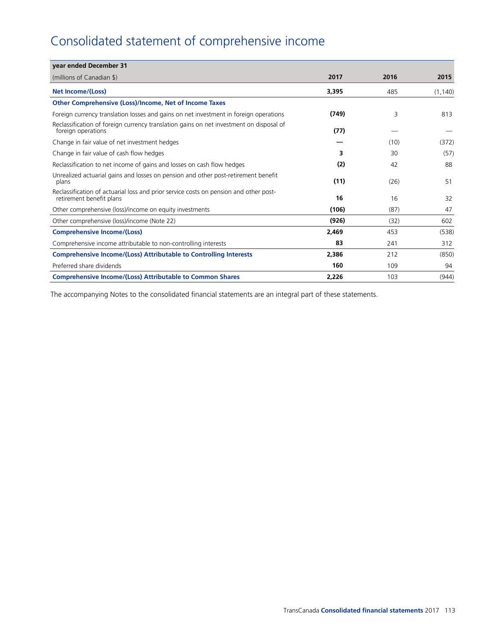# Consolidated statement of comprehensive income

| year ended December 31                                                                                            |       |      |          |
|-------------------------------------------------------------------------------------------------------------------|-------|------|----------|
| (millions of Canadian \$)                                                                                         | 2017  | 2016 | 2015     |
| <b>Net Income/(Loss)</b>                                                                                          | 3,395 | 485  | (1, 140) |
| <b>Other Comprehensive (Loss)/Income, Net of Income Taxes</b>                                                     |       |      |          |
| Foreign currency translation losses and gains on net investment in foreign operations                             | (749) | 3    | 813      |
| Reclassification of foreign currency translation gains on net investment on disposal of<br>foreign operations     | (77)  |      |          |
| Change in fair value of net investment hedges                                                                     |       | (10) | (372)    |
| Change in fair value of cash flow hedges                                                                          | 3     | 30   | (57)     |
| Reclassification to net income of gains and losses on cash flow hedges                                            | (2)   | 42   | 88       |
| Unrealized actuarial gains and losses on pension and other post-retirement benefit<br>plans                       | (11)  | (26) | 51       |
| Reclassification of actuarial loss and prior service costs on pension and other post-<br>retirement benefit plans | 16    | 16   | 32       |
| Other comprehensive (loss)/income on equity investments                                                           | (106) | (87) | 47       |
| Other comprehensive (loss)/income (Note 22)                                                                       | (926) | (32) | 602      |
| <b>Comprehensive Income/(Loss)</b>                                                                                | 2,469 | 453  | (538)    |
| Comprehensive income attributable to non-controlling interests                                                    | 83    | 241  | 312      |
| <b>Comprehensive Income/(Loss) Attributable to Controlling Interests</b>                                          | 2,386 | 212  | (850)    |
| Preferred share dividends                                                                                         | 160   | 109  | 94       |
| <b>Comprehensive Income/(Loss) Attributable to Common Shares</b>                                                  | 2,226 | 103  | (944)    |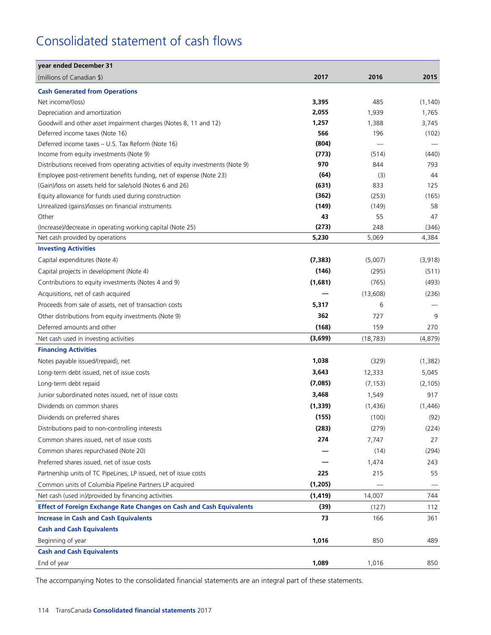# Consolidated statement of cash flows

| year ended December 31                                                          |          |           |          |
|---------------------------------------------------------------------------------|----------|-----------|----------|
| (millions of Canadian \$)                                                       | 2017     | 2016      | 2015     |
| <b>Cash Generated from Operations</b>                                           |          |           |          |
| Net income/(loss)                                                               | 3,395    | 485       | (1, 140) |
| Depreciation and amortization                                                   | 2,055    | 1,939     | 1,765    |
| Goodwill and other asset impairment charges (Notes 8, 11 and 12)                | 1,257    | 1,388     | 3,745    |
| Deferred income taxes (Note 16)                                                 | 566      | 196       | (102)    |
| Deferred income taxes - U.S. Tax Reform (Note 16)                               | (804)    |           |          |
| Income from equity investments (Note 9)                                         | (773)    | (514)     | (440)    |
| Distributions received from operating activities of equity investments (Note 9) | 970      | 844       | 793      |
| Employee post-retirement benefits funding, net of expense (Note 23)             | (64)     | (3)       | 44       |
| (Gain)/loss on assets held for sale/sold (Notes 6 and 26)                       | (631)    | 833       | 125      |
| Equity allowance for funds used during construction                             | (362)    | (253)     | (165)    |
| Unrealized (gains)/losses on financial instruments                              | (149)    | (149)     | 58       |
| Other                                                                           | 43       | 55        | 47       |
| (Increase)/decrease in operating working capital (Note 25)                      | (273)    | 248       | (346)    |
| Net cash provided by operations                                                 | 5,230    | 5,069     | 4,384    |
| <b>Investing Activities</b>                                                     |          |           |          |
| Capital expenditures (Note 4)                                                   | (7, 383) | (5,007)   | (3,918)  |
| Capital projects in development (Note 4)                                        | (146)    | (295)     | (511)    |
| Contributions to equity investments (Notes 4 and 9)                             | (1,681)  | (765)     | (493)    |
| Acquisitions, net of cash acquired                                              |          | (13,608)  | (236)    |
| Proceeds from sale of assets, net of transaction costs                          | 5,317    | 6         |          |
| Other distributions from equity investments (Note 9)                            | 362      | 727       | 9        |
| Deferred amounts and other                                                      | (168)    | 159       | 270      |
| Net cash used in investing activities                                           | (3,699)  | (18, 783) | (4,879)  |
| <b>Financing Activities</b>                                                     |          |           |          |
| Notes payable issued/(repaid), net                                              | 1,038    | (329)     | (1, 382) |
| Long-term debt issued, net of issue costs                                       | 3,643    | 12,333    | 5,045    |
| Long-term debt repaid                                                           | (7,085)  | (7, 153)  | (2, 105) |
| Junior subordinated notes issued, net of issue costs                            | 3,468    | 1,549     | 917      |
| Dividends on common shares                                                      | (1, 339) | (1,436)   | (1,446)  |
| Dividends on preferred shares                                                   | (155)    | (100)     | (92)     |
| Distributions paid to non-controlling interests                                 | (283)    | (279)     | (224)    |
|                                                                                 | 274      |           | 27       |
| Common shares issued, net of issue costs                                        |          | 7,747     |          |
| Common shares repurchased (Note 20)                                             |          | (14)      | (294)    |
| Preferred shares issued, net of issue costs                                     |          | 1,474     | 243      |
| Partnership units of TC PipeLines, LP issued, net of issue costs                | 225      | 215       | 55       |
| Common units of Columbia Pipeline Partners LP acquired                          | (1, 205) |           |          |
| Net cash (used in)/provided by financing activities                             | (1, 419) | 14,007    | 744      |
| <b>Effect of Foreign Exchange Rate Changes on Cash and Cash Equivalents</b>     | (39)     | (127)     | 112      |
| <b>Increase in Cash and Cash Equivalents</b>                                    | 73       | 166       | 361      |
| <b>Cash and Cash Equivalents</b>                                                |          |           |          |
| Beginning of year                                                               | 1,016    | 850       | 489      |
| <b>Cash and Cash Equivalents</b>                                                |          |           |          |
| End of year                                                                     | 1,089    | 1,016     | 850      |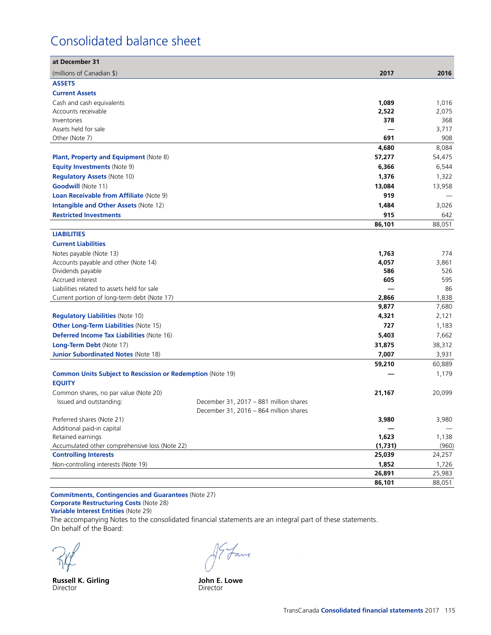# Consolidated balance sheet

| at December 31                                                    |                                        |                |                |
|-------------------------------------------------------------------|----------------------------------------|----------------|----------------|
| (millions of Canadian \$)                                         |                                        | 2017           | 2016           |
| <b>ASSETS</b>                                                     |                                        |                |                |
| <b>Current Assets</b>                                             |                                        |                |                |
| Cash and cash equivalents                                         |                                        | 1,089          | 1,016          |
| Accounts receivable                                               |                                        | 2,522          | 2,075          |
| Inventories                                                       |                                        | 378            | 368            |
| Assets held for sale                                              |                                        |                | 3,717          |
| Other (Note 7)                                                    |                                        | 691            | 908            |
|                                                                   |                                        | 4,680          | 8,084          |
| Plant, Property and Equipment (Note 8)                            |                                        | 57,277         | 54,475         |
| <b>Equity Investments (Note 9)</b>                                |                                        | 6,366          | 6,544          |
| <b>Regulatory Assets (Note 10)</b>                                |                                        | 1,376          | 1,322          |
| <b>Goodwill (Note 11)</b>                                         |                                        | 13,084         | 13,958         |
| Loan Receivable from Affiliate (Note 9)                           |                                        | 919            |                |
| <b>Intangible and Other Assets (Note 12)</b>                      |                                        | 1,484          | 3,026          |
| <b>Restricted Investments</b>                                     |                                        | 915            | 642            |
|                                                                   |                                        | 86,101         | 88,051         |
| <b>LIABILITIES</b>                                                |                                        |                |                |
| <b>Current Liabilities</b>                                        |                                        |                |                |
| Notes payable (Note 13)                                           |                                        | 1,763          | 774            |
| Accounts payable and other (Note 14)                              |                                        | 4,057          | 3,861          |
| Dividends payable                                                 |                                        | 586            | 526            |
| Accrued interest                                                  |                                        | 605            | 595            |
| Liabilities related to assets held for sale                       |                                        |                | 86             |
| Current portion of long-term debt (Note 17)                       |                                        | 2,866<br>9,877 | 1,838<br>7,680 |
| <b>Regulatory Liabilities (Note 10)</b>                           |                                        | 4,321          | 2,121          |
| <b>Other Long-Term Liabilities (Note 15)</b>                      |                                        | 727            | 1,183          |
| Deferred Income Tax Liabilities (Note 16)                         |                                        | 5,403          | 7,662          |
| Long-Term Debt (Note 17)                                          |                                        | 31,875         | 38,312         |
| <b>Junior Subordinated Notes (Note 18)</b>                        |                                        | 7,007          | 3,931          |
|                                                                   |                                        | 59,210         | 60,889         |
| <b>Common Units Subject to Rescission or Redemption (Note 19)</b> |                                        |                | 1,179          |
| <b>EQUITY</b>                                                     |                                        |                |                |
| Common shares, no par value (Note 20)                             |                                        | 21,167         | 20,099         |
| Issued and outstanding:                                           | December 31, 2017 - 881 million shares |                |                |
|                                                                   | December 31, 2016 - 864 million shares |                |                |
| Preferred shares (Note 21)                                        |                                        | 3,980          | 3,980          |
| Additional paid-in capital                                        |                                        |                |                |
| Retained earnings                                                 |                                        | 1,623          | 1,138          |
| Accumulated other comprehensive loss (Note 22)                    |                                        | (1,731)        | (960)          |
| <b>Controlling Interests</b>                                      |                                        | 25,039         | 24,257         |
| Non-controlling interests (Note 19)                               |                                        | 1,852          | 1,726          |
|                                                                   |                                        | 26,891         | 25,983         |
|                                                                   |                                        | 86,101         | 88,051         |

**Commitments, Contingencies and Guarantees** (Note 27) **Corporate Restructuring Costs** (Note 28) **Variable Interest Entities** (Note 29)

**Russell K. Girling**  Director

I Lave

**John E. Lowe**  Director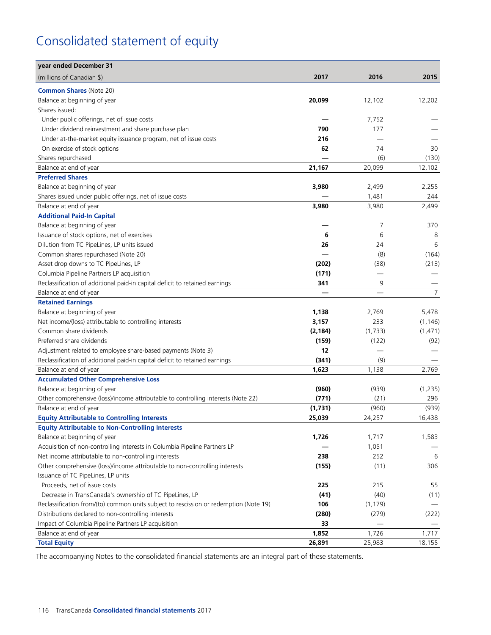# Consolidated statement of equity

| year ended December 31                                                                |          |          |                |
|---------------------------------------------------------------------------------------|----------|----------|----------------|
| (millions of Canadian \$)                                                             | 2017     | 2016     | 2015           |
| <b>Common Shares (Note 20)</b>                                                        |          |          |                |
| Balance at beginning of year                                                          | 20,099   | 12,102   | 12,202         |
| Shares issued:                                                                        |          |          |                |
| Under public offerings, net of issue costs                                            |          | 7,752    |                |
| Under dividend reinvestment and share purchase plan                                   | 790      | 177      |                |
| Under at-the-market equity issuance program, net of issue costs                       | 216      |          |                |
| On exercise of stock options                                                          | 62       | 74       | 30             |
| Shares repurchased                                                                    |          | (6)      | (130)          |
| Balance at end of year                                                                | 21,167   | 20,099   | 12,102         |
| <b>Preferred Shares</b>                                                               |          |          |                |
| Balance at beginning of year                                                          | 3,980    | 2,499    | 2,255          |
| Shares issued under public offerings, net of issue costs                              |          | 1,481    | 244            |
| Balance at end of year                                                                | 3,980    | 3,980    | 2,499          |
| <b>Additional Paid-In Capital</b>                                                     |          |          |                |
| Balance at beginning of year                                                          |          | 7        | 370            |
| Issuance of stock options, net of exercises                                           | 6        | 6        | 8              |
| Dilution from TC PipeLines, LP units issued                                           | 26       | 24       | 6              |
| Common shares repurchased (Note 20)                                                   |          | (8)      | (164)          |
| Asset drop downs to TC PipeLines, LP                                                  | (202)    | (38)     | (213)          |
| Columbia Pipeline Partners LP acquisition                                             | (171)    |          |                |
| Reclassification of additional paid-in capital deficit to retained earnings           | 341      | 9        |                |
| Balance at end of year                                                                |          |          | $\overline{7}$ |
| <b>Retained Earnings</b>                                                              |          |          |                |
| Balance at beginning of year                                                          | 1,138    | 2,769    | 5,478          |
| Net income/(loss) attributable to controlling interests                               | 3,157    | 233      | (1, 146)       |
| Common share dividends                                                                | (2, 184) | (1,733)  | (1, 471)       |
| Preferred share dividends                                                             | (159)    | (122)    | (92)           |
| Adjustment related to employee share-based payments (Note 3)                          | 12       |          |                |
| Reclassification of additional paid-in capital deficit to retained earnings           | (341)    | (9)      |                |
| Balance at end of year                                                                | 1,623    | 1,138    | 2,769          |
| <b>Accumulated Other Comprehensive Loss</b>                                           |          |          |                |
| Balance at beginning of year                                                          | (960)    | (939)    | (1,235)        |
| Other comprehensive (loss)/income attributable to controlling interests (Note 22)     | (771)    | (21)     | 296            |
| Balance at end of year                                                                | (1,731)  | (960)    | (939)          |
| <b>Equity Attributable to Controlling Interests</b>                                   | 25,039   | 24,257   | 16,438         |
| <b>Equity Attributable to Non-Controlling Interests</b>                               |          |          |                |
| Balance at beginning of year                                                          | 1,726    | 1,717    | 1,583          |
| Acquisition of non-controlling interests in Columbia Pipeline Partners LP             |          | 1,051    |                |
| Net income attributable to non-controlling interests                                  | 238      | 252      | 6              |
| Other comprehensive (loss)/income attributable to non-controlling interests           | (155)    | (11)     | 306            |
| Issuance of TC PipeLines, LP units                                                    |          |          |                |
| Proceeds, net of issue costs                                                          | 225      | 215      | 55             |
| Decrease in TransCanada's ownership of TC PipeLines, LP                               | (41)     | (40)     | (11)           |
| Reclassification from/(to) common units subject to rescission or redemption (Note 19) | 106      | (1, 179) |                |
| Distributions declared to non-controlling interests                                   | (280)    | (279)    | (222)          |
| Impact of Columbia Pipeline Partners LP acquisition                                   | 33       |          |                |
| Balance at end of year                                                                | 1,852    | 1,726    | 1,717          |
| <b>Total Equity</b>                                                                   | 26,891   | 25,983   | 18,155         |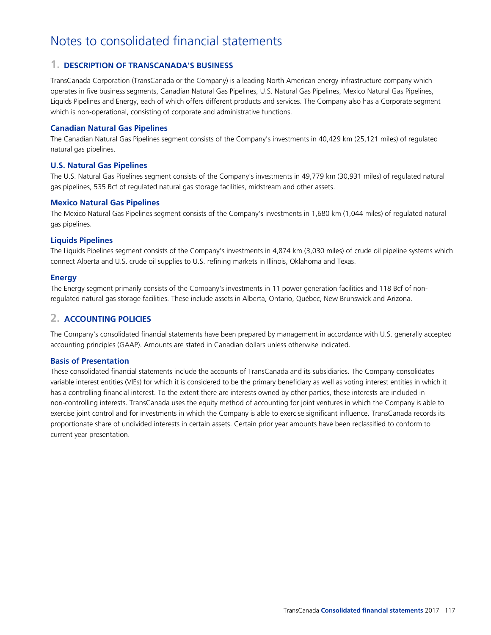# Notes to consolidated financial statements

# **1. DESCRIPTION OF TRANSCANADA'S BUSINESS**

TransCanada Corporation (TransCanada or the Company) is a leading North American energy infrastructure company which operates in five business segments, Canadian Natural Gas Pipelines, U.S. Natural Gas Pipelines, Mexico Natural Gas Pipelines, Liquids Pipelines and Energy, each of which offers different products and services. The Company also has a Corporate segment which is non-operational, consisting of corporate and administrative functions.

# **Canadian Natural Gas Pipelines**

The Canadian Natural Gas Pipelines segment consists of the Company's investments in 40,429 km (25,121 miles) of regulated natural gas pipelines.

# **U.S. Natural Gas Pipelines**

The U.S. Natural Gas Pipelines segment consists of the Company's investments in 49,779 km (30,931 miles) of regulated natural gas pipelines, 535 Bcf of regulated natural gas storage facilities, midstream and other assets.

# **Mexico Natural Gas Pipelines**

The Mexico Natural Gas Pipelines segment consists of the Company's investments in 1,680 km (1,044 miles) of regulated natural gas pipelines.

## **Liquids Pipelines**

The Liquids Pipelines segment consists of the Company's investments in 4,874 km (3,030 miles) of crude oil pipeline systems which connect Alberta and U.S. crude oil supplies to U.S. refining markets in Illinois, Oklahoma and Texas.

## **Energy**

The Energy segment primarily consists of the Company's investments in 11 power generation facilities and 118 Bcf of nonregulated natural gas storage facilities. These include assets in Alberta, Ontario, Québec, New Brunswick and Arizona.

# **2. ACCOUNTING POLICIES**

The Company's consolidated financial statements have been prepared by management in accordance with U.S. generally accepted accounting principles (GAAP). Amounts are stated in Canadian dollars unless otherwise indicated.

## **Basis of Presentation**

These consolidated financial statements include the accounts of TransCanada and its subsidiaries. The Company consolidates variable interest entities (VIEs) for which it is considered to be the primary beneficiary as well as voting interest entities in which it has a controlling financial interest. To the extent there are interests owned by other parties, these interests are included in non-controlling interests. TransCanada uses the equity method of accounting for joint ventures in which the Company is able to exercise joint control and for investments in which the Company is able to exercise significant influence. TransCanada records its proportionate share of undivided interests in certain assets. Certain prior year amounts have been reclassified to conform to current year presentation.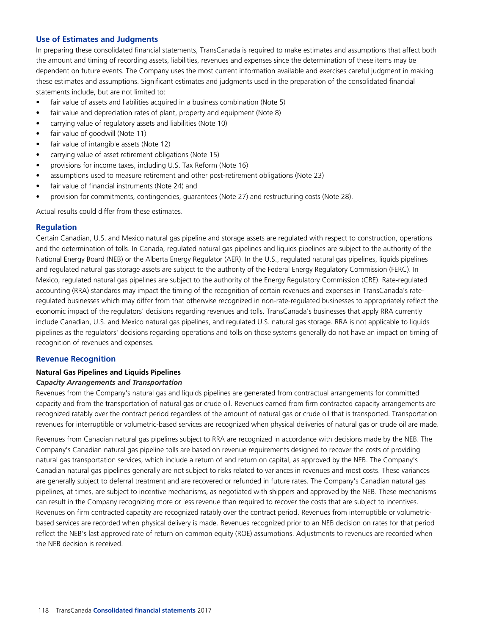# **Use of Estimates and Judgments**

In preparing these consolidated financial statements, TransCanada is required to make estimates and assumptions that affect both the amount and timing of recording assets, liabilities, revenues and expenses since the determination of these items may be dependent on future events. The Company uses the most current information available and exercises careful judgment in making these estimates and assumptions. Significant estimates and judgments used in the preparation of the consolidated financial statements include, but are not limited to:

- fair value of assets and liabilities acquired in a business combination (Note 5)
- fair value and depreciation rates of plant, property and equipment (Note 8)
- carrying value of regulatory assets and liabilities (Note 10)
- fair value of goodwill (Note 11)
- fair value of intangible assets (Note 12)
- carrying value of asset retirement obligations (Note 15)
- provisions for income taxes, including U.S. Tax Reform (Note 16)
- assumptions used to measure retirement and other post-retirement obligations (Note 23)
- fair value of financial instruments (Note 24) and
- provision for commitments, contingencies, guarantees (Note 27) and restructuring costs (Note 28).

Actual results could differ from these estimates.

### **Regulation**

Certain Canadian, U.S. and Mexico natural gas pipeline and storage assets are regulated with respect to construction, operations and the determination of tolls. In Canada, regulated natural gas pipelines and liquids pipelines are subject to the authority of the National Energy Board (NEB) or the Alberta Energy Regulator (AER). In the U.S., regulated natural gas pipelines, liquids pipelines and regulated natural gas storage assets are subject to the authority of the Federal Energy Regulatory Commission (FERC). In Mexico, regulated natural gas pipelines are subject to the authority of the Energy Regulatory Commission (CRE). Rate-regulated accounting (RRA) standards may impact the timing of the recognition of certain revenues and expenses in TransCanada's rateregulated businesses which may differ from that otherwise recognized in non-rate-regulated businesses to appropriately reflect the economic impact of the regulators' decisions regarding revenues and tolls. TransCanada's businesses that apply RRA currently include Canadian, U.S. and Mexico natural gas pipelines, and regulated U.S. natural gas storage. RRA is not applicable to liquids pipelines as the regulators' decisions regarding operations and tolls on those systems generally do not have an impact on timing of recognition of revenues and expenses.

## **Revenue Recognition**

# **Natural Gas Pipelines and Liquids Pipelines**

## *Capacity Arrangements and Transportation*

Revenues from the Company's natural gas and liquids pipelines are generated from contractual arrangements for committed capacity and from the transportation of natural gas or crude oil. Revenues earned from firm contracted capacity arrangements are recognized ratably over the contract period regardless of the amount of natural gas or crude oil that is transported. Transportation revenues for interruptible or volumetric-based services are recognized when physical deliveries of natural gas or crude oil are made.

Revenues from Canadian natural gas pipelines subject to RRA are recognized in accordance with decisions made by the NEB. The Company's Canadian natural gas pipeline tolls are based on revenue requirements designed to recover the costs of providing natural gas transportation services, which include a return of and return on capital, as approved by the NEB. The Company's Canadian natural gas pipelines generally are not subject to risks related to variances in revenues and most costs. These variances are generally subject to deferral treatment and are recovered or refunded in future rates. The Company's Canadian natural gas pipelines, at times, are subject to incentive mechanisms, as negotiated with shippers and approved by the NEB. These mechanisms can result in the Company recognizing more or less revenue than required to recover the costs that are subject to incentives. Revenues on firm contracted capacity are recognized ratably over the contract period. Revenues from interruptible or volumetricbased services are recorded when physical delivery is made. Revenues recognized prior to an NEB decision on rates for that period reflect the NEB's last approved rate of return on common equity (ROE) assumptions. Adjustments to revenues are recorded when the NEB decision is received.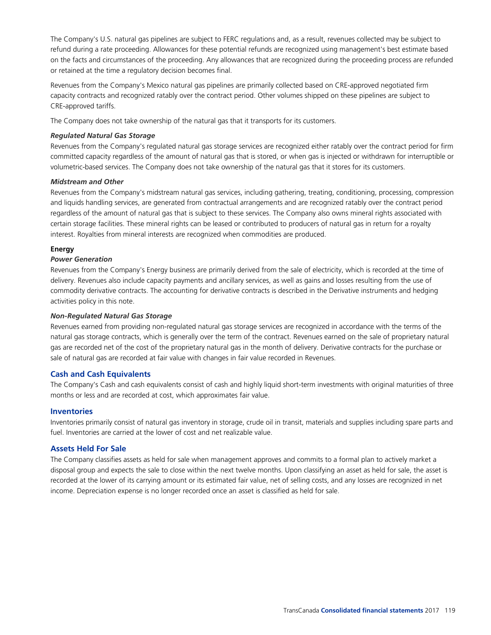The Company's U.S. natural gas pipelines are subject to FERC regulations and, as a result, revenues collected may be subject to refund during a rate proceeding. Allowances for these potential refunds are recognized using management's best estimate based on the facts and circumstances of the proceeding. Any allowances that are recognized during the proceeding process are refunded or retained at the time a regulatory decision becomes final.

Revenues from the Company's Mexico natural gas pipelines are primarily collected based on CRE-approved negotiated firm capacity contracts and recognized ratably over the contract period. Other volumes shipped on these pipelines are subject to CRE-approved tariffs.

The Company does not take ownership of the natural gas that it transports for its customers.

### *Regulated Natural Gas Storage*

Revenues from the Company's regulated natural gas storage services are recognized either ratably over the contract period for firm committed capacity regardless of the amount of natural gas that is stored, or when gas is injected or withdrawn for interruptible or volumetric-based services. The Company does not take ownership of the natural gas that it stores for its customers.

#### *Midstream and Other*

Revenues from the Company's midstream natural gas services, including gathering, treating, conditioning, processing, compression and liquids handling services, are generated from contractual arrangements and are recognized ratably over the contract period regardless of the amount of natural gas that is subject to these services. The Company also owns mineral rights associated with certain storage facilities. These mineral rights can be leased or contributed to producers of natural gas in return for a royalty interest. Royalties from mineral interests are recognized when commodities are produced.

#### **Energy**

### *Power Generation*

Revenues from the Company's Energy business are primarily derived from the sale of electricity, which is recorded at the time of delivery. Revenues also include capacity payments and ancillary services, as well as gains and losses resulting from the use of commodity derivative contracts. The accounting for derivative contracts is described in the Derivative instruments and hedging activities policy in this note.

#### *Non-Regulated Natural Gas Storage*

Revenues earned from providing non-regulated natural gas storage services are recognized in accordance with the terms of the natural gas storage contracts, which is generally over the term of the contract. Revenues earned on the sale of proprietary natural gas are recorded net of the cost of the proprietary natural gas in the month of delivery. Derivative contracts for the purchase or sale of natural gas are recorded at fair value with changes in fair value recorded in Revenues.

### **Cash and Cash Equivalents**

The Company's Cash and cash equivalents consist of cash and highly liquid short-term investments with original maturities of three months or less and are recorded at cost, which approximates fair value.

### **Inventories**

Inventories primarily consist of natural gas inventory in storage, crude oil in transit, materials and supplies including spare parts and fuel. Inventories are carried at the lower of cost and net realizable value.

## **Assets Held For Sale**

The Company classifies assets as held for sale when management approves and commits to a formal plan to actively market a disposal group and expects the sale to close within the next twelve months. Upon classifying an asset as held for sale, the asset is recorded at the lower of its carrying amount or its estimated fair value, net of selling costs, and any losses are recognized in net income. Depreciation expense is no longer recorded once an asset is classified as held for sale.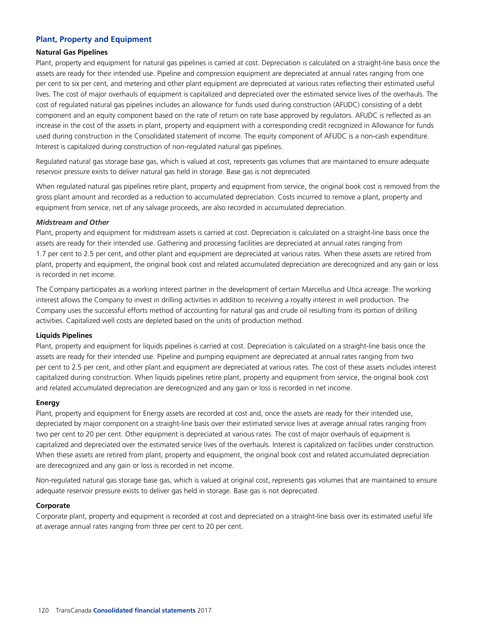# **Plant, Property and Equipment**

### **Natural Gas Pipelines**

Plant, property and equipment for natural gas pipelines is carried at cost. Depreciation is calculated on a straight-line basis once the assets are ready for their intended use. Pipeline and compression equipment are depreciated at annual rates ranging from one per cent to six per cent, and metering and other plant equipment are depreciated at various rates reflecting their estimated useful lives. The cost of major overhauls of equipment is capitalized and depreciated over the estimated service lives of the overhauls. The cost of regulated natural gas pipelines includes an allowance for funds used during construction (AFUDC) consisting of a debt component and an equity component based on the rate of return on rate base approved by regulators. AFUDC is reflected as an increase in the cost of the assets in plant, property and equipment with a corresponding credit recognized in Allowance for funds used during construction in the Consolidated statement of income. The equity component of AFUDC is a non-cash expenditure. Interest is capitalized during construction of non-regulated natural gas pipelines.

Regulated natural gas storage base gas, which is valued at cost, represents gas volumes that are maintained to ensure adequate reservoir pressure exists to deliver natural gas held in storage. Base gas is not depreciated.

When regulated natural gas pipelines retire plant, property and equipment from service, the original book cost is removed from the gross plant amount and recorded as a reduction to accumulated depreciation. Costs incurred to remove a plant, property and equipment from service, net of any salvage proceeds, are also recorded in accumulated depreciation.

### *Midstream and Other*

Plant, property and equipment for midstream assets is carried at cost. Depreciation is calculated on a straight-line basis once the assets are ready for their intended use. Gathering and processing facilities are depreciated at annual rates ranging from 1.7 per cent to 2.5 per cent, and other plant and equipment are depreciated at various rates. When these assets are retired from plant, property and equipment, the original book cost and related accumulated depreciation are derecognized and any gain or loss is recorded in net income.

The Company participates as a working interest partner in the development of certain Marcellus and Utica acreage. The working interest allows the Company to invest in drilling activities in addition to receiving a royalty interest in well production. The Company uses the successful efforts method of accounting for natural gas and crude oil resulting from its portion of drilling activities. Capitalized well costs are depleted based on the units of production method.

### **Liquids Pipelines**

Plant, property and equipment for liquids pipelines is carried at cost. Depreciation is calculated on a straight-line basis once the assets are ready for their intended use. Pipeline and pumping equipment are depreciated at annual rates ranging from two per cent to 2.5 per cent, and other plant and equipment are depreciated at various rates. The cost of these assets includes interest capitalized during construction. When liquids pipelines retire plant, property and equipment from service, the original book cost and related accumulated depreciation are derecognized and any gain or loss is recorded in net income.

### **Energy**

Plant, property and equipment for Energy assets are recorded at cost and, once the assets are ready for their intended use, depreciated by major component on a straight-line basis over their estimated service lives at average annual rates ranging from two per cent to 20 per cent. Other equipment is depreciated at various rates. The cost of major overhauls of equipment is capitalized and depreciated over the estimated service lives of the overhauls. Interest is capitalized on facilities under construction. When these assets are retired from plant, property and equipment, the original book cost and related accumulated depreciation are derecognized and any gain or loss is recorded in net income.

Non-regulated natural gas storage base gas, which is valued at original cost, represents gas volumes that are maintained to ensure adequate reservoir pressure exists to deliver gas held in storage. Base gas is not depreciated.

### **Corporate**

Corporate plant, property and equipment is recorded at cost and depreciated on a straight-line basis over its estimated useful life at average annual rates ranging from three per cent to 20 per cent.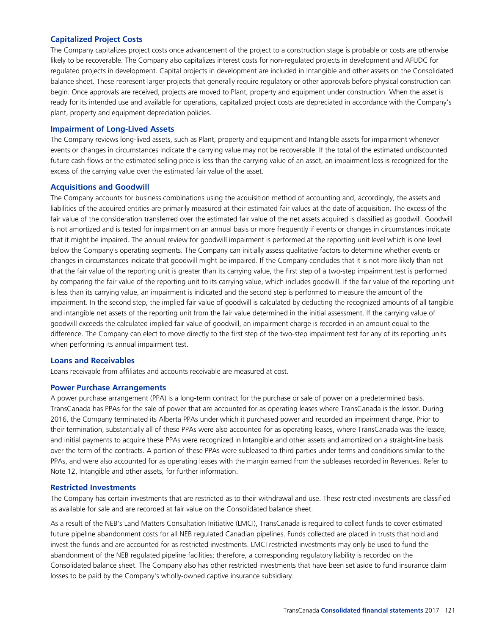## **Capitalized Project Costs**

The Company capitalizes project costs once advancement of the project to a construction stage is probable or costs are otherwise likely to be recoverable. The Company also capitalizes interest costs for non-regulated projects in development and AFUDC for regulated projects in development. Capital projects in development are included in Intangible and other assets on the Consolidated balance sheet. These represent larger projects that generally require regulatory or other approvals before physical construction can begin. Once approvals are received, projects are moved to Plant, property and equipment under construction. When the asset is ready for its intended use and available for operations, capitalized project costs are depreciated in accordance with the Company's plant, property and equipment depreciation policies.

### **Impairment of Long-Lived Assets**

The Company reviews long-lived assets, such as Plant, property and equipment and Intangible assets for impairment whenever events or changes in circumstances indicate the carrying value may not be recoverable. If the total of the estimated undiscounted future cash flows or the estimated selling price is less than the carrying value of an asset, an impairment loss is recognized for the excess of the carrying value over the estimated fair value of the asset.

### **Acquisitions and Goodwill**

The Company accounts for business combinations using the acquisition method of accounting and, accordingly, the assets and liabilities of the acquired entities are primarily measured at their estimated fair values at the date of acquisition. The excess of the fair value of the consideration transferred over the estimated fair value of the net assets acquired is classified as goodwill. Goodwill is not amortized and is tested for impairment on an annual basis or more frequently if events or changes in circumstances indicate that it might be impaired. The annual review for goodwill impairment is performed at the reporting unit level which is one level below the Company's operating segments. The Company can initially assess qualitative factors to determine whether events or changes in circumstances indicate that goodwill might be impaired. If the Company concludes that it is not more likely than not that the fair value of the reporting unit is greater than its carrying value, the first step of a two-step impairment test is performed by comparing the fair value of the reporting unit to its carrying value, which includes goodwill. If the fair value of the reporting unit is less than its carrying value, an impairment is indicated and the second step is performed to measure the amount of the impairment. In the second step, the implied fair value of goodwill is calculated by deducting the recognized amounts of all tangible and intangible net assets of the reporting unit from the fair value determined in the initial assessment. If the carrying value of goodwill exceeds the calculated implied fair value of goodwill, an impairment charge is recorded in an amount equal to the difference. The Company can elect to move directly to the first step of the two-step impairment test for any of its reporting units when performing its annual impairment test.

### **Loans and Receivables**

Loans receivable from affiliates and accounts receivable are measured at cost.

### **Power Purchase Arrangements**

A power purchase arrangement (PPA) is a long-term contract for the purchase or sale of power on a predetermined basis. TransCanada has PPAs for the sale of power that are accounted for as operating leases where TransCanada is the lessor. During 2016, the Company terminated its Alberta PPAs under which it purchased power and recorded an impairment charge. Prior to their termination, substantially all of these PPAs were also accounted for as operating leases, where TransCanada was the lessee, and initial payments to acquire these PPAs were recognized in Intangible and other assets and amortized on a straight-line basis over the term of the contracts. A portion of these PPAs were subleased to third parties under terms and conditions similar to the PPAs, and were also accounted for as operating leases with the margin earned from the subleases recorded in Revenues. Refer to Note 12, Intangible and other assets, for further information.

### **Restricted Investments**

The Company has certain investments that are restricted as to their withdrawal and use. These restricted investments are classified as available for sale and are recorded at fair value on the Consolidated balance sheet.

As a result of the NEB's Land Matters Consultation Initiative (LMCI), TransCanada is required to collect funds to cover estimated future pipeline abandonment costs for all NEB regulated Canadian pipelines. Funds collected are placed in trusts that hold and invest the funds and are accounted for as restricted investments. LMCI restricted investments may only be used to fund the abandonment of the NEB regulated pipeline facilities; therefore, a corresponding regulatory liability is recorded on the Consolidated balance sheet. The Company also has other restricted investments that have been set aside to fund insurance claim losses to be paid by the Company's wholly-owned captive insurance subsidiary.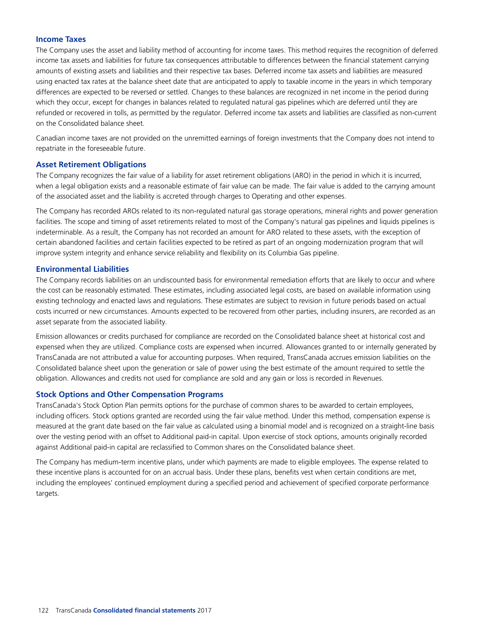## **Income Taxes**

The Company uses the asset and liability method of accounting for income taxes. This method requires the recognition of deferred income tax assets and liabilities for future tax consequences attributable to differences between the financial statement carrying amounts of existing assets and liabilities and their respective tax bases. Deferred income tax assets and liabilities are measured using enacted tax rates at the balance sheet date that are anticipated to apply to taxable income in the years in which temporary differences are expected to be reversed or settled. Changes to these balances are recognized in net income in the period during which they occur, except for changes in balances related to regulated natural gas pipelines which are deferred until they are refunded or recovered in tolls, as permitted by the regulator. Deferred income tax assets and liabilities are classified as non-current on the Consolidated balance sheet.

Canadian income taxes are not provided on the unremitted earnings of foreign investments that the Company does not intend to repatriate in the foreseeable future.

### **Asset Retirement Obligations**

The Company recognizes the fair value of a liability for asset retirement obligations (ARO) in the period in which it is incurred, when a legal obligation exists and a reasonable estimate of fair value can be made. The fair value is added to the carrying amount of the associated asset and the liability is accreted through charges to Operating and other expenses.

The Company has recorded AROs related to its non-regulated natural gas storage operations, mineral rights and power generation facilities. The scope and timing of asset retirements related to most of the Company's natural gas pipelines and liquids pipelines is indeterminable. As a result, the Company has not recorded an amount for ARO related to these assets, with the exception of certain abandoned facilities and certain facilities expected to be retired as part of an ongoing modernization program that will improve system integrity and enhance service reliability and flexibility on its Columbia Gas pipeline.

### **Environmental Liabilities**

The Company records liabilities on an undiscounted basis for environmental remediation efforts that are likely to occur and where the cost can be reasonably estimated. These estimates, including associated legal costs, are based on available information using existing technology and enacted laws and regulations. These estimates are subject to revision in future periods based on actual costs incurred or new circumstances. Amounts expected to be recovered from other parties, including insurers, are recorded as an asset separate from the associated liability.

Emission allowances or credits purchased for compliance are recorded on the Consolidated balance sheet at historical cost and expensed when they are utilized. Compliance costs are expensed when incurred. Allowances granted to or internally generated by TransCanada are not attributed a value for accounting purposes. When required, TransCanada accrues emission liabilities on the Consolidated balance sheet upon the generation or sale of power using the best estimate of the amount required to settle the obligation. Allowances and credits not used for compliance are sold and any gain or loss is recorded in Revenues.

### **Stock Options and Other Compensation Programs**

TransCanada's Stock Option Plan permits options for the purchase of common shares to be awarded to certain employees, including officers. Stock options granted are recorded using the fair value method. Under this method, compensation expense is measured at the grant date based on the fair value as calculated using a binomial model and is recognized on a straight-line basis over the vesting period with an offset to Additional paid-in capital. Upon exercise of stock options, amounts originally recorded against Additional paid-in capital are reclassified to Common shares on the Consolidated balance sheet.

The Company has medium-term incentive plans, under which payments are made to eligible employees. The expense related to these incentive plans is accounted for on an accrual basis. Under these plans, benefits vest when certain conditions are met, including the employees' continued employment during a specified period and achievement of specified corporate performance targets.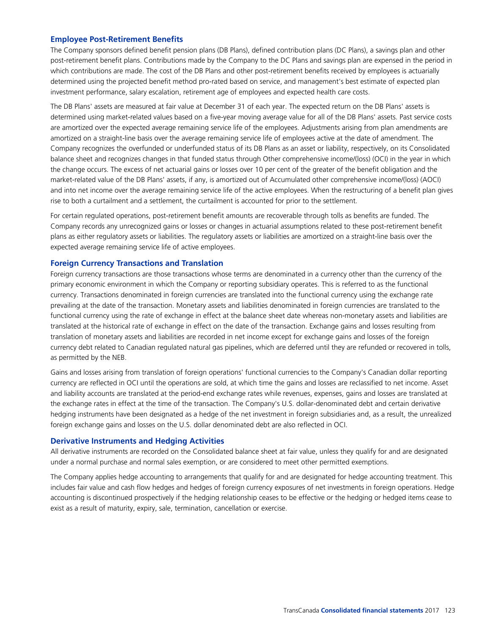### **Employee Post-Retirement Benefits**

The Company sponsors defined benefit pension plans (DB Plans), defined contribution plans (DC Plans), a savings plan and other post-retirement benefit plans. Contributions made by the Company to the DC Plans and savings plan are expensed in the period in which contributions are made. The cost of the DB Plans and other post-retirement benefits received by employees is actuarially determined using the projected benefit method pro-rated based on service, and management's best estimate of expected plan investment performance, salary escalation, retirement age of employees and expected health care costs.

The DB Plans' assets are measured at fair value at December 31 of each year. The expected return on the DB Plans' assets is determined using market-related values based on a five-year moving average value for all of the DB Plans' assets. Past service costs are amortized over the expected average remaining service life of the employees. Adjustments arising from plan amendments are amortized on a straight-line basis over the average remaining service life of employees active at the date of amendment. The Company recognizes the overfunded or underfunded status of its DB Plans as an asset or liability, respectively, on its Consolidated balance sheet and recognizes changes in that funded status through Other comprehensive income/(loss) (OCI) in the year in which the change occurs. The excess of net actuarial gains or losses over 10 per cent of the greater of the benefit obligation and the market-related value of the DB Plans' assets, if any, is amortized out of Accumulated other comprehensive income/(loss) (AOCI) and into net income over the average remaining service life of the active employees. When the restructuring of a benefit plan gives rise to both a curtailment and a settlement, the curtailment is accounted for prior to the settlement.

For certain regulated operations, post-retirement benefit amounts are recoverable through tolls as benefits are funded. The Company records any unrecognized gains or losses or changes in actuarial assumptions related to these post-retirement benefit plans as either regulatory assets or liabilities. The regulatory assets or liabilities are amortized on a straight-line basis over the expected average remaining service life of active employees.

### **Foreign Currency Transactions and Translation**

Foreign currency transactions are those transactions whose terms are denominated in a currency other than the currency of the primary economic environment in which the Company or reporting subsidiary operates. This is referred to as the functional currency. Transactions denominated in foreign currencies are translated into the functional currency using the exchange rate prevailing at the date of the transaction. Monetary assets and liabilities denominated in foreign currencies are translated to the functional currency using the rate of exchange in effect at the balance sheet date whereas non-monetary assets and liabilities are translated at the historical rate of exchange in effect on the date of the transaction. Exchange gains and losses resulting from translation of monetary assets and liabilities are recorded in net income except for exchange gains and losses of the foreign currency debt related to Canadian regulated natural gas pipelines, which are deferred until they are refunded or recovered in tolls, as permitted by the NEB.

Gains and losses arising from translation of foreign operations' functional currencies to the Company's Canadian dollar reporting currency are reflected in OCI until the operations are sold, at which time the gains and losses are reclassified to net income. Asset and liability accounts are translated at the period-end exchange rates while revenues, expenses, gains and losses are translated at the exchange rates in effect at the time of the transaction. The Company's U.S. dollar-denominated debt and certain derivative hedging instruments have been designated as a hedge of the net investment in foreign subsidiaries and, as a result, the unrealized foreign exchange gains and losses on the U.S. dollar denominated debt are also reflected in OCI.

### **Derivative Instruments and Hedging Activities**

All derivative instruments are recorded on the Consolidated balance sheet at fair value, unless they qualify for and are designated under a normal purchase and normal sales exemption, or are considered to meet other permitted exemptions.

The Company applies hedge accounting to arrangements that qualify for and are designated for hedge accounting treatment. This includes fair value and cash flow hedges and hedges of foreign currency exposures of net investments in foreign operations. Hedge accounting is discontinued prospectively if the hedging relationship ceases to be effective or the hedging or hedged items cease to exist as a result of maturity, expiry, sale, termination, cancellation or exercise.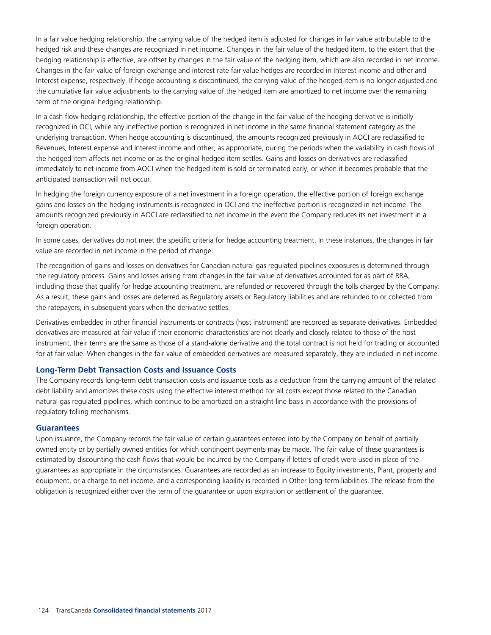In a fair value hedging relationship, the carrying value of the hedged item is adjusted for changes in fair value attributable to the hedged risk and these changes are recognized in net income. Changes in the fair value of the hedged item, to the extent that the hedging relationship is effective, are offset by changes in the fair value of the hedging item, which are also recorded in net income. Changes in the fair value of foreign exchange and interest rate fair value hedges are recorded in Interest income and other and Interest expense, respectively. If hedge accounting is discontinued, the carrying value of the hedged item is no longer adjusted and the cumulative fair value adjustments to the carrying value of the hedged item are amortized to net income over the remaining term of the original hedging relationship.

In a cash flow hedging relationship, the effective portion of the change in the fair value of the hedging derivative is initially recognized in OCI, while any ineffective portion is recognized in net income in the same financial statement category as the underlying transaction. When hedge accounting is discontinued, the amounts recognized previously in AOCI are reclassified to Revenues, Interest expense and Interest income and other, as appropriate, during the periods when the variability in cash flows of the hedged item affects net income or as the original hedged item settles. Gains and losses on derivatives are reclassified immediately to net income from AOCI when the hedged item is sold or terminated early, or when it becomes probable that the anticipated transaction will not occur.

In hedging the foreign currency exposure of a net investment in a foreign operation, the effective portion of foreign exchange gains and losses on the hedging instruments is recognized in OCI and the ineffective portion is recognized in net income. The amounts recognized previously in AOCI are reclassified to net income in the event the Company reduces its net investment in a foreign operation.

In some cases, derivatives do not meet the specific criteria for hedge accounting treatment. In these instances, the changes in fair value are recorded in net income in the period of change.

The recognition of gains and losses on derivatives for Canadian natural gas regulated pipelines exposures is determined through the regulatory process. Gains and losses arising from changes in the fair value of derivatives accounted for as part of RRA, including those that qualify for hedge accounting treatment, are refunded or recovered through the tolls charged by the Company. As a result, these gains and losses are deferred as Regulatory assets or Regulatory liabilities and are refunded to or collected from the ratepayers, in subsequent years when the derivative settles.

Derivatives embedded in other financial instruments or contracts (host instrument) are recorded as separate derivatives. Embedded derivatives are measured at fair value if their economic characteristics are not clearly and closely related to those of the host instrument, their terms are the same as those of a stand-alone derivative and the total contract is not held for trading or accounted for at fair value. When changes in the fair value of embedded derivatives are measured separately, they are included in net income.

## **Long-Term Debt Transaction Costs and Issuance Costs**

The Company records long-term debt transaction costs and issuance costs as a deduction from the carrying amount of the related debt liability and amortizes these costs using the effective interest method for all costs except those related to the Canadian natural gas regulated pipelines, which continue to be amortized on a straight-line basis in accordance with the provisions of regulatory tolling mechanisms.

### **Guarantees**

Upon issuance, the Company records the fair value of certain guarantees entered into by the Company on behalf of partially owned entity or by partially owned entities for which contingent payments may be made. The fair value of these guarantees is estimated by discounting the cash flows that would be incurred by the Company if letters of credit were used in place of the guarantees as appropriate in the circumstances. Guarantees are recorded as an increase to Equity investments, Plant, property and equipment, or a charge to net income, and a corresponding liability is recorded in Other long-term liabilities. The release from the obligation is recognized either over the term of the guarantee or upon expiration or settlement of the guarantee.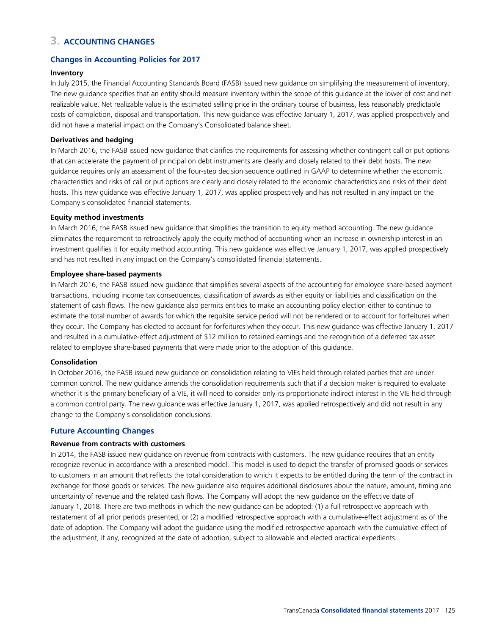# **3. ACCOUNTING CHANGES**

# **Changes in Accounting Policies for 2017**

### **Inventory**

In July 2015, the Financial Accounting Standards Board (FASB) issued new guidance on simplifying the measurement of inventory. The new guidance specifies that an entity should measure inventory within the scope of this guidance at the lower of cost and net realizable value. Net realizable value is the estimated selling price in the ordinary course of business, less reasonably predictable costs of completion, disposal and transportation. This new guidance was effective January 1, 2017, was applied prospectively and did not have a material impact on the Company's Consolidated balance sheet.

### **Derivatives and hedging**

In March 2016, the FASB issued new guidance that clarifies the requirements for assessing whether contingent call or put options that can accelerate the payment of principal on debt instruments are clearly and closely related to their debt hosts. The new guidance requires only an assessment of the four-step decision sequence outlined in GAAP to determine whether the economic characteristics and risks of call or put options are clearly and closely related to the economic characteristics and risks of their debt hosts. This new guidance was effective January 1, 2017, was applied prospectively and has not resulted in any impact on the Company's consolidated financial statements.

### **Equity method investments**

In March 2016, the FASB issued new guidance that simplifies the transition to equity method accounting. The new guidance eliminates the requirement to retroactively apply the equity method of accounting when an increase in ownership interest in an investment qualifies it for equity method accounting. This new guidance was effective January 1, 2017, was applied prospectively and has not resulted in any impact on the Company's consolidated financial statements.

### **Employee share-based payments**

In March 2016, the FASB issued new guidance that simplifies several aspects of the accounting for employee share-based payment transactions, including income tax consequences, classification of awards as either equity or liabilities and classification on the statement of cash flows. The new guidance also permits entities to make an accounting policy election either to continue to estimate the total number of awards for which the requisite service period will not be rendered or to account for forfeitures when they occur. The Company has elected to account for forfeitures when they occur. This new guidance was effective January 1, 2017 and resulted in a cumulative-effect adjustment of \$12 million to retained earnings and the recognition of a deferred tax asset related to employee share-based payments that were made prior to the adoption of this guidance.

### **Consolidation**

In October 2016, the FASB issued new guidance on consolidation relating to VIEs held through related parties that are under common control. The new guidance amends the consolidation requirements such that if a decision maker is required to evaluate whether it is the primary beneficiary of a VIE, it will need to consider only its proportionate indirect interest in the VIE held through a common control party. The new guidance was effective January 1, 2017, was applied retrospectively and did not result in any change to the Company's consolidation conclusions.

## **Future Accounting Changes**

### **Revenue from contracts with customers**

In 2014, the FASB issued new guidance on revenue from contracts with customers. The new guidance requires that an entity recognize revenue in accordance with a prescribed model. This model is used to depict the transfer of promised goods or services to customers in an amount that reflects the total consideration to which it expects to be entitled during the term of the contract in exchange for those goods or services. The new guidance also requires additional disclosures about the nature, amount, timing and uncertainty of revenue and the related cash flows. The Company will adopt the new guidance on the effective date of January 1, 2018. There are two methods in which the new guidance can be adopted: (1) a full retrospective approach with restatement of all prior periods presented, or (2) a modified retrospective approach with a cumulative-effect adjustment as of the date of adoption. The Company will adopt the guidance using the modified retrospective approach with the cumulative-effect of the adjustment, if any, recognized at the date of adoption, subject to allowable and elected practical expedients.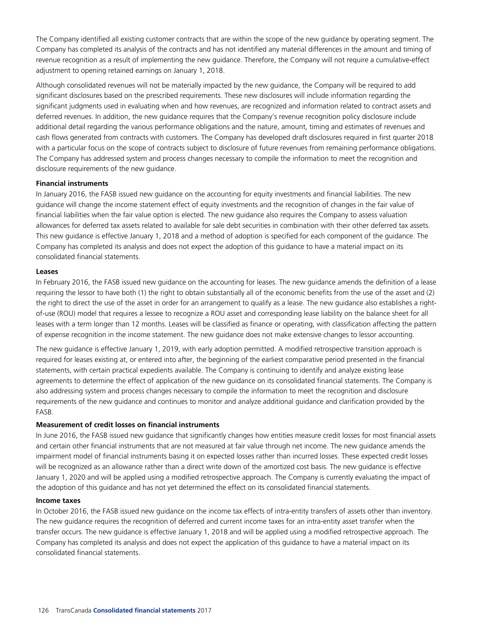The Company identified all existing customer contracts that are within the scope of the new guidance by operating segment. The Company has completed its analysis of the contracts and has not identified any material differences in the amount and timing of revenue recognition as a result of implementing the new guidance. Therefore, the Company will not require a cumulative-effect adjustment to opening retained earnings on January 1, 2018.

Although consolidated revenues will not be materially impacted by the new guidance, the Company will be required to add significant disclosures based on the prescribed requirements. These new disclosures will include information regarding the significant judgments used in evaluating when and how revenues, are recognized and information related to contract assets and deferred revenues. In addition, the new guidance requires that the Company's revenue recognition policy disclosure include additional detail regarding the various performance obligations and the nature, amount, timing and estimates of revenues and cash flows generated from contracts with customers. The Company has developed draft disclosures required in first quarter 2018 with a particular focus on the scope of contracts subject to disclosure of future revenues from remaining performance obligations. The Company has addressed system and process changes necessary to compile the information to meet the recognition and disclosure requirements of the new guidance.

### **Financial instruments**

In January 2016, the FASB issued new guidance on the accounting for equity investments and financial liabilities. The new guidance will change the income statement effect of equity investments and the recognition of changes in the fair value of financial liabilities when the fair value option is elected. The new guidance also requires the Company to assess valuation allowances for deferred tax assets related to available for sale debt securities in combination with their other deferred tax assets. This new guidance is effective January 1, 2018 and a method of adoption is specified for each component of the guidance. The Company has completed its analysis and does not expect the adoption of this guidance to have a material impact on its consolidated financial statements.

### **Leases**

In February 2016, the FASB issued new guidance on the accounting for leases. The new guidance amends the definition of a lease requiring the lessor to have both (1) the right to obtain substantially all of the economic benefits from the use of the asset and (2) the right to direct the use of the asset in order for an arrangement to qualify as a lease. The new guidance also establishes a rightof-use (ROU) model that requires a lessee to recognize a ROU asset and corresponding lease liability on the balance sheet for all leases with a term longer than 12 months. Leases will be classified as finance or operating, with classification affecting the pattern of expense recognition in the income statement. The new guidance does not make extensive changes to lessor accounting.

The new guidance is effective January 1, 2019, with early adoption permitted. A modified retrospective transition approach is required for leases existing at, or entered into after, the beginning of the earliest comparative period presented in the financial statements, with certain practical expedients available. The Company is continuing to identify and analyze existing lease agreements to determine the effect of application of the new guidance on its consolidated financial statements. The Company is also addressing system and process changes necessary to compile the information to meet the recognition and disclosure requirements of the new guidance and continues to monitor and analyze additional guidance and clarification provided by the FASB.

### **Measurement of credit losses on financial instruments**

In June 2016, the FASB issued new guidance that significantly changes how entities measure credit losses for most financial assets and certain other financial instruments that are not measured at fair value through net income. The new guidance amends the impairment model of financial instruments basing it on expected losses rather than incurred losses. These expected credit losses will be recognized as an allowance rather than a direct write down of the amortized cost basis. The new guidance is effective January 1, 2020 and will be applied using a modified retrospective approach. The Company is currently evaluating the impact of the adoption of this guidance and has not yet determined the effect on its consolidated financial statements.

### **Income taxes**

In October 2016, the FASB issued new guidance on the income tax effects of intra-entity transfers of assets other than inventory. The new guidance requires the recognition of deferred and current income taxes for an intra-entity asset transfer when the transfer occurs. The new guidance is effective January 1, 2018 and will be applied using a modified retrospective approach. The Company has completed its analysis and does not expect the application of this guidance to have a material impact on its consolidated financial statements.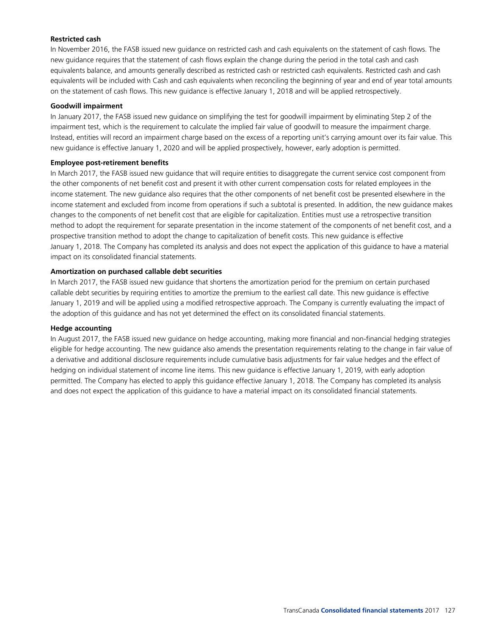### **Restricted cash**

In November 2016, the FASB issued new guidance on restricted cash and cash equivalents on the statement of cash flows. The new guidance requires that the statement of cash flows explain the change during the period in the total cash and cash equivalents balance, and amounts generally described as restricted cash or restricted cash equivalents. Restricted cash and cash equivalents will be included with Cash and cash equivalents when reconciling the beginning of year and end of year total amounts on the statement of cash flows. This new guidance is effective January 1, 2018 and will be applied retrospectively.

#### **Goodwill impairment**

In January 2017, the FASB issued new guidance on simplifying the test for goodwill impairment by eliminating Step 2 of the impairment test, which is the requirement to calculate the implied fair value of goodwill to measure the impairment charge. Instead, entities will record an impairment charge based on the excess of a reporting unit's carrying amount over its fair value. This new guidance is effective January 1, 2020 and will be applied prospectively, however, early adoption is permitted.

#### **Employee post-retirement benefits**

In March 2017, the FASB issued new guidance that will require entities to disaggregate the current service cost component from the other components of net benefit cost and present it with other current compensation costs for related employees in the income statement. The new guidance also requires that the other components of net benefit cost be presented elsewhere in the income statement and excluded from income from operations if such a subtotal is presented. In addition, the new guidance makes changes to the components of net benefit cost that are eligible for capitalization. Entities must use a retrospective transition method to adopt the requirement for separate presentation in the income statement of the components of net benefit cost, and a prospective transition method to adopt the change to capitalization of benefit costs. This new guidance is effective January 1, 2018. The Company has completed its analysis and does not expect the application of this guidance to have a material impact on its consolidated financial statements.

#### **Amortization on purchased callable debt securities**

In March 2017, the FASB issued new guidance that shortens the amortization period for the premium on certain purchased callable debt securities by requiring entities to amortize the premium to the earliest call date. This new guidance is effective January 1, 2019 and will be applied using a modified retrospective approach. The Company is currently evaluating the impact of the adoption of this guidance and has not yet determined the effect on its consolidated financial statements.

#### **Hedge accounting**

In August 2017, the FASB issued new guidance on hedge accounting, making more financial and non-financial hedging strategies eligible for hedge accounting. The new guidance also amends the presentation requirements relating to the change in fair value of a derivative and additional disclosure requirements include cumulative basis adjustments for fair value hedges and the effect of hedging on individual statement of income line items. This new guidance is effective January 1, 2019, with early adoption permitted. The Company has elected to apply this guidance effective January 1, 2018. The Company has completed its analysis and does not expect the application of this guidance to have a material impact on its consolidated financial statements.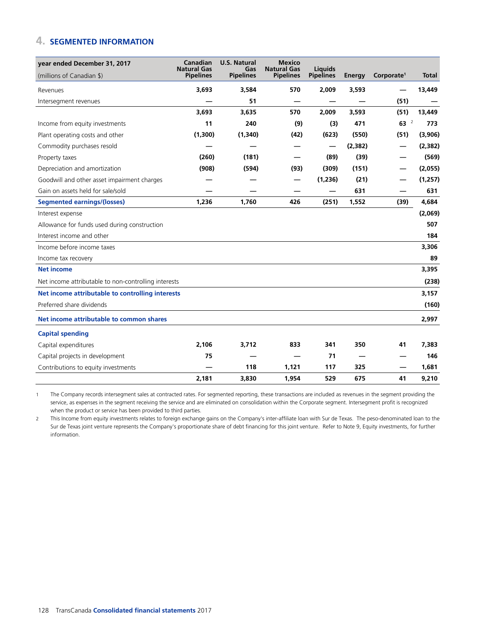# **4. SEGMENTED INFORMATION**

| year ended December 31, 2017                         | Canadian<br><b>Natural Gas</b> | <b>U.S. Natural</b><br>Gas | <b>Mexico</b><br><b>Natural Gas</b> | <b>Liquids</b>   |               |                        |          |
|------------------------------------------------------|--------------------------------|----------------------------|-------------------------------------|------------------|---------------|------------------------|----------|
| (millions of Canadian \$)                            | <b>Pipelines</b>               | <b>Pipelines</b>           | <b>Pipelines</b>                    | <b>Pipelines</b> | <b>Energy</b> | Corporate <sup>1</sup> | Total    |
| Revenues                                             | 3,693                          | 3,584                      | 570                                 | 2,009            | 3,593         |                        | 13,449   |
| Intersegment revenues                                |                                | 51                         |                                     |                  |               | (51)                   |          |
|                                                      | 3,693                          | 3,635                      | 570                                 | 2,009            | 3,593         | (51)                   | 13,449   |
| Income from equity investments                       | 11                             | 240                        | (9)                                 | (3)              | 471           | 63 <sup>2</sup>        | 773      |
| Plant operating costs and other                      | (1,300)                        | (1, 340)                   | (42)                                | (623)            | (550)         | (51)                   | (3,906)  |
| Commodity purchases resold                           |                                |                            |                                     | —                | (2, 382)      |                        | (2, 382) |
| Property taxes                                       | (260)                          | (181)                      |                                     | (89)             | (39)          |                        | (569)    |
| Depreciation and amortization                        | (908)                          | (594)                      | (93)                                | (309)            | (151)         |                        | (2,055)  |
| Goodwill and other asset impairment charges          |                                |                            |                                     | (1,236)          | (21)          |                        | (1, 257) |
| Gain on assets held for sale/sold                    |                                |                            |                                     | —                | 631           |                        | 631      |
| <b>Segmented earnings/(losses)</b>                   | 1,236                          | 1,760                      | 426                                 | (251)            | 1,552         | (39)                   | 4,684    |
| Interest expense                                     |                                |                            |                                     |                  |               |                        | (2,069)  |
| Allowance for funds used during construction         |                                |                            |                                     |                  |               |                        | 507      |
| Interest income and other                            |                                |                            |                                     |                  |               |                        | 184      |
| Income before income taxes                           |                                |                            |                                     |                  |               |                        | 3,306    |
| Income tax recovery                                  |                                |                            |                                     |                  |               |                        | 89       |
| <b>Net income</b>                                    |                                |                            |                                     |                  |               |                        | 3,395    |
| Net income attributable to non-controlling interests |                                |                            |                                     |                  |               |                        | (238)    |
| Net income attributable to controlling interests     |                                |                            |                                     |                  |               |                        | 3,157    |
| Preferred share dividends                            |                                |                            |                                     |                  |               |                        | (160)    |
| Net income attributable to common shares             |                                |                            |                                     |                  |               |                        | 2,997    |
| <b>Capital spending</b>                              |                                |                            |                                     |                  |               |                        |          |
| Capital expenditures                                 | 2,106                          | 3,712                      | 833                                 | 341              | 350           | 41                     | 7,383    |
| Capital projects in development                      | 75                             |                            |                                     | 71               |               |                        | 146      |
| Contributions to equity investments                  |                                | 118                        | 1,121                               | 117              | 325           |                        | 1,681    |
|                                                      | 2,181                          | 3,830                      | 1,954                               | 529              | 675           | 41                     | 9,210    |

1 The Company records intersegment sales at contracted rates. For segmented reporting, these transactions are included as revenues in the segment providing the service, as expenses in the segment receiving the service and are eliminated on consolidation within the Corporate segment. Intersegment profit is recognized when the product or service has been provided to third parties.

2 This Income from equity investments relates to foreign exchange gains on the Company's inter-affiliate loan with Sur de Texas. The peso-denominated loan to the Sur de Texas joint venture represents the Company's proportionate share of debt financing for this joint venture. Refer to Note 9, Equity investments, for further information.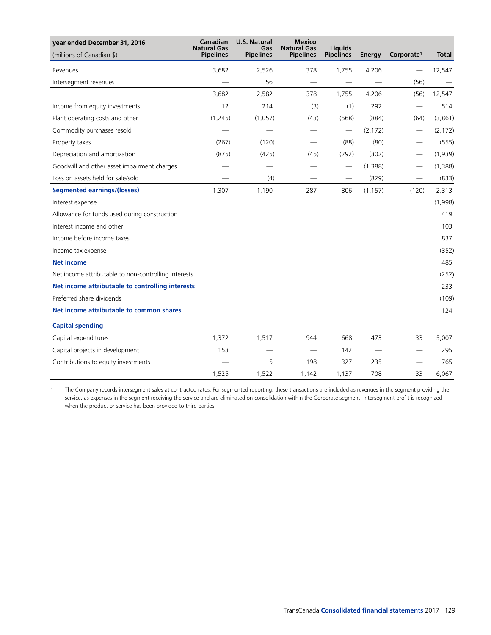| year ended December 31, 2016                         | Canadian<br><b>Natural Gas</b> | <b>U.S. Natural</b><br>Gas | Mexico<br><b>Natural Gas</b>    | Liquids                         |          |                                |          |
|------------------------------------------------------|--------------------------------|----------------------------|---------------------------------|---------------------------------|----------|--------------------------------|----------|
| (millions of Canadian \$)                            | <b>Pipelines</b>               | <b>Pipelines</b>           | <b>Pipelines</b>                | <b>Pipelines</b>                | Energy   | Corporate <sup>1</sup>         | Total    |
| Revenues                                             | 3,682                          | 2,526                      | 378                             | 1,755                           | 4,206    |                                | 12,547   |
| Intersegment revenues                                |                                | 56                         | $\hspace{0.1mm}-\hspace{0.1mm}$ | $\hspace{0.1mm}-\hspace{0.1mm}$ |          | (56)                           |          |
|                                                      | 3,682                          | 2,582                      | 378                             | 1,755                           | 4,206    | (56)                           | 12,547   |
| Income from equity investments                       | 12                             | 214                        | (3)                             | (1)                             | 292      | $\overbrace{\phantom{123321}}$ | 514      |
| Plant operating costs and other                      | (1, 245)                       | (1,057)                    | (43)                            | (568)                           | (884)    | (64)                           | (3,861)  |
| Commodity purchases resold                           |                                |                            |                                 |                                 | (2, 172) |                                | (2, 172) |
| Property taxes                                       | (267)                          | (120)                      |                                 | (88)                            | (80)     |                                | (555)    |
| Depreciation and amortization                        | (875)                          | (425)                      | (45)                            | (292)                           | (302)    |                                | (1,939)  |
| Goodwill and other asset impairment charges          |                                |                            |                                 |                                 | (1,388)  |                                | (1,388)  |
| Loss on assets held for sale/sold                    |                                | (4)                        |                                 |                                 | (829)    |                                | (833)    |
| <b>Segmented earnings/(losses)</b>                   | 1,307                          | 1,190                      | 287                             | 806                             | (1, 157) | (120)                          | 2,313    |
| Interest expense                                     |                                |                            |                                 |                                 |          |                                | (1,998)  |
| Allowance for funds used during construction         |                                |                            |                                 |                                 |          |                                | 419      |
| Interest income and other                            |                                |                            |                                 |                                 |          |                                | 103      |
| Income before income taxes                           |                                |                            |                                 |                                 |          |                                | 837      |
| Income tax expense                                   |                                |                            |                                 |                                 |          |                                | (352)    |
| <b>Net income</b>                                    |                                |                            |                                 |                                 |          |                                | 485      |
| Net income attributable to non-controlling interests |                                |                            |                                 |                                 |          |                                | (252)    |
| Net income attributable to controlling interests     |                                |                            |                                 |                                 |          |                                | 233      |
| Preferred share dividends                            |                                |                            |                                 |                                 |          |                                | (109)    |
| Net income attributable to common shares             |                                |                            |                                 |                                 |          |                                | 124      |
| <b>Capital spending</b>                              |                                |                            |                                 |                                 |          |                                |          |
| Capital expenditures                                 | 1,372                          | 1,517                      | 944                             | 668                             | 473      | 33                             | 5,007    |
| Capital projects in development                      | 153                            |                            |                                 | 142                             |          |                                | 295      |
| Contributions to equity investments                  |                                | 5                          | 198                             | 327                             | 235      |                                | 765      |
|                                                      | 1,525                          | 1,522                      | 1,142                           | 1,137                           | 708      | 33                             | 6,067    |

1 The Company records intersegment sales at contracted rates. For segmented reporting, these transactions are included as revenues in the segment providing the service, as expenses in the segment receiving the service and are eliminated on consolidation within the Corporate segment. Intersegment profit is recognized when the product or service has been provided to third parties.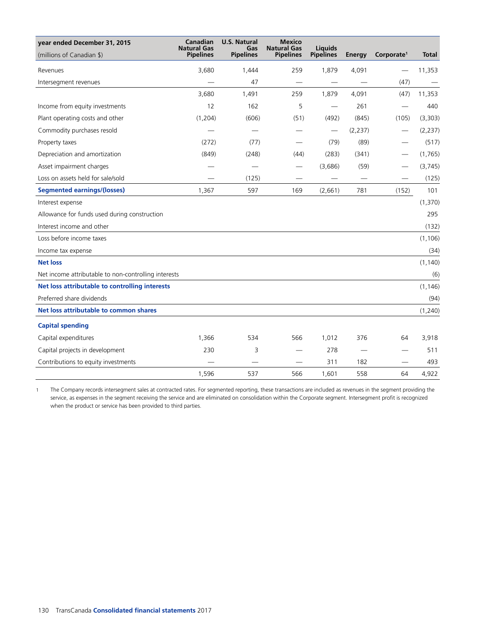| year ended December 31, 2015                         | Canadian<br>Natural Gas | <b>U.S. Natural</b><br>Gas | <b>Mexico</b><br>Natural Gas    | Liquids           |          |                          |              |
|------------------------------------------------------|-------------------------|----------------------------|---------------------------------|-------------------|----------|--------------------------|--------------|
| (millions of Canadian \$)                            | <b>Pipelines</b>        | <b>Pipelines</b>           | <b>Pipelines</b>                | <b>Pipelines</b>  | Energy   | Corporate <sup>1</sup>   | <b>Total</b> |
| Revenues                                             | 3,680                   | 1,444                      | 259                             | 1,879             | 4,091    | $\hspace{0.05cm}$        | 11,353       |
| Intersegment revenues                                |                         | 47                         | $\hspace{0.1mm}-\hspace{0.1mm}$ |                   |          | (47)                     |              |
|                                                      | 3,680                   | 1,491                      | 259                             | 1,879             | 4,091    | (47)                     | 11,353       |
| Income from equity investments                       | 12                      | 162                        | 5                               |                   | 261      | $\overline{\phantom{0}}$ | 440          |
| Plant operating costs and other                      | (1,204)                 | (606)                      | (51)                            | (492)             | (845)    | (105)                    | (3,303)      |
| Commodity purchases resold                           |                         |                            |                                 | $\hspace{0.05cm}$ | (2, 237) |                          | (2, 237)     |
| Property taxes                                       | (272)                   | (77)                       |                                 | (79)              | (89)     |                          | (517)        |
| Depreciation and amortization                        | (849)                   | (248)                      | (44)                            | (283)             | (341)    |                          | (1,765)      |
| Asset impairment charges                             |                         |                            |                                 | (3,686)           | (59)     |                          | (3,745)      |
| Loss on assets held for sale/sold                    |                         | (125)                      |                                 |                   |          |                          | (125)        |
| <b>Segmented earnings/(losses)</b>                   | 1,367                   | 597                        | 169                             | (2,661)           | 781      | (152)                    | 101          |
| Interest expense                                     |                         |                            |                                 |                   |          |                          | (1,370)      |
| Allowance for funds used during construction         |                         |                            |                                 |                   |          |                          | 295          |
| Interest income and other                            |                         |                            |                                 |                   |          |                          | (132)        |
| Loss before income taxes                             |                         |                            |                                 |                   |          |                          | (1, 106)     |
| Income tax expense                                   |                         |                            |                                 |                   |          |                          | (34)         |
| <b>Net loss</b>                                      |                         |                            |                                 |                   |          |                          | (1, 140)     |
| Net income attributable to non-controlling interests |                         |                            |                                 |                   |          |                          | (6)          |
| Net loss attributable to controlling interests       |                         |                            |                                 |                   |          |                          | (1, 146)     |
| Preferred share dividends                            |                         |                            |                                 |                   |          |                          | (94)         |
| Net loss attributable to common shares               |                         |                            |                                 |                   |          |                          | (1,240)      |
| <b>Capital spending</b>                              |                         |                            |                                 |                   |          |                          |              |
| Capital expenditures                                 | 1,366                   | 534                        | 566                             | 1,012             | 376      | 64                       | 3,918        |
| Capital projects in development                      | 230                     | 3                          |                                 | 278               |          |                          | 511          |
| Contributions to equity investments                  |                         |                            |                                 | 311               | 182      |                          | 493          |
|                                                      | 1,596                   | 537                        | 566                             | 1,601             | 558      | 64                       | 4,922        |

1 The Company records intersegment sales at contracted rates. For segmented reporting, these transactions are included as revenues in the segment providing the service, as expenses in the segment receiving the service and are eliminated on consolidation within the Corporate segment. Intersegment profit is recognized when the product or service has been provided to third parties.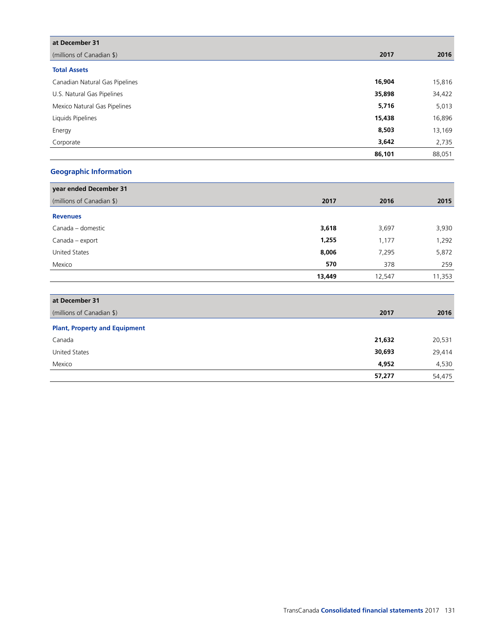| at December 31                 |        |        |
|--------------------------------|--------|--------|
| (millions of Canadian \$)      | 2017   | 2016   |
| <b>Total Assets</b>            |        |        |
| Canadian Natural Gas Pipelines | 16,904 | 15,816 |
| U.S. Natural Gas Pipelines     | 35,898 | 34,422 |
| Mexico Natural Gas Pipelines   | 5,716  | 5,013  |
| Liquids Pipelines              | 15,438 | 16,896 |
| Energy                         | 8,503  | 13,169 |
| Corporate                      | 3,642  | 2,735  |
|                                | 86,101 | 88,051 |

# **Geographic Information**

| year ended December 31               |        |        |        |
|--------------------------------------|--------|--------|--------|
| (millions of Canadian \$)            | 2017   | 2016   | 2015   |
| <b>Revenues</b>                      |        |        |        |
| Canada - domestic                    | 3,618  | 3,697  | 3,930  |
| Canada – export                      | 1,255  | 1,177  | 1,292  |
| <b>United States</b>                 | 8,006  | 7,295  | 5,872  |
| Mexico                               | 570    | 378    | 259    |
|                                      | 13,449 | 12,547 | 11,353 |
|                                      |        |        |        |
| at December 31                       |        |        |        |
| (millions of Canadian \$)            |        | 2017   | 2016   |
| <b>Plant, Property and Equipment</b> |        |        |        |
| Canada                               |        | 21,632 | 20,531 |
| <b>United States</b>                 |        | 30,693 | 29,414 |
| Mexico                               |        | 4,952  | 4,530  |
|                                      |        | 57,277 | 54,475 |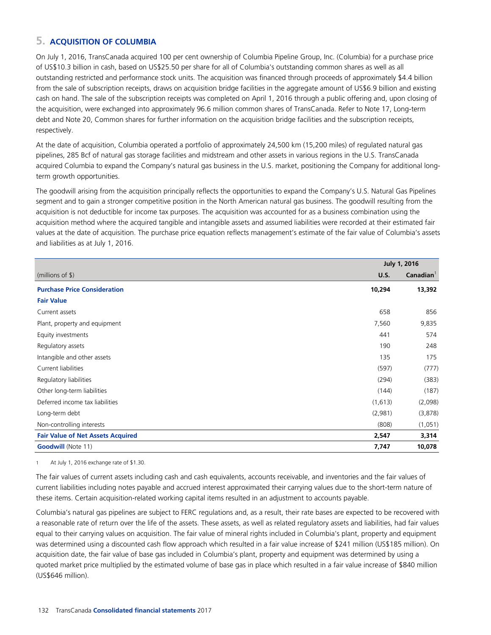# **5. ACQUISITION OF COLUMBIA**

On July 1, 2016, TransCanada acquired 100 per cent ownership of Columbia Pipeline Group, Inc. (Columbia) for a purchase price of US\$10.3 billion in cash, based on US\$25.50 per share for all of Columbia's outstanding common shares as well as all outstanding restricted and performance stock units. The acquisition was financed through proceeds of approximately \$4.4 billion from the sale of subscription receipts, draws on acquisition bridge facilities in the aggregate amount of US\$6.9 billion and existing cash on hand. The sale of the subscription receipts was completed on April 1, 2016 through a public offering and, upon closing of the acquisition, were exchanged into approximately 96.6 million common shares of TransCanada. Refer to Note 17, Long-term debt and Note 20, Common shares for further information on the acquisition bridge facilities and the subscription receipts, respectively.

At the date of acquisition, Columbia operated a portfolio of approximately 24,500 km (15,200 miles) of regulated natural gas pipelines, 285 Bcf of natural gas storage facilities and midstream and other assets in various regions in the U.S. TransCanada acquired Columbia to expand the Company's natural gas business in the U.S. market, positioning the Company for additional longterm growth opportunities.

The goodwill arising from the acquisition principally reflects the opportunities to expand the Company's U.S. Natural Gas Pipelines segment and to gain a stronger competitive position in the North American natural gas business. The goodwill resulting from the acquisition is not deductible for income tax purposes. The acquisition was accounted for as a business combination using the acquisition method where the acquired tangible and intangible assets and assumed liabilities were recorded at their estimated fair values at the date of acquisition. The purchase price equation reflects management's estimate of the fair value of Columbia's assets and liabilities as at July 1, 2016.

|         | <b>July 1, 2016</b>   |
|---------|-----------------------|
| U.S.    | Canadian <sup>1</sup> |
| 10,294  | 13,392                |
|         |                       |
| 658     | 856                   |
| 7,560   | 9,835                 |
| 441     | 574                   |
| 190     | 248                   |
| 135     | 175                   |
| (597)   | (777)                 |
| (294)   | (383)                 |
| (144)   | (187)                 |
| (1,613) | (2,098)               |
| (2,981) | (3,878)               |
| (808)   | (1,051)               |
| 2,547   | 3,314                 |
| 7,747   | 10,078                |
|         |                       |

#### 1 At July 1, 2016 exchange rate of \$1.30.

The fair values of current assets including cash and cash equivalents, accounts receivable, and inventories and the fair values of current liabilities including notes payable and accrued interest approximated their carrying values due to the short-term nature of these items. Certain acquisition-related working capital items resulted in an adjustment to accounts payable.

Columbia's natural gas pipelines are subject to FERC regulations and, as a result, their rate bases are expected to be recovered with a reasonable rate of return over the life of the assets. These assets, as well as related regulatory assets and liabilities, had fair values equal to their carrying values on acquisition. The fair value of mineral rights included in Columbia's plant, property and equipment was determined using a discounted cash flow approach which resulted in a fair value increase of \$241 million (US\$185 million). On acquisition date, the fair value of base gas included in Columbia's plant, property and equipment was determined by using a quoted market price multiplied by the estimated volume of base gas in place which resulted in a fair value increase of \$840 million (US\$646 million).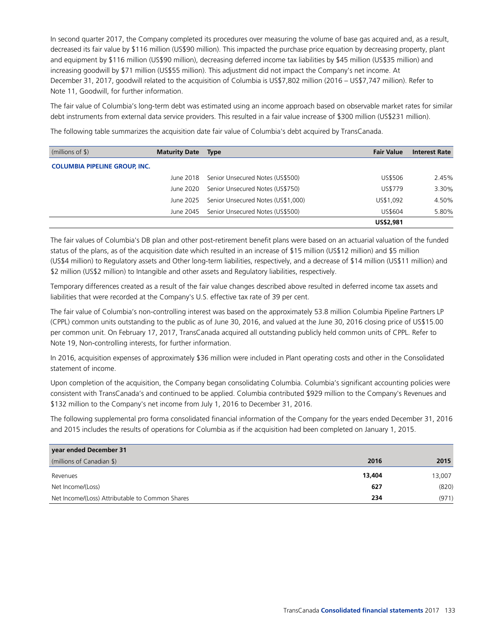In second quarter 2017, the Company completed its procedures over measuring the volume of base gas acquired and, as a result, decreased its fair value by \$116 million (US\$90 million). This impacted the purchase price equation by decreasing property, plant and equipment by \$116 million (US\$90 million), decreasing deferred income tax liabilities by \$45 million (US\$35 million) and increasing goodwill by \$71 million (US\$55 million). This adjustment did not impact the Company's net income. At December 31, 2017, goodwill related to the acquisition of Columbia is US\$7,802 million (2016 – US\$7,747 million). Refer to Note 11, Goodwill, for further information.

The fair value of Columbia's long-term debt was estimated using an income approach based on observable market rates for similar debt instruments from external data service providers. This resulted in a fair value increase of \$300 million (US\$231 million).

The following table summarizes the acquisition date fair value of Columbia's debt acquired by TransCanada.

| (millions of $$$ )                   | <b>Maturity Date</b> | <b>Type</b>                                | <b>Fair Value</b> | <b>Interest Rate</b> |
|--------------------------------------|----------------------|--------------------------------------------|-------------------|----------------------|
| <b>COLUMBIA PIPELINE GROUP, INC.</b> |                      |                                            |                   |                      |
|                                      | June 2018            | Senior Unsecured Notes (US\$500)           | US\$506           | 2.45%                |
|                                      | June 2020            | Senior Unsecured Notes (US\$750)           | US\$779           | 3.30%                |
|                                      | June 2025            | Senior Unsecured Notes (US\$1,000)         | US\$1,092         | 4.50%                |
|                                      |                      | June 2045 Senior Unsecured Notes (US\$500) | US\$604           | 5.80%                |
|                                      |                      |                                            | US\$2,981         |                      |

The fair values of Columbia's DB plan and other post-retirement benefit plans were based on an actuarial valuation of the funded status of the plans, as of the acquisition date which resulted in an increase of \$15 million (US\$12 million) and \$5 million (US\$4 million) to Regulatory assets and Other long-term liabilities, respectively, and a decrease of \$14 million (US\$11 million) and \$2 million (US\$2 million) to Intangible and other assets and Regulatory liabilities, respectively.

Temporary differences created as a result of the fair value changes described above resulted in deferred income tax assets and liabilities that were recorded at the Company's U.S. effective tax rate of 39 per cent.

The fair value of Columbia's non-controlling interest was based on the approximately 53.8 million Columbia Pipeline Partners LP (CPPL) common units outstanding to the public as of June 30, 2016, and valued at the June 30, 2016 closing price of US\$15.00 per common unit. On February 17, 2017, TransCanada acquired all outstanding publicly held common units of CPPL. Refer to Note 19, Non-controlling interests, for further information.

In 2016, acquisition expenses of approximately \$36 million were included in Plant operating costs and other in the Consolidated statement of income.

Upon completion of the acquisition, the Company began consolidating Columbia. Columbia's significant accounting policies were consistent with TransCanada's and continued to be applied. Columbia contributed \$929 million to the Company's Revenues and \$132 million to the Company's net income from July 1, 2016 to December 31, 2016.

The following supplemental pro forma consolidated financial information of the Company for the years ended December 31, 2016 and 2015 includes the results of operations for Columbia as if the acquisition had been completed on January 1, 2015.

| year ended December 31                          |        |        |
|-------------------------------------------------|--------|--------|
| (millions of Canadian \$)                       | 2016   | 2015   |
| Revenues                                        | 13,404 | 13,007 |
| Net Income/(Loss)                               | 627    | (820)  |
| Net Income/(Loss) Attributable to Common Shares | 234    | (971)  |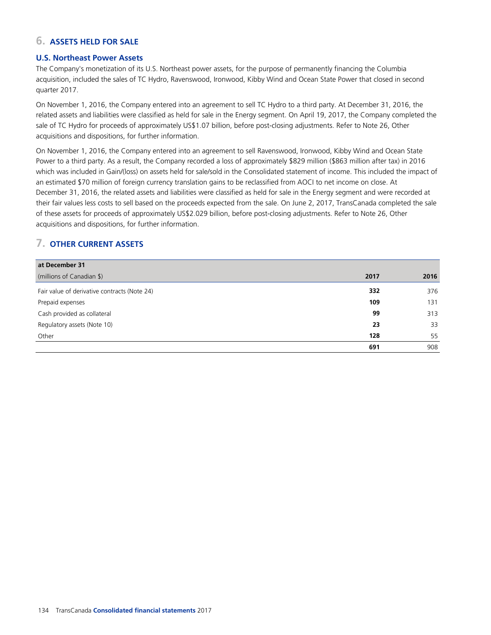# **6. ASSETS HELD FOR SALE**

# **U.S. Northeast Power Assets**

The Company's monetization of its U.S. Northeast power assets, for the purpose of permanently financing the Columbia acquisition, included the sales of TC Hydro, Ravenswood, Ironwood, Kibby Wind and Ocean State Power that closed in second quarter 2017.

On November 1, 2016, the Company entered into an agreement to sell TC Hydro to a third party. At December 31, 2016, the related assets and liabilities were classified as held for sale in the Energy segment. On April 19, 2017, the Company completed the sale of TC Hydro for proceeds of approximately US\$1.07 billion, before post-closing adjustments. Refer to Note 26, Other acquisitions and dispositions, for further information.

On November 1, 2016, the Company entered into an agreement to sell Ravenswood, Ironwood, Kibby Wind and Ocean State Power to a third party. As a result, the Company recorded a loss of approximately \$829 million (\$863 million after tax) in 2016 which was included in Gain/(loss) on assets held for sale/sold in the Consolidated statement of income. This included the impact of an estimated \$70 million of foreign currency translation gains to be reclassified from AOCI to net income on close. At December 31, 2016, the related assets and liabilities were classified as held for sale in the Energy segment and were recorded at their fair values less costs to sell based on the proceeds expected from the sale. On June 2, 2017, TransCanada completed the sale of these assets for proceeds of approximately US\$2.029 billion, before post-closing adjustments. Refer to Note 26, Other acquisitions and dispositions, for further information.

# **7. OTHER CURRENT ASSETS**

| at December 31                               |      |      |
|----------------------------------------------|------|------|
| (millions of Canadian \$)                    | 2017 | 2016 |
| Fair value of derivative contracts (Note 24) | 332  | 376  |
| Prepaid expenses                             | 109  | 131  |
| Cash provided as collateral                  | 99   | 313  |
| Regulatory assets (Note 10)                  | 23   | 33   |
| Other                                        | 128  | 55   |
|                                              | 691  | 908  |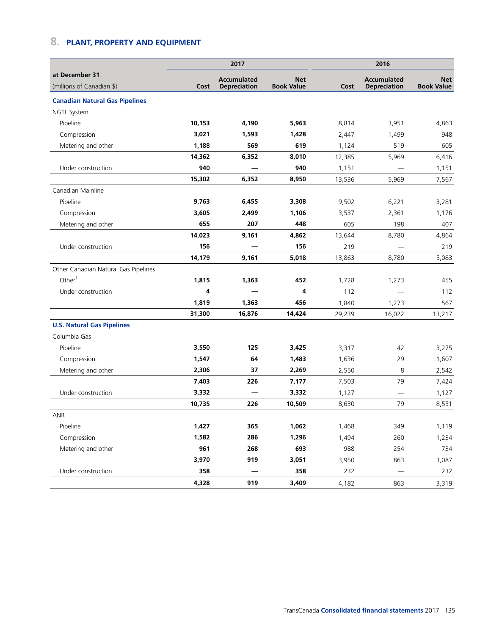# **8. PLANT, PROPERTY AND EQUIPMENT**

|                                             |        | 2017                                      |                                 |        | 2016                                      |                                 |
|---------------------------------------------|--------|-------------------------------------------|---------------------------------|--------|-------------------------------------------|---------------------------------|
| at December 31<br>(millions of Canadian \$) | Cost   | <b>Accumulated</b><br><b>Depreciation</b> | <b>Net</b><br><b>Book Value</b> | Cost   | <b>Accumulated</b><br><b>Depreciation</b> | <b>Net</b><br><b>Book Value</b> |
| <b>Canadian Natural Gas Pipelines</b>       |        |                                           |                                 |        |                                           |                                 |
| NGTL System                                 |        |                                           |                                 |        |                                           |                                 |
| Pipeline                                    | 10,153 | 4,190                                     | 5,963                           | 8,814  | 3,951                                     | 4,863                           |
| Compression                                 | 3,021  | 1,593                                     | 1,428                           | 2,447  | 1,499                                     | 948                             |
| Metering and other                          | 1,188  | 569                                       | 619                             | 1,124  | 519                                       | 605                             |
|                                             | 14,362 | 6,352                                     | 8,010                           | 12,385 | 5,969                                     | 6,416                           |
| Under construction                          | 940    |                                           | 940                             | 1,151  |                                           | 1,151                           |
|                                             | 15,302 | 6,352                                     | 8,950                           | 13,536 | 5,969                                     | 7,567                           |
| Canadian Mainline                           |        |                                           |                                 |        |                                           |                                 |
| Pipeline                                    | 9,763  | 6,455                                     | 3,308                           | 9,502  | 6,221                                     | 3,281                           |
| Compression                                 | 3,605  | 2,499                                     | 1,106                           | 3,537  | 2,361                                     | 1,176                           |
| Metering and other                          | 655    | 207                                       | 448                             | 605    | 198                                       | 407                             |
|                                             | 14,023 | 9,161                                     | 4,862                           | 13,644 | 8,780                                     | 4,864                           |
| Under construction                          | 156    |                                           | 156                             | 219    |                                           | 219                             |
|                                             | 14,179 | 9,161                                     | 5,018                           | 13,863 | 8,780                                     | 5,083                           |
| Other Canadian Natural Gas Pipelines        |        |                                           |                                 |        |                                           |                                 |
| Other <sup>1</sup>                          | 1,815  | 1,363                                     | 452                             | 1,728  | 1,273                                     | 455                             |
| Under construction                          | 4      |                                           | 4                               | 112    |                                           | 112                             |
|                                             | 1,819  | 1,363                                     | 456                             | 1,840  | 1,273                                     | 567                             |
|                                             | 31,300 | 16,876                                    | 14,424                          | 29,239 | 16,022                                    | 13,217                          |
| <b>U.S. Natural Gas Pipelines</b>           |        |                                           |                                 |        |                                           |                                 |
| Columbia Gas                                |        |                                           |                                 |        |                                           |                                 |
| Pipeline                                    | 3,550  | 125                                       | 3,425                           | 3,317  | 42                                        | 3,275                           |
| Compression                                 | 1,547  | 64                                        | 1,483                           | 1,636  | 29                                        | 1,607                           |
| Metering and other                          | 2,306  | 37                                        | 2,269                           | 2,550  | 8                                         | 2,542                           |
|                                             | 7,403  | 226                                       | 7,177                           | 7,503  | 79                                        | 7,424                           |
| Under construction                          | 3,332  |                                           | 3,332                           | 1,127  |                                           | 1,127                           |
|                                             | 10,735 | 226                                       | 10,509                          | 8,630  | 79                                        | 8,551                           |
| ANR                                         |        |                                           |                                 |        |                                           |                                 |
| Pipeline                                    | 1,427  | 365                                       | 1,062                           | 1,468  | 349                                       | 1,119                           |
| Compression                                 | 1,582  | 286                                       | 1,296                           | 1,494  | 260                                       | 1,234                           |
| Metering and other                          | 961    | 268                                       | 693                             | 988    | 254                                       | 734                             |
|                                             | 3,970  | 919                                       | 3,051                           | 3,950  | 863                                       | 3,087                           |
| Under construction                          | 358    | $\overline{\phantom{0}}$                  | 358                             | 232    |                                           | 232                             |
|                                             | 4,328  | 919                                       | 3,409                           | 4,182  | 863                                       | 3,319                           |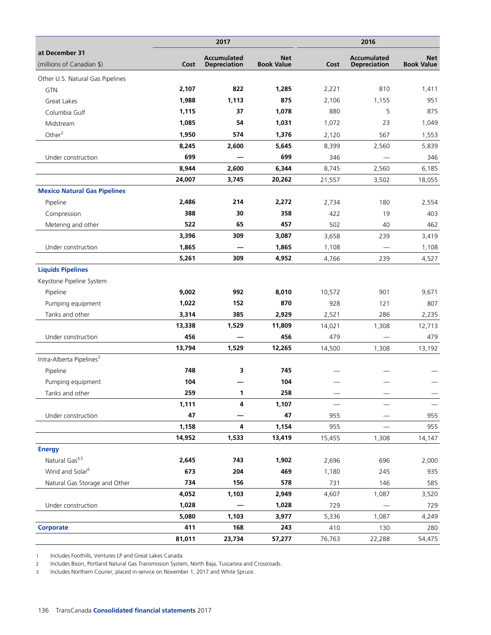|                                             |        | 2017                                      |                                 |        | 2016                                      |                                 |
|---------------------------------------------|--------|-------------------------------------------|---------------------------------|--------|-------------------------------------------|---------------------------------|
| at December 31<br>(millions of Canadian \$) | Cost   | <b>Accumulated</b><br><b>Depreciation</b> | <b>Net</b><br><b>Book Value</b> | Cost   | <b>Accumulated</b><br><b>Depreciation</b> | <b>Net</b><br><b>Book Value</b> |
| Other U.S. Natural Gas Pipelines            |        |                                           |                                 |        |                                           |                                 |
| <b>GTN</b>                                  | 2,107  | 822                                       | 1,285                           | 2,221  | 810                                       | 1,411                           |
| Great Lakes                                 | 1,988  | 1,113                                     | 875                             | 2,106  | 1,155                                     | 951                             |
| Columbia Gulf                               | 1,115  | 37                                        | 1,078                           | 880    | 5                                         | 875                             |
| Midstream                                   | 1,085  | 54                                        | 1,031                           | 1,072  | 23                                        | 1,049                           |
| Other <sup>2</sup>                          | 1,950  | 574                                       | 1,376                           | 2,120  | 567                                       | 1,553                           |
|                                             | 8,245  | 2,600                                     | 5,645                           | 8,399  | 2,560                                     | 5,839                           |
| Under construction                          | 699    |                                           | 699                             | 346    | $\overline{\phantom{0}}$                  | 346                             |
|                                             | 8,944  | 2,600                                     | 6,344                           | 8,745  | 2,560                                     | 6,185                           |
|                                             | 24,007 | 3,745                                     | 20,262                          | 21,557 | 3,502                                     | 18,055                          |
| <b>Mexico Natural Gas Pipelines</b>         |        |                                           |                                 |        |                                           |                                 |
| Pipeline                                    | 2,486  | 214                                       | 2,272                           | 2,734  | 180                                       | 2,554                           |
| Compression                                 | 388    | 30                                        | 358                             | 422    | 19                                        | 403                             |
| Metering and other                          | 522    | 65                                        | 457                             | 502    | 40                                        | 462                             |
|                                             | 3,396  | 309                                       | 3,087                           | 3,658  | 239                                       | 3,419                           |
| Under construction                          | 1,865  |                                           | 1,865                           | 1,108  |                                           | 1,108                           |
|                                             | 5,261  | 309                                       | 4,952                           | 4,766  | 239                                       | 4,527                           |
| <b>Liquids Pipelines</b>                    |        |                                           |                                 |        |                                           |                                 |
| Keystone Pipeline System                    |        |                                           |                                 |        |                                           |                                 |
| Pipeline                                    | 9,002  | 992                                       | 8,010                           | 10,572 | 901                                       | 9,671                           |
| Pumping equipment                           | 1,022  | 152                                       | 870                             | 928    | 121                                       | 807                             |
| Tanks and other                             | 3,314  | 385                                       | 2,929                           | 2,521  | 286                                       | 2,235                           |
|                                             | 13,338 | 1,529                                     | 11,809                          | 14,021 | 1,308                                     | 12,713                          |
| Under construction                          | 456    |                                           | 456                             | 479    |                                           | 479                             |
|                                             | 13,794 | 1,529                                     | 12,265                          | 14,500 | 1,308                                     | 13,192                          |
| Intra-Alberta Pipelines <sup>3</sup>        |        |                                           |                                 |        |                                           |                                 |
| Pipeline                                    | 748    | 3                                         | 745                             |        |                                           |                                 |
| Pumping equipment                           | 104    |                                           | 104                             |        |                                           |                                 |
| Tanks and other                             | 259    | 1                                         | 258                             |        |                                           |                                 |
|                                             | 1,111  | 4                                         | 1,107                           |        |                                           |                                 |
| Under construction                          | 47     |                                           | 47                              | 955    |                                           | 955                             |
|                                             | 1,158  | 4                                         | 1,154                           | 955    |                                           | 955                             |
|                                             | 14,952 | 1,533                                     | 13,419                          | 15,455 | 1,308                                     | 14,147                          |
| <b>Energy</b>                               |        |                                           |                                 |        |                                           |                                 |
| Natural Gas <sup>4,5</sup>                  | 2,645  | 743                                       | 1,902                           | 2,696  | 696                                       | 2,000                           |
| Wind and Solar <sup>6</sup>                 | 673    | 204                                       | 469                             | 1,180  | 245                                       | 935                             |
| Natural Gas Storage and Other               | 734    | 156                                       | 578                             | 731    | 146                                       | 585                             |
|                                             | 4,052  | 1,103                                     | 2,949                           | 4,607  | 1,087                                     | 3,520                           |
| Under construction                          | 1,028  |                                           | 1,028                           | 729    |                                           | 729                             |
|                                             | 5,080  | 1,103                                     | 3,977                           | 5,336  | 1,087                                     | 4,249                           |
| Corporate                                   | 411    | 168                                       | 243                             | 410    | 130                                       | 280                             |
|                                             | 81,011 | 23,734                                    | 57,277                          | 76,763 | 22,288                                    | 54,475                          |

1 Includes Foothills, Ventures LP and Great Lakes Canada.

2 Includes Bison, Portland Natural Gas Transmission System, North Baja, Tuscarora and Crossroads.

3 Includes Northern Courier, placed in-service on November 1, 2017 and White Spruce.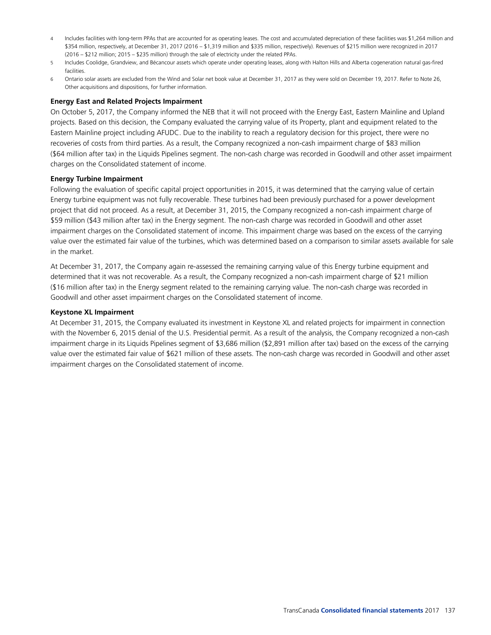- 4 Includes facilities with long-term PPAs that are accounted for as operating leases. The cost and accumulated depreciation of these facilities was \$1,264 million and \$354 million, respectively, at December 31, 2017 (2016 – \$1,319 million and \$335 million, respectively). Revenues of \$215 million were recognized in 2017 (2016 – \$212 million; 2015 – \$235 million) through the sale of electricity under the related PPAs.
- 5 Includes Coolidge, Grandview, and Bécancour assets which operate under operating leases, along with Halton Hills and Alberta cogeneration natural gas-fired facilities.
- 6 Ontario solar assets are excluded from the Wind and Solar net book value at December 31, 2017 as they were sold on December 19, 2017. Refer to Note 26, Other acquisitions and dispositions, for further information.

### **Energy East and Related Projects Impairment**

On October 5, 2017, the Company informed the NEB that it will not proceed with the Energy East, Eastern Mainline and Upland projects. Based on this decision, the Company evaluated the carrying value of its Property, plant and equipment related to the Eastern Mainline project including AFUDC. Due to the inability to reach a regulatory decision for this project, there were no recoveries of costs from third parties. As a result, the Company recognized a non-cash impairment charge of \$83 million (\$64 million after tax) in the Liquids Pipelines segment. The non-cash charge was recorded in Goodwill and other asset impairment charges on the Consolidated statement of income.

### **Energy Turbine Impairment**

Following the evaluation of specific capital project opportunities in 2015, it was determined that the carrying value of certain Energy turbine equipment was not fully recoverable. These turbines had been previously purchased for a power development project that did not proceed. As a result, at December 31, 2015, the Company recognized a non-cash impairment charge of \$59 million (\$43 million after tax) in the Energy segment. The non-cash charge was recorded in Goodwill and other asset impairment charges on the Consolidated statement of income. This impairment charge was based on the excess of the carrying value over the estimated fair value of the turbines, which was determined based on a comparison to similar assets available for sale in the market.

At December 31, 2017, the Company again re-assessed the remaining carrying value of this Energy turbine equipment and determined that it was not recoverable. As a result, the Company recognized a non-cash impairment charge of \$21 million (\$16 million after tax) in the Energy segment related to the remaining carrying value. The non-cash charge was recorded in Goodwill and other asset impairment charges on the Consolidated statement of income.

### **Keystone XL Impairment**

At December 31, 2015, the Company evaluated its investment in Keystone XL and related projects for impairment in connection with the November 6, 2015 denial of the U.S. Presidential permit. As a result of the analysis, the Company recognized a non-cash impairment charge in its Liquids Pipelines segment of \$3,686 million (\$2,891 million after tax) based on the excess of the carrying value over the estimated fair value of \$621 million of these assets. The non-cash charge was recorded in Goodwill and other asset impairment charges on the Consolidated statement of income.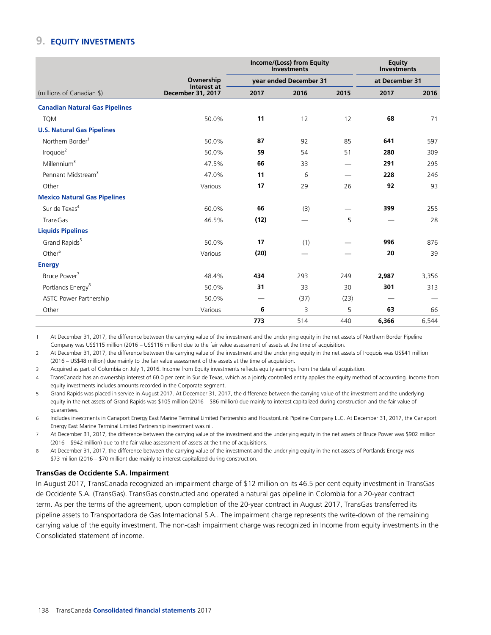# **9. EQUITY INVESTMENTS**

|                                       |                                         |                        | Income/(Loss) from Equity<br><b>Investments</b> |      | Equity<br><b>Investments</b> |       |
|---------------------------------------|-----------------------------------------|------------------------|-------------------------------------------------|------|------------------------------|-------|
|                                       | Ownership                               | vear ended December 31 |                                                 |      | at December 31               |       |
| (millions of Canadian \$)             | Interest at<br><b>December 31, 2017</b> | 2017                   | 2016                                            | 2015 | 2017                         | 2016  |
| <b>Canadian Natural Gas Pipelines</b> |                                         |                        |                                                 |      |                              |       |
| <b>TOM</b>                            | 50.0%                                   | 11                     | 12                                              | 12   | 68                           | 71    |
| <b>U.S. Natural Gas Pipelines</b>     |                                         |                        |                                                 |      |                              |       |
| Northern Border <sup>1</sup>          | 50.0%                                   | 87                     | 92                                              | 85   | 641                          | 597   |
| Iroquois <sup>2</sup>                 | 50.0%                                   | 59                     | 54                                              | 51   | 280                          | 309   |
| Millennium <sup>3</sup>               | 47.5%                                   | 66                     | 33                                              |      | 291                          | 295   |
| Pennant Midstream <sup>3</sup>        | 47.0%                                   | 11                     | 6                                               |      | 228                          | 246   |
| Other                                 | Various                                 | 17                     | 29                                              | 26   | 92                           | 93    |
| <b>Mexico Natural Gas Pipelines</b>   |                                         |                        |                                                 |      |                              |       |
| Sur de Texas <sup>4</sup>             | 60.0%                                   | 66                     | (3)                                             |      | 399                          | 255   |
| TransGas                              | 46.5%                                   | (12)                   |                                                 | 5    |                              | 28    |
| <b>Liquids Pipelines</b>              |                                         |                        |                                                 |      |                              |       |
| Grand Rapids <sup>5</sup>             | 50.0%                                   | 17                     | (1)                                             |      | 996                          | 876   |
| Other <sup>6</sup>                    | Various                                 | (20)                   |                                                 |      | 20                           | 39    |
| <b>Energy</b>                         |                                         |                        |                                                 |      |                              |       |
| Bruce Power <sup>7</sup>              | 48.4%                                   | 434                    | 293                                             | 249  | 2,987                        | 3,356 |
| Portlands Energy <sup>8</sup>         | 50.0%                                   | 31                     | 33                                              | 30   | 301                          | 313   |
| ASTC Power Partnership                | 50.0%                                   |                        | (37)                                            | (23) |                              |       |
| Other                                 | Various                                 | 6                      | 3                                               | 5    | 63                           | 66    |
|                                       |                                         | 773                    | 514                                             | 440  | 6,366                        | 6,544 |

1 At December 31, 2017, the difference between the carrying value of the investment and the underlying equity in the net assets of Northern Border Pipeline Company was US\$115 million (2016 – US\$116 million) due to the fair value assessment of assets at the time of acquisition.

2 At December 31, 2017, the difference between the carrying value of the investment and the underlying equity in the net assets of Iroquois was US\$41 million (2016 – US\$48 million) due mainly to the fair value assessment of the assets at the time of acquisition.

3 Acquired as part of Columbia on July 1, 2016. Income from Equity investments reflects equity earnings from the date of acquisition.

4 TransCanada has an ownership interest of 60.0 per cent in Sur de Texas, which as a jointly controlled entity applies the equity method of accounting. Income from equity investments includes amounts recorded in the Corporate segment.

- 5 Grand Rapids was placed in service in August 2017. At December 31, 2017, the difference between the carrying value of the investment and the underlying equity in the net assets of Grand Rapids was \$105 million (2016 – \$86 million) due mainly to interest capitalized during construction and the fair value of guarantees.
- 6 Includes investments in Canaport Energy East Marine Terminal Limited Partnership and HoustonLink Pipeline Company LLC. At December 31, 2017, the Canaport Energy East Marine Terminal Limited Partnership investment was nil.

7 At December 31, 2017, the difference between the carrying value of the investment and the underlying equity in the net assets of Bruce Power was \$902 million (2016 – \$942 million) due to the fair value assessment of assets at the time of acquisitions.

8 At December 31, 2017, the difference between the carrying value of the investment and the underlying equity in the net assets of Portlands Energy was \$73 million (2016 – \$70 million) due mainly to interest capitalized during construction.

## **TransGas de Occidente S.A. Impairment**

In August 2017, TransCanada recognized an impairment charge of \$12 million on its 46.5 per cent equity investment in TransGas de Occidente S.A. (TransGas). TransGas constructed and operated a natural gas pipeline in Colombia for a 20-year contract term. As per the terms of the agreement, upon completion of the 20-year contract in August 2017, TransGas transferred its pipeline assets to Transportadora de Gas Internacional S.A.. The impairment charge represents the write-down of the remaining carrying value of the equity investment. The non-cash impairment charge was recognized in Income from equity investments in the Consolidated statement of income.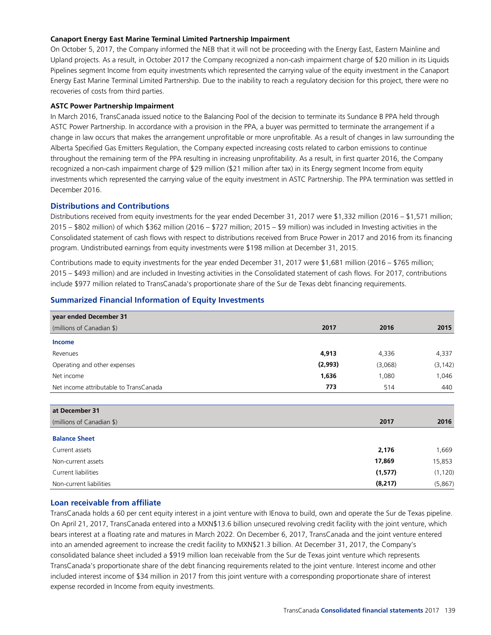### **Canaport Energy East Marine Terminal Limited Partnership Impairment**

On October 5, 2017, the Company informed the NEB that it will not be proceeding with the Energy East, Eastern Mainline and Upland projects. As a result, in October 2017 the Company recognized a non-cash impairment charge of \$20 million in its Liquids Pipelines segment Income from equity investments which represented the carrying value of the equity investment in the Canaport Energy East Marine Terminal Limited Partnership. Due to the inability to reach a regulatory decision for this project, there were no recoveries of costs from third parties.

### **ASTC Power Partnership Impairment**

In March 2016, TransCanada issued notice to the Balancing Pool of the decision to terminate its Sundance B PPA held through ASTC Power Partnership. In accordance with a provision in the PPA, a buyer was permitted to terminate the arrangement if a change in law occurs that makes the arrangement unprofitable or more unprofitable. As a result of changes in law surrounding the Alberta Specified Gas Emitters Regulation, the Company expected increasing costs related to carbon emissions to continue throughout the remaining term of the PPA resulting in increasing unprofitability. As a result, in first quarter 2016, the Company recognized a non-cash impairment charge of \$29 million (\$21 million after tax) in its Energy segment Income from equity investments which represented the carrying value of the equity investment in ASTC Partnership. The PPA termination was settled in December 2016.

# **Distributions and Contributions**

Distributions received from equity investments for the year ended December 31, 2017 were \$1,332 million (2016 – \$1,571 million; 2015 – \$802 million) of which \$362 million (2016 – \$727 million; 2015 – \$9 million) was included in Investing activities in the Consolidated statement of cash flows with respect to distributions received from Bruce Power in 2017 and 2016 from its financing program. Undistributed earnings from equity investments were \$198 million at December 31, 2015.

Contributions made to equity investments for the year ended December 31, 2017 were \$1,681 million (2016 – \$765 million; 2015 – \$493 million) and are included in Investing activities in the Consolidated statement of cash flows. For 2017, contributions include \$977 million related to TransCanada's proportionate share of the Sur de Texas debt financing requirements.

|  |  | <b>Summarized Financial Information of Equity Investments</b> |  |  |
|--|--|---------------------------------------------------------------|--|--|
|--|--|---------------------------------------------------------------|--|--|

| year ended December 31                 |         |          |          |
|----------------------------------------|---------|----------|----------|
| (millions of Canadian \$)              | 2017    | 2016     | 2015     |
| <b>Income</b>                          |         |          |          |
| Revenues                               | 4,913   | 4,336    | 4,337    |
| Operating and other expenses           | (2,993) | (3,068)  | (3, 142) |
| Net income                             | 1,636   | 1,080    | 1,046    |
| Net income attributable to TransCanada | 773     | 514      | 440      |
|                                        |         |          |          |
| at December 31                         |         |          |          |
| (millions of Canadian \$)              |         | 2017     | 2016     |
| <b>Balance Sheet</b>                   |         |          |          |
| Current assets                         |         | 2,176    | 1,669    |
| Non-current assets                     |         | 17,869   | 15,853   |
| Current liabilities                    |         | (1, 577) | (1, 120) |
| Non-current liabilities                |         | (8,217)  | (5,867)  |

## **Loan receivable from affiliate**

TransCanada holds a 60 per cent equity interest in a joint venture with IEnova to build, own and operate the Sur de Texas pipeline. On April 21, 2017, TransCanada entered into a MXN\$13.6 billion unsecured revolving credit facility with the joint venture, which bears interest at a floating rate and matures in March 2022. On December 6, 2017, TransCanada and the joint venture entered into an amended agreement to increase the credit facility to MXN\$21.3 billion. At December 31, 2017, the Company's consolidated balance sheet included a \$919 million loan receivable from the Sur de Texas joint venture which represents TransCanada's proportionate share of the debt financing requirements related to the joint venture. Interest income and other included interest income of \$34 million in 2017 from this joint venture with a corresponding proportionate share of interest expense recorded in Income from equity investments.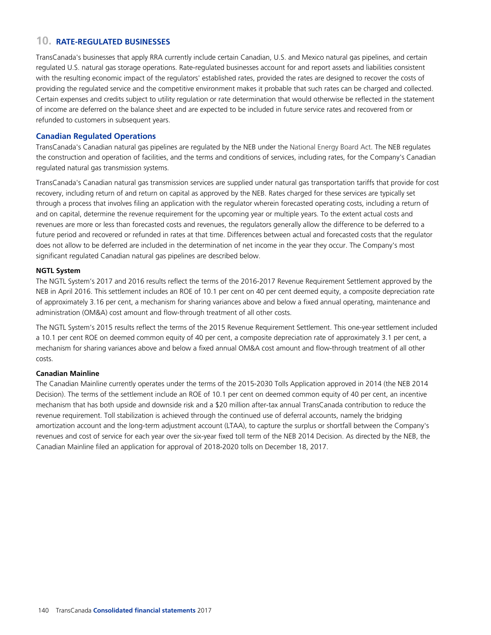# **10. RATE-REGULATED BUSINESSES**

TransCanada's businesses that apply RRA currently include certain Canadian, U.S. and Mexico natural gas pipelines, and certain regulated U.S. natural gas storage operations. Rate-regulated businesses account for and report assets and liabilities consistent with the resulting economic impact of the regulators' established rates, provided the rates are designed to recover the costs of providing the regulated service and the competitive environment makes it probable that such rates can be charged and collected. Certain expenses and credits subject to utility regulation or rate determination that would otherwise be reflected in the statement of income are deferred on the balance sheet and are expected to be included in future service rates and recovered from or refunded to customers in subsequent years.

### **Canadian Regulated Operations**

TransCanada's Canadian natural gas pipelines are regulated by the NEB under the National Energy Board Act. The NEB regulates the construction and operation of facilities, and the terms and conditions of services, including rates, for the Company's Canadian regulated natural gas transmission systems.

TransCanada's Canadian natural gas transmission services are supplied under natural gas transportation tariffs that provide for cost recovery, including return of and return on capital as approved by the NEB. Rates charged for these services are typically set through a process that involves filing an application with the regulator wherein forecasted operating costs, including a return of and on capital, determine the revenue requirement for the upcoming year or multiple years. To the extent actual costs and revenues are more or less than forecasted costs and revenues, the regulators generally allow the difference to be deferred to a future period and recovered or refunded in rates at that time. Differences between actual and forecasted costs that the regulator does not allow to be deferred are included in the determination of net income in the year they occur. The Company's most significant regulated Canadian natural gas pipelines are described below.

### **NGTL System**

The NGTL System's 2017 and 2016 results reflect the terms of the 2016-2017 Revenue Requirement Settlement approved by the NEB in April 2016. This settlement includes an ROE of 10.1 per cent on 40 per cent deemed equity, a composite depreciation rate of approximately 3.16 per cent, a mechanism for sharing variances above and below a fixed annual operating, maintenance and administration (OM&A) cost amount and flow-through treatment of all other costs.

The NGTL System's 2015 results reflect the terms of the 2015 Revenue Requirement Settlement. This one-year settlement included a 10.1 per cent ROE on deemed common equity of 40 per cent, a composite depreciation rate of approximately 3.1 per cent, a mechanism for sharing variances above and below a fixed annual OM&A cost amount and flow-through treatment of all other costs.

### **Canadian Mainline**

The Canadian Mainline currently operates under the terms of the 2015-2030 Tolls Application approved in 2014 (the NEB 2014 Decision). The terms of the settlement include an ROE of 10.1 per cent on deemed common equity of 40 per cent, an incentive mechanism that has both upside and downside risk and a \$20 million after-tax annual TransCanada contribution to reduce the revenue requirement. Toll stabilization is achieved through the continued use of deferral accounts, namely the bridging amortization account and the long-term adjustment account (LTAA), to capture the surplus or shortfall between the Company's revenues and cost of service for each year over the six-year fixed toll term of the NEB 2014 Decision. As directed by the NEB, the Canadian Mainline filed an application for approval of 2018-2020 tolls on December 18, 2017.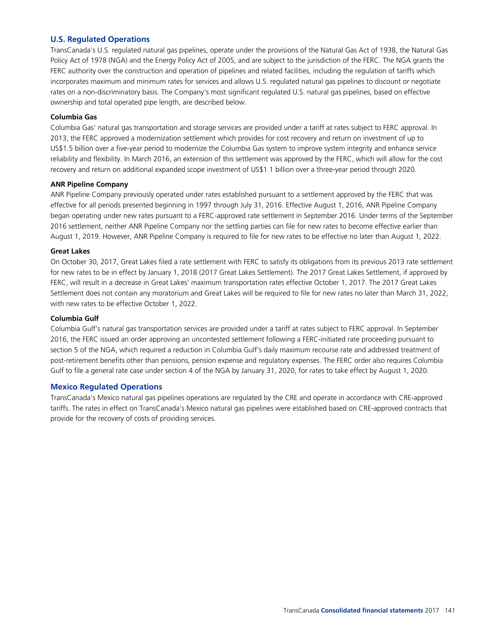## **U.S. Regulated Operations**

TransCanada's U.S. regulated natural gas pipelines, operate under the provisions of the Natural Gas Act of 1938, the Natural Gas Policy Act of 1978 (NGA) and the Energy Policy Act of 2005, and are subject to the jurisdiction of the FERC. The NGA grants the FERC authority over the construction and operation of pipelines and related facilities, including the regulation of tariffs which incorporates maximum and minimum rates for services and allows U.S. regulated natural gas pipelines to discount or negotiate rates on a non-discriminatory basis. The Company's most significant regulated U.S. natural gas pipelines, based on effective ownership and total operated pipe length, are described below.

## **Columbia Gas**

Columbia Gas' natural gas transportation and storage services are provided under a tariff at rates subject to FERC approval. In 2013, the FERC approved a modernization settlement which provides for cost recovery and return on investment of up to US\$1.5 billion over a five-year period to modernize the Columbia Gas system to improve system integrity and enhance service reliability and flexibility. In March 2016, an extension of this settlement was approved by the FERC, which will allow for the cost recovery and return on additional expanded scope investment of US\$1.1 billion over a three-year period through 2020.

#### **ANR Pipeline Company**

ANR Pipeline Company previously operated under rates established pursuant to a settlement approved by the FERC that was effective for all periods presented beginning in 1997 through July 31, 2016. Effective August 1, 2016, ANR Pipeline Company began operating under new rates pursuant to a FERC-approved rate settlement in September 2016. Under terms of the September 2016 settlement, neither ANR Pipeline Company nor the settling parties can file for new rates to become effective earlier than August 1, 2019. However, ANR Pipeline Company is required to file for new rates to be effective no later than August 1, 2022.

#### **Great Lakes**

On October 30, 2017, Great Lakes filed a rate settlement with FERC to satisfy its obligations from its previous 2013 rate settlement for new rates to be in effect by January 1, 2018 (2017 Great Lakes Settlement). The 2017 Great Lakes Settlement, if approved by FERC, will result in a decrease in Great Lakes' maximum transportation rates effective October 1, 2017. The 2017 Great Lakes Settlement does not contain any moratorium and Great Lakes will be required to file for new rates no later than March 31, 2022, with new rates to be effective October 1, 2022.

#### **Columbia Gulf**

Columbia Gulf's natural gas transportation services are provided under a tariff at rates subject to FERC approval. In September 2016, the FERC issued an order approving an uncontested settlement following a FERC-initiated rate proceeding pursuant to section 5 of the NGA, which required a reduction in Columbia Gulf's daily maximum recourse rate and addressed treatment of post-retirement benefits other than pensions, pension expense and regulatory expenses. The FERC order also requires Columbia Gulf to file a general rate case under section 4 of the NGA by January 31, 2020, for rates to take effect by August 1, 2020.

### **Mexico Regulated Operations**

TransCanada's Mexico natural gas pipelines operations are regulated by the CRE and operate in accordance with CRE-approved tariffs. The rates in effect on TransCanada's Mexico natural gas pipelines were established based on CRE-approved contracts that provide for the recovery of costs of providing services.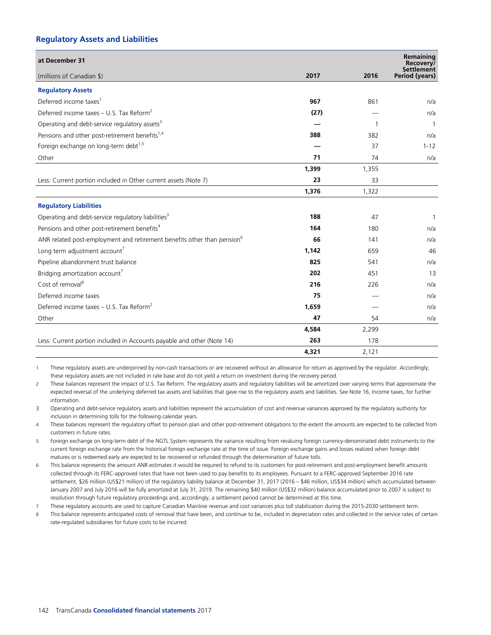# **Regulatory Assets and Liabilities**

| at December 31                                                                      |       |       | Remaining<br>Recovery/       |
|-------------------------------------------------------------------------------------|-------|-------|------------------------------|
| (millions of Canadian \$)                                                           | 2017  | 2016  | Settlement<br>Period (years) |
| <b>Regulatory Assets</b>                                                            |       |       |                              |
| Deferred income taxes <sup>1</sup>                                                  | 967   | 861   | n/a                          |
| Deferred income taxes $-$ U.S. Tax Reform <sup>2</sup>                              | (27)  |       | n/a                          |
| Operating and debt-service regulatory assets <sup>3</sup>                           |       | 1     | $\mathbf{1}$                 |
| Pensions and other post-retirement benefits <sup>1,4</sup>                          | 388   | 382   | n/a                          |
| Foreign exchange on long-term debt <sup>1,5</sup>                                   |       | 37    | $1 - 12$                     |
| Other                                                                               | 71    | 74    | n/a                          |
|                                                                                     | 1,399 | 1,355 |                              |
| Less: Current portion included in Other current assets (Note 7)                     | 23    | 33    |                              |
|                                                                                     | 1,376 | 1,322 |                              |
| <b>Regulatory Liabilities</b>                                                       |       |       |                              |
| Operating and debt-service regulatory liabilities <sup>3</sup>                      | 188   | 47    | 1                            |
| Pensions and other post-retirement benefits <sup>4</sup>                            | 164   | 180   | n/a                          |
| ANR related post-employment and retirement benefits other than pension <sup>6</sup> | 66    | 141   | n/a                          |
| Long term adjustment account <sup>7</sup>                                           | 1,142 | 659   | 46                           |
| Pipeline abandonment trust balance                                                  | 825   | 541   | n/a                          |
| Bridging amortization account <sup>7</sup>                                          | 202   | 451   | 13                           |
| Cost of removal <sup>8</sup>                                                        | 216   | 226   | n/a                          |
| Deferred income taxes                                                               | 75    |       | n/a                          |
| Deferred income taxes $-$ U.S. Tax Reform <sup>2</sup>                              | 1,659 |       | n/a                          |
| Other                                                                               | 47    | 54    | n/a                          |
|                                                                                     | 4,584 | 2,299 |                              |
| Less: Current portion included in Accounts payable and other (Note 14)              | 263   | 178   |                              |
|                                                                                     | 4,321 | 2,121 |                              |

1 These regulatory assets are underpinned by non-cash transactions or are recovered without an allowance for return as approved by the regulator. Accordingly, these regulatory assets are not included in rate base and do not yield a return on investment during the recovery period.

2 These balances represent the impact of U.S. Tax Reform. The regulatory assets and regulatory liabilities will be amortized over varying terms that approximate the expected reversal of the underlying deferred tax assets and liabilities that gave rise to the regulatory assets and liabilities. See Note 16, Income taxes, for further information.

3 Operating and debt-service regulatory assets and liabilities represent the accumulation of cost and revenue variances approved by the regulatory authority for inclusion in determining tolls for the following calendar years.

4 These balances represent the regulatory offset to pension plan and other post-retirement obligations to the extent the amounts are expected to be collected from customers in future rates.

5 Foreign exchange on long-term debt of the NGTL System represents the variance resulting from revaluing foreign currency-denominated debt instruments to the current foreign exchange rate from the historical foreign exchange rate at the time of issue. Foreign exchange gains and losses realized when foreign debt matures or is redeemed early are expected to be recovered or refunded through the determination of future tolls.

6 This balance represents the amount ANR estimates it would be required to refund to its customers for post-retirement and post-employment benefit amounts collected through its FERC-approved rates that have not been used to pay benefits to its employees. Pursuant to a FERC-approved September 2016 rate settlement, \$26 million (US\$21 million) of the regulatory liability balance at December 31, 2017 (2016 – \$46 million, US\$34 million) which accumulated between January 2007 and July 2016 will be fully amortized at July 31, 2019. The remaining \$40 million (US\$32 million) balance accumulated prior to 2007 is subject to resolution through future regulatory proceedings and, accordingly, a settlement period cannot be determined at this time.

7 These regulatory accounts are used to capture Canadian Mainline revenue and cost variances plus toll stabilization during the 2015-2030 settlement term.

8 This balance represents anticipated costs of removal that have been, and continue to be, included in depreciation rates and collected in the service rates of certain rate-regulated subsidiaries for future costs to be incurred.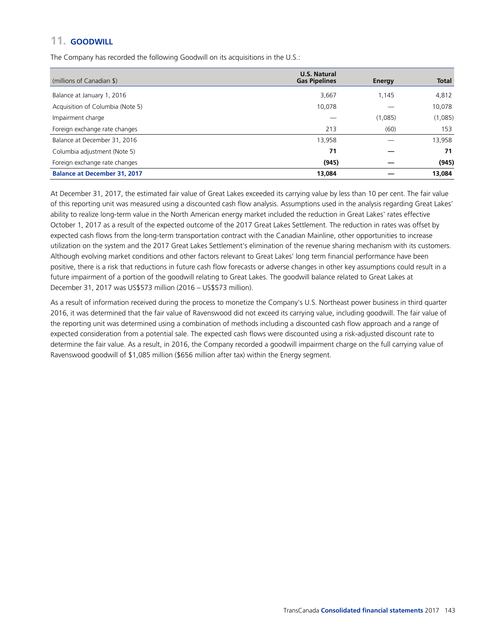# **11. GOODWILL**

The Company has recorded the following Goodwill on its acquisitions in the U.S.:

| (millions of Canadian \$)           | <b>U.S. Natural</b><br><b>Gas Pipelines</b> | Energy  | <b>Total</b> |
|-------------------------------------|---------------------------------------------|---------|--------------|
| Balance at January 1, 2016          | 3,667                                       | 1,145   | 4,812        |
| Acquisition of Columbia (Note 5)    | 10,078                                      |         | 10,078       |
| Impairment charge                   |                                             | (1,085) | (1,085)      |
| Foreign exchange rate changes       | 213                                         | (60)    | 153          |
| Balance at December 31, 2016        | 13,958                                      |         | 13,958       |
| Columbia adjustment (Note 5)        | 71                                          |         | 71           |
| Foreign exchange rate changes       | (945)                                       |         | (945)        |
| <b>Balance at December 31, 2017</b> | 13,084                                      |         | 13,084       |

At December 31, 2017, the estimated fair value of Great Lakes exceeded its carrying value by less than 10 per cent. The fair value of this reporting unit was measured using a discounted cash flow analysis. Assumptions used in the analysis regarding Great Lakes' ability to realize long-term value in the North American energy market included the reduction in Great Lakes' rates effective October 1, 2017 as a result of the expected outcome of the 2017 Great Lakes Settlement. The reduction in rates was offset by expected cash flows from the long-term transportation contract with the Canadian Mainline, other opportunities to increase utilization on the system and the 2017 Great Lakes Settlement's elimination of the revenue sharing mechanism with its customers. Although evolving market conditions and other factors relevant to Great Lakes' long term financial performance have been positive, there is a risk that reductions in future cash flow forecasts or adverse changes in other key assumptions could result in a future impairment of a portion of the goodwill relating to Great Lakes. The goodwill balance related to Great Lakes at December 31, 2017 was US\$573 million (2016 – US\$573 million).

As a result of information received during the process to monetize the Company's U.S. Northeast power business in third quarter 2016, it was determined that the fair value of Ravenswood did not exceed its carrying value, including goodwill. The fair value of the reporting unit was determined using a combination of methods including a discounted cash flow approach and a range of expected consideration from a potential sale. The expected cash flows were discounted using a risk-adjusted discount rate to determine the fair value. As a result, in 2016, the Company recorded a goodwill impairment charge on the full carrying value of Ravenswood goodwill of \$1,085 million (\$656 million after tax) within the Energy segment.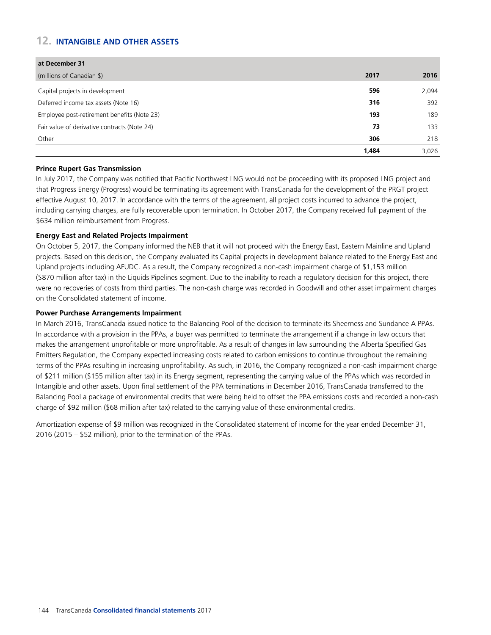# **12. INTANGIBLE AND OTHER ASSETS**

| at December 31                               |       |       |
|----------------------------------------------|-------|-------|
| (millions of Canadian \$)                    | 2017  | 2016  |
| Capital projects in development              | 596   | 2,094 |
| Deferred income tax assets (Note 16)         | 316   | 392   |
| Employee post-retirement benefits (Note 23)  | 193   | 189   |
| Fair value of derivative contracts (Note 24) | 73    | 133   |
| Other                                        | 306   | 218   |
|                                              | 1,484 | 3,026 |

### **Prince Rupert Gas Transmission**

In July 2017, the Company was notified that Pacific Northwest LNG would not be proceeding with its proposed LNG project and that Progress Energy (Progress) would be terminating its agreement with TransCanada for the development of the PRGT project effective August 10, 2017. In accordance with the terms of the agreement, all project costs incurred to advance the project, including carrying charges, are fully recoverable upon termination. In October 2017, the Company received full payment of the \$634 million reimbursement from Progress.

### **Energy East and Related Projects Impairment**

On October 5, 2017, the Company informed the NEB that it will not proceed with the Energy East, Eastern Mainline and Upland projects. Based on this decision, the Company evaluated its Capital projects in development balance related to the Energy East and Upland projects including AFUDC. As a result, the Company recognized a non-cash impairment charge of \$1,153 million (\$870 million after tax) in the Liquids Pipelines segment. Due to the inability to reach a regulatory decision for this project, there were no recoveries of costs from third parties. The non-cash charge was recorded in Goodwill and other asset impairment charges on the Consolidated statement of income.

### **Power Purchase Arrangements Impairment**

In March 2016, TransCanada issued notice to the Balancing Pool of the decision to terminate its Sheerness and Sundance A PPAs. In accordance with a provision in the PPAs, a buyer was permitted to terminate the arrangement if a change in law occurs that makes the arrangement unprofitable or more unprofitable. As a result of changes in law surrounding the Alberta Specified Gas Emitters Regulation, the Company expected increasing costs related to carbon emissions to continue throughout the remaining terms of the PPAs resulting in increasing unprofitability. As such, in 2016, the Company recognized a non-cash impairment charge of \$211 million (\$155 million after tax) in its Energy segment, representing the carrying value of the PPAs which was recorded in Intangible and other assets. Upon final settlement of the PPA terminations in December 2016, TransCanada transferred to the Balancing Pool a package of environmental credits that were being held to offset the PPA emissions costs and recorded a non-cash charge of \$92 million (\$68 million after tax) related to the carrying value of these environmental credits.

Amortization expense of \$9 million was recognized in the Consolidated statement of income for the year ended December 31, 2016 (2015 – \$52 million), prior to the termination of the PPAs.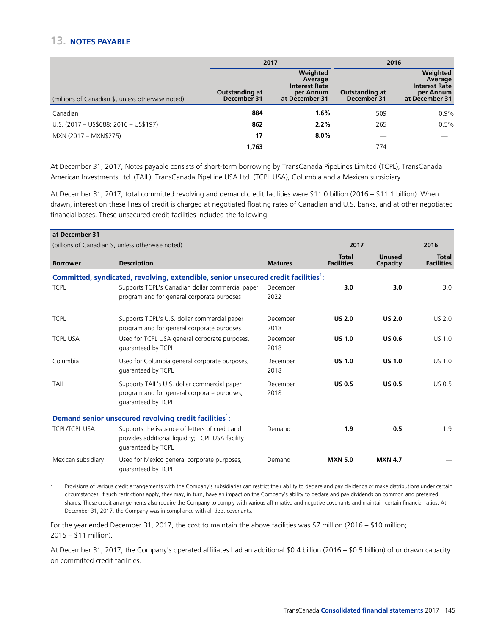# **13. NOTES PAYABLE**

|                                                   | 2016<br>2017                         |                                                                            |                               |                                                                            |
|---------------------------------------------------|--------------------------------------|----------------------------------------------------------------------------|-------------------------------|----------------------------------------------------------------------------|
| (millions of Canadian \$, unless otherwise noted) | <b>Outstanding at</b><br>December 31 | Weighted<br>Average<br><b>Interest Rate</b><br>per Annum<br>at December 31 | Outstanding at<br>December 31 | Weighted<br>Average<br><b>Interest Rate</b><br>per Annum<br>at December 31 |
| Canadian                                          | 884                                  | $1.6\%$                                                                    | 509                           | 0.9%                                                                       |
| U.S. (2017 - US\$688; 2016 - US\$197)             | 862                                  | 2.2%                                                                       | 265                           | 0.5%                                                                       |
| MXN (2017 - MXN\$275)                             | 17                                   | $8.0\%$                                                                    |                               |                                                                            |
|                                                   | 1.763                                |                                                                            | 774                           |                                                                            |

At December 31, 2017, Notes payable consists of short-term borrowing by TransCanada PipeLines Limited (TCPL), TransCanada American Investments Ltd. (TAIL), TransCanada PipeLine USA Ltd. (TCPL USA), Columbia and a Mexican subsidiary.

At December 31, 2017, total committed revolving and demand credit facilities were \$11.0 billion (2016 – \$11.1 billion). When drawn, interest on these lines of credit is charged at negotiated floating rates of Canadian and U.S. banks, and at other negotiated financial bases. These unsecured credit facilities included the following:

| at December 31       |                                                                                                                                                                          |                  |                                   |                    |                                   |
|----------------------|--------------------------------------------------------------------------------------------------------------------------------------------------------------------------|------------------|-----------------------------------|--------------------|-----------------------------------|
|                      | (billions of Canadian \$, unless otherwise noted)                                                                                                                        |                  | 2017                              |                    | 2016                              |
| <b>Borrower</b>      | <b>Description</b>                                                                                                                                                       | <b>Matures</b>   | <b>Total</b><br><b>Facilities</b> | Unused<br>Capacity | <b>Total</b><br><b>Facilities</b> |
|                      | Committed, syndicated, revolving, extendible, senior unsecured credit facilities <sup>1</sup> :                                                                          |                  |                                   |                    |                                   |
| <b>TCPL</b>          | Supports TCPL's Canadian dollar commercial paper<br>program and for general corporate purposes                                                                           | December<br>2022 | 3.0                               | 3.0                | 3.0                               |
| <b>TCPL</b>          | Supports TCPL's U.S. dollar commercial paper<br>program and for general corporate purposes                                                                               | December<br>2018 | <b>US 2.0</b>                     | <b>US 2.0</b>      | <b>US 2.0</b>                     |
| <b>TCPL USA</b>      | Used for TCPL USA general corporate purposes,<br>guaranteed by TCPL                                                                                                      | December<br>2018 | <b>US 1.0</b>                     | <b>US 0.6</b>      | <b>US 1.0</b>                     |
| Columbia             | Used for Columbia general corporate purposes,<br>guaranteed by TCPL                                                                                                      | December<br>2018 | <b>US 1.0</b>                     | <b>US 1.0</b>      | <b>US 1.0</b>                     |
| <b>TAIL</b>          | Supports TAIL's U.S. dollar commercial paper<br>program and for general corporate purposes,<br>quaranteed by TCPL                                                        | December<br>2018 | <b>US 0.5</b>                     | <b>US 0.5</b>      | <b>US 0.5</b>                     |
| <b>TCPL/TCPL USA</b> | Demand senior unsecured revolving credit facilities <sup>1</sup> :<br>Supports the issuance of letters of credit and<br>provides additional liquidity; TCPL USA facility | Demand           | 1.9                               | 0.5                | 1.9                               |
| Mexican subsidiary   | guaranteed by TCPL<br>Used for Mexico general corporate purposes,<br>quaranteed by TCPL                                                                                  | Demand           | <b>MXN 5.0</b>                    | <b>MXN 4.7</b>     |                                   |

1 Provisions of various credit arrangements with the Company's subsidiaries can restrict their ability to declare and pay dividends or make distributions under certain circumstances. If such restrictions apply, they may, in turn, have an impact on the Company's ability to declare and pay dividends on common and preferred shares. These credit arrangements also require the Company to comply with various affirmative and negative covenants and maintain certain financial ratios. At December 31, 2017, the Company was in compliance with all debt covenants.

For the year ended December 31, 2017, the cost to maintain the above facilities was \$7 million (2016 – \$10 million; 2015 – \$11 million).

At December 31, 2017, the Company's operated affiliates had an additional \$0.4 billion (2016 – \$0.5 billion) of undrawn capacity on committed credit facilities.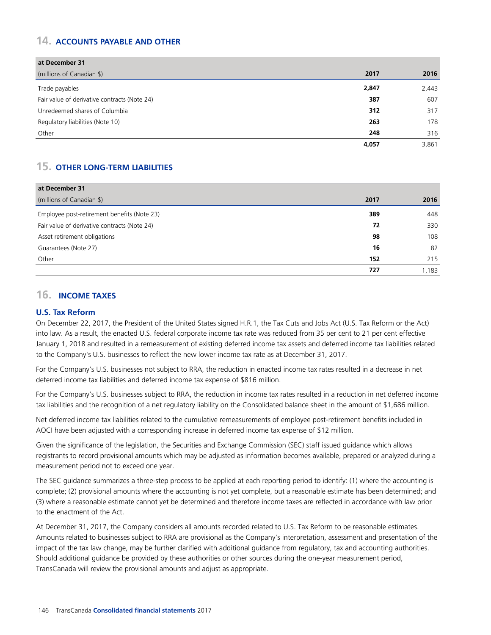# **14. ACCOUNTS PAYABLE AND OTHER**

| at December 31                               |       |       |
|----------------------------------------------|-------|-------|
| (millions of Canadian \$)                    | 2017  | 2016  |
| Trade payables                               | 2,847 | 2,443 |
| Fair value of derivative contracts (Note 24) | 387   | 607   |
| Unredeemed shares of Columbia                | 312   | 317   |
| Regulatory liabilities (Note 10)             | 263   | 178   |
| Other                                        | 248   | 316   |
|                                              | 4,057 | 3,861 |

# **15. OTHER LONG-TERM LIABILITIES**

| at December 31                               |      |       |
|----------------------------------------------|------|-------|
| (millions of Canadian \$)                    | 2017 | 2016  |
| Employee post-retirement benefits (Note 23)  | 389  | 448   |
| Fair value of derivative contracts (Note 24) | 72   | 330   |
| Asset retirement obligations                 | 98   | 108   |
| Guarantees (Note 27)                         | 16   | 82    |
| Other                                        | 152  | 215   |
|                                              | 727  | 1,183 |

# **16. INCOME TAXES**

## **U.S. Tax Reform**

On December 22, 2017, the President of the United States signed H.R.1, the Tax Cuts and Jobs Act (U.S. Tax Reform or the Act) into law. As a result, the enacted U.S. federal corporate income tax rate was reduced from 35 per cent to 21 per cent effective January 1, 2018 and resulted in a remeasurement of existing deferred income tax assets and deferred income tax liabilities related to the Company's U.S. businesses to reflect the new lower income tax rate as at December 31, 2017.

For the Company's U.S. businesses not subject to RRA, the reduction in enacted income tax rates resulted in a decrease in net deferred income tax liabilities and deferred income tax expense of \$816 million.

For the Company's U.S. businesses subject to RRA, the reduction in income tax rates resulted in a reduction in net deferred income tax liabilities and the recognition of a net regulatory liability on the Consolidated balance sheet in the amount of \$1,686 million.

Net deferred income tax liabilities related to the cumulative remeasurements of employee post-retirement benefits included in AOCI have been adjusted with a corresponding increase in deferred income tax expense of \$12 million.

Given the significance of the legislation, the Securities and Exchange Commission (SEC) staff issued guidance which allows registrants to record provisional amounts which may be adjusted as information becomes available, prepared or analyzed during a measurement period not to exceed one year.

The SEC guidance summarizes a three-step process to be applied at each reporting period to identify: (1) where the accounting is complete; (2) provisional amounts where the accounting is not yet complete, but a reasonable estimate has been determined; and (3) where a reasonable estimate cannot yet be determined and therefore income taxes are reflected in accordance with law prior to the enactment of the Act.

At December 31, 2017, the Company considers all amounts recorded related to U.S. Tax Reform to be reasonable estimates. Amounts related to businesses subject to RRA are provisional as the Company's interpretation, assessment and presentation of the impact of the tax law change, may be further clarified with additional guidance from regulatory, tax and accounting authorities. Should additional guidance be provided by these authorities or other sources during the one-year measurement period, TransCanada will review the provisional amounts and adjust as appropriate.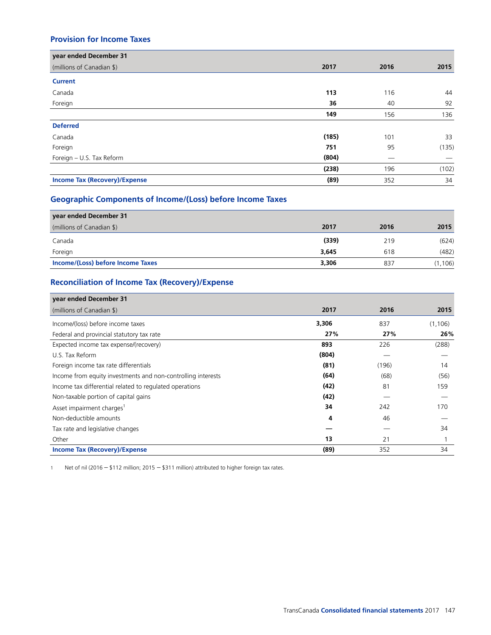# **Provision for Income Taxes**

| year ended December 31               |       |      |       |
|--------------------------------------|-------|------|-------|
| (millions of Canadian \$)            | 2017  | 2016 | 2015  |
| <b>Current</b>                       |       |      |       |
| Canada                               | 113   | 116  | 44    |
| Foreign                              | 36    | 40   | 92    |
|                                      | 149   | 156  | 136   |
| <b>Deferred</b>                      |       |      |       |
| Canada                               | (185) | 101  | 33    |
| Foreign                              | 751   | 95   | (135) |
| Foreign - U.S. Tax Reform            | (804) |      |       |
|                                      | (238) | 196  | (102) |
| <b>Income Tax (Recovery)/Expense</b> | (89)  | 352  | 34    |

# **Geographic Components of Income/(Loss) before Income Taxes**

| year ended December 31            |       |      |          |
|-----------------------------------|-------|------|----------|
| (millions of Canadian \$)         | 2017  | 2016 | 2015     |
| Canada                            | (339) | 219  | (624)    |
| Foreign                           | 3,645 | 618  | (482)    |
| Income/(Loss) before Income Taxes | 3.306 | 837  | (1, 106) |

# **Reconciliation of Income Tax (Recovery)/Expense**

| year ended December 31                                       |       |       |          |
|--------------------------------------------------------------|-------|-------|----------|
| (millions of Canadian \$)                                    | 2017  | 2016  | 2015     |
| Income/(loss) before income taxes                            | 3,306 | 837   | (1, 106) |
| Federal and provincial statutory tax rate                    | 27%   | 27%   | 26%      |
| Expected income tax expense/(recovery)                       | 893   | 226   | (288)    |
| U.S. Tax Reform                                              | (804) |       |          |
| Foreign income tax rate differentials                        | (81)  | (196) | 14       |
| Income from equity investments and non-controlling interests | (64)  | (68)  | (56)     |
| Income tax differential related to regulated operations      | (42)  | 81    | 159      |
| Non-taxable portion of capital gains                         | (42)  |       |          |
| Asset impairment charges <sup>1</sup>                        | 34    | 242   | 170      |
| Non-deductible amounts                                       | 4     | 46    |          |
| Tax rate and legislative changes                             |       |       | 34       |
| Other                                                        | 13    | 21    |          |
| <b>Income Tax (Recovery)/Expense</b>                         | (89)  | 352   | 34       |

<sup>1</sup> Net of nil (2016 – \$112 million; 2015 – \$311 million) attributed to higher foreign tax rates.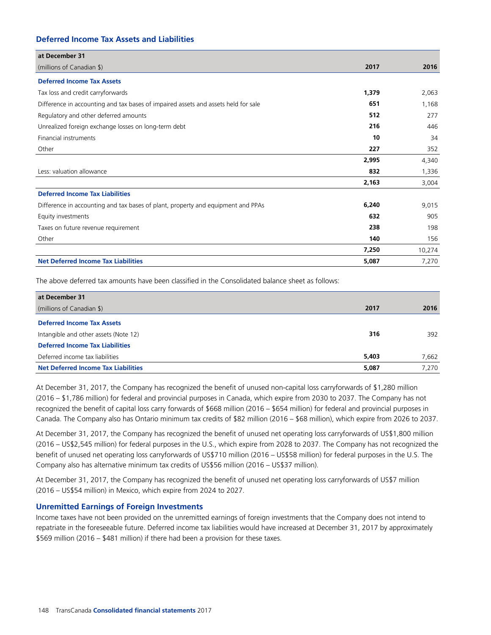# **Deferred Income Tax Assets and Liabilities**

| at December 31                                                                     |       |        |
|------------------------------------------------------------------------------------|-------|--------|
| (millions of Canadian \$)                                                          | 2017  | 2016   |
| <b>Deferred Income Tax Assets</b>                                                  |       |        |
| Tax loss and credit carryforwards                                                  | 1,379 | 2,063  |
| Difference in accounting and tax bases of impaired assets and assets held for sale | 651   | 1,168  |
| Regulatory and other deferred amounts                                              | 512   | 277    |
| Unrealized foreign exchange losses on long-term debt                               | 216   | 446    |
| Financial instruments                                                              | 10    | 34     |
| Other                                                                              | 227   | 352    |
|                                                                                    | 2,995 | 4,340  |
| Less: valuation allowance                                                          | 832   | 1,336  |
|                                                                                    | 2,163 | 3,004  |
| <b>Deferred Income Tax Liabilities</b>                                             |       |        |
| Difference in accounting and tax bases of plant, property and equipment and PPAs   | 6,240 | 9,015  |
| Equity investments                                                                 | 632   | 905    |
| Taxes on future revenue requirement                                                | 238   | 198    |
| Other                                                                              | 140   | 156    |
|                                                                                    | 7,250 | 10,274 |
| <b>Net Deferred Income Tax Liabilities</b>                                         | 5,087 | 7,270  |

The above deferred tax amounts have been classified in the Consolidated balance sheet as follows:

| at December 31                             |       |       |
|--------------------------------------------|-------|-------|
| (millions of Canadian \$)                  | 2017  | 2016  |
| <b>Deferred Income Tax Assets</b>          |       |       |
| Intangible and other assets (Note 12)      | 316   | 392   |
| <b>Deferred Income Tax Liabilities</b>     |       |       |
| Deferred income tax liabilities            | 5,403 | 7,662 |
| <b>Net Deferred Income Tax Liabilities</b> | 5,087 | 7.270 |

At December 31, 2017, the Company has recognized the benefit of unused non-capital loss carryforwards of \$1,280 million (2016 – \$1,786 million) for federal and provincial purposes in Canada, which expire from 2030 to 2037. The Company has not recognized the benefit of capital loss carry forwards of \$668 million (2016 – \$654 million) for federal and provincial purposes in Canada. The Company also has Ontario minimum tax credits of \$82 million (2016 – \$68 million), which expire from 2026 to 2037.

At December 31, 2017, the Company has recognized the benefit of unused net operating loss carryforwards of US\$1,800 million (2016 – US\$2,545 million) for federal purposes in the U.S., which expire from 2028 to 2037. The Company has not recognized the benefit of unused net operating loss carryforwards of US\$710 million (2016 – US\$58 million) for federal purposes in the U.S. The Company also has alternative minimum tax credits of US\$56 million (2016 – US\$37 million).

At December 31, 2017, the Company has recognized the benefit of unused net operating loss carryforwards of US\$7 million (2016 – US\$54 million) in Mexico, which expire from 2024 to 2027.

# **Unremitted Earnings of Foreign Investments**

Income taxes have not been provided on the unremitted earnings of foreign investments that the Company does not intend to repatriate in the foreseeable future. Deferred income tax liabilities would have increased at December 31, 2017 by approximately \$569 million (2016 – \$481 million) if there had been a provision for these taxes.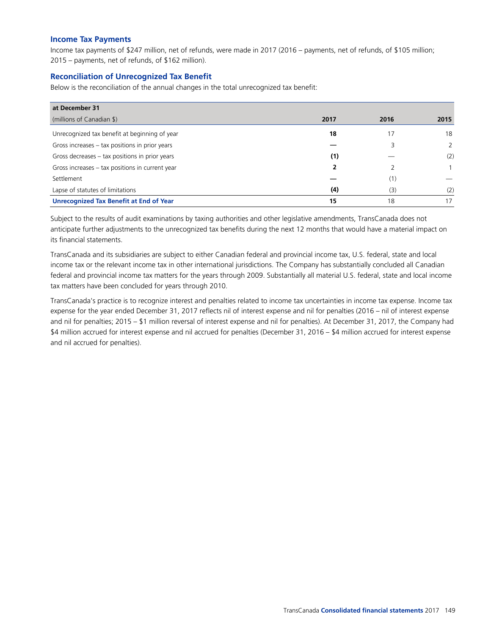#### **Income Tax Payments**

Income tax payments of \$247 million, net of refunds, were made in 2017 (2016 – payments, net of refunds, of \$105 million; 2015 – payments, net of refunds, of \$162 million).

## **Reconciliation of Unrecognized Tax Benefit**

Below is the reconciliation of the annual changes in the total unrecognized tax benefit:

| at December 31                                    |      |      |               |
|---------------------------------------------------|------|------|---------------|
| (millions of Canadian \$)                         | 2017 | 2016 | 2015          |
| Unrecognized tax benefit at beginning of year     | 18   |      | 18            |
| Gross increases $-$ tax positions in prior years  |      |      | $\mathcal{P}$ |
| Gross decreases - tax positions in prior years    | (1)  |      | (2)           |
| Gross increases $-$ tax positions in current year | 2    |      | 1             |
| Settlement                                        |      | (1)  |               |
| Lapse of statutes of limitations                  | (4)  | (3)  | (2)           |
| Unrecognized Tax Benefit at End of Year           | 15   | 18   | 17            |

Subject to the results of audit examinations by taxing authorities and other legislative amendments, TransCanada does not anticipate further adjustments to the unrecognized tax benefits during the next 12 months that would have a material impact on its financial statements.

TransCanada and its subsidiaries are subject to either Canadian federal and provincial income tax, U.S. federal, state and local income tax or the relevant income tax in other international jurisdictions. The Company has substantially concluded all Canadian federal and provincial income tax matters for the years through 2009. Substantially all material U.S. federal, state and local income tax matters have been concluded for years through 2010.

TransCanada's practice is to recognize interest and penalties related to income tax uncertainties in income tax expense. Income tax expense for the year ended December 31, 2017 reflects nil of interest expense and nil for penalties (2016 – nil of interest expense and nil for penalties; 2015 – \$1 million reversal of interest expense and nil for penalties). At December 31, 2017, the Company had \$4 million accrued for interest expense and nil accrued for penalties (December 31, 2016 – \$4 million accrued for interest expense and nil accrued for penalties).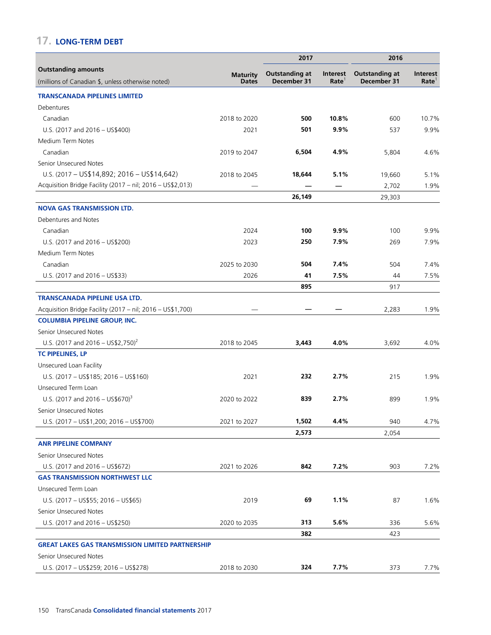# **17. LONG-TERM DEBT**

| <b>Outstanding amounts</b><br><b>Outstanding at</b><br><b>Outstanding at</b><br><b>Interest</b><br>Interest<br><b>Maturity</b><br>December 31<br>Rate <sup>1</sup><br>December 31<br>Rate<br>(millions of Canadian \$, unless otherwise noted)<br><b>Dates</b><br><b>TRANSCANADA PIPELINES LIMITED</b><br>Debentures<br>2018 to 2020<br>500<br>10.8%<br>600<br>Canadian<br>10.7%<br>2021<br>9.9%<br>U.S. (2017 and 2016 - US\$400)<br>501<br>537<br>9.9%<br>Medium Term Notes<br>Canadian<br>6,504<br>4.9%<br>2019 to 2047<br>5,804<br>4.6%<br>Senior Unsecured Notes<br>U.S. (2017 - US\$14,892; 2016 - US\$14,642)<br>5.1%<br>2018 to 2045<br>18,644<br>19,660<br>5.1%<br>Acquisition Bridge Facility (2017 - nil; 2016 - US\$2,013)<br>2,702<br>1.9%<br>26,149<br>29,303<br><b>NOVA GAS TRANSMISSION LTD.</b><br>Debentures and Notes<br>2024<br>9.9%<br>100<br>Canadian<br>100<br>9.9%<br>7.9%<br>2023<br>250<br>269<br>U.S. (2017 and 2016 - US\$200)<br>7.9%<br>Medium Term Notes<br>7.4%<br>Canadian<br>2025 to 2030<br>504<br>504<br>7.4%<br>41<br>7.5%<br>U.S. (2017 and 2016 - US\$33)<br>2026<br>44<br>7.5%<br>895<br>917<br>TRANSCANADA PIPELINE USA LTD.<br>Acquisition Bridge Facility (2017 - nil; 2016 - US\$1,700)<br>2,283<br>1.9%<br><b>COLUMBIA PIPELINE GROUP, INC.</b><br>Senior Unsecured Notes<br>U.S. (2017 and 2016 – US\$2,750) <sup>2</sup><br>3,443<br>4.0%<br>2018 to 2045<br>3,692<br>4.0%<br><b>TC PIPELINES, LP</b><br>Unsecured Loan Facility<br>2021<br>232<br>2.7%<br>U.S. (2017 - US\$185; 2016 - US\$160)<br>215<br>1.9%<br>Unsecured Term Loan<br>U.S. (2017 and 2016 – US\$670) <sup>3</sup><br>2020 to 2022<br>839<br>2.7%<br>899<br>1.9%<br>Senior Unsecured Notes<br>1,502<br>4.4%<br>940<br>U.S. (2017 - US\$1,200; 2016 - US\$700)<br>2021 to 2027<br>4.7%<br>2,573<br>2,054<br><b>ANR PIPELINE COMPANY</b><br>Senior Unsecured Notes<br>U.S. (2017 and 2016 - US\$672)<br>2021 to 2026<br>842<br>7.2%<br>903<br>7.2%<br><b>GAS TRANSMISSION NORTHWEST LLC</b><br>Unsecured Term Loan<br>U.S. (2017 - US\$55; 2016 - US\$65)<br>2019<br>1.1%<br>87<br>69<br>1.6%<br>Senior Unsecured Notes<br>313<br>5.6%<br>U.S. (2017 and 2016 - US\$250)<br>2020 to 2035<br>336<br>5.6%<br>382<br>423<br><b>GREAT LAKES GAS TRANSMISSION LIMITED PARTNERSHIP</b><br>Senior Unsecured Notes |                                       |              | 2017 |      | 2016 |      |
|----------------------------------------------------------------------------------------------------------------------------------------------------------------------------------------------------------------------------------------------------------------------------------------------------------------------------------------------------------------------------------------------------------------------------------------------------------------------------------------------------------------------------------------------------------------------------------------------------------------------------------------------------------------------------------------------------------------------------------------------------------------------------------------------------------------------------------------------------------------------------------------------------------------------------------------------------------------------------------------------------------------------------------------------------------------------------------------------------------------------------------------------------------------------------------------------------------------------------------------------------------------------------------------------------------------------------------------------------------------------------------------------------------------------------------------------------------------------------------------------------------------------------------------------------------------------------------------------------------------------------------------------------------------------------------------------------------------------------------------------------------------------------------------------------------------------------------------------------------------------------------------------------------------------------------------------------------------------------------------------------------------------------------------------------------------------------------------------------------------------------------------------------------------------------------------------------------------------------------------------------------------------------------------------------------------------------|---------------------------------------|--------------|------|------|------|------|
|                                                                                                                                                                                                                                                                                                                                                                                                                                                                                                                                                                                                                                                                                                                                                                                                                                                                                                                                                                                                                                                                                                                                                                                                                                                                                                                                                                                                                                                                                                                                                                                                                                                                                                                                                                                                                                                                                                                                                                                                                                                                                                                                                                                                                                                                                                                            |                                       |              |      |      |      |      |
|                                                                                                                                                                                                                                                                                                                                                                                                                                                                                                                                                                                                                                                                                                                                                                                                                                                                                                                                                                                                                                                                                                                                                                                                                                                                                                                                                                                                                                                                                                                                                                                                                                                                                                                                                                                                                                                                                                                                                                                                                                                                                                                                                                                                                                                                                                                            |                                       |              |      |      |      |      |
|                                                                                                                                                                                                                                                                                                                                                                                                                                                                                                                                                                                                                                                                                                                                                                                                                                                                                                                                                                                                                                                                                                                                                                                                                                                                                                                                                                                                                                                                                                                                                                                                                                                                                                                                                                                                                                                                                                                                                                                                                                                                                                                                                                                                                                                                                                                            |                                       |              |      |      |      |      |
|                                                                                                                                                                                                                                                                                                                                                                                                                                                                                                                                                                                                                                                                                                                                                                                                                                                                                                                                                                                                                                                                                                                                                                                                                                                                                                                                                                                                                                                                                                                                                                                                                                                                                                                                                                                                                                                                                                                                                                                                                                                                                                                                                                                                                                                                                                                            |                                       |              |      |      |      |      |
|                                                                                                                                                                                                                                                                                                                                                                                                                                                                                                                                                                                                                                                                                                                                                                                                                                                                                                                                                                                                                                                                                                                                                                                                                                                                                                                                                                                                                                                                                                                                                                                                                                                                                                                                                                                                                                                                                                                                                                                                                                                                                                                                                                                                                                                                                                                            |                                       |              |      |      |      |      |
|                                                                                                                                                                                                                                                                                                                                                                                                                                                                                                                                                                                                                                                                                                                                                                                                                                                                                                                                                                                                                                                                                                                                                                                                                                                                                                                                                                                                                                                                                                                                                                                                                                                                                                                                                                                                                                                                                                                                                                                                                                                                                                                                                                                                                                                                                                                            |                                       |              |      |      |      |      |
|                                                                                                                                                                                                                                                                                                                                                                                                                                                                                                                                                                                                                                                                                                                                                                                                                                                                                                                                                                                                                                                                                                                                                                                                                                                                                                                                                                                                                                                                                                                                                                                                                                                                                                                                                                                                                                                                                                                                                                                                                                                                                                                                                                                                                                                                                                                            |                                       |              |      |      |      |      |
|                                                                                                                                                                                                                                                                                                                                                                                                                                                                                                                                                                                                                                                                                                                                                                                                                                                                                                                                                                                                                                                                                                                                                                                                                                                                                                                                                                                                                                                                                                                                                                                                                                                                                                                                                                                                                                                                                                                                                                                                                                                                                                                                                                                                                                                                                                                            |                                       |              |      |      |      |      |
|                                                                                                                                                                                                                                                                                                                                                                                                                                                                                                                                                                                                                                                                                                                                                                                                                                                                                                                                                                                                                                                                                                                                                                                                                                                                                                                                                                                                                                                                                                                                                                                                                                                                                                                                                                                                                                                                                                                                                                                                                                                                                                                                                                                                                                                                                                                            |                                       |              |      |      |      |      |
|                                                                                                                                                                                                                                                                                                                                                                                                                                                                                                                                                                                                                                                                                                                                                                                                                                                                                                                                                                                                                                                                                                                                                                                                                                                                                                                                                                                                                                                                                                                                                                                                                                                                                                                                                                                                                                                                                                                                                                                                                                                                                                                                                                                                                                                                                                                            |                                       |              |      |      |      |      |
|                                                                                                                                                                                                                                                                                                                                                                                                                                                                                                                                                                                                                                                                                                                                                                                                                                                                                                                                                                                                                                                                                                                                                                                                                                                                                                                                                                                                                                                                                                                                                                                                                                                                                                                                                                                                                                                                                                                                                                                                                                                                                                                                                                                                                                                                                                                            |                                       |              |      |      |      |      |
|                                                                                                                                                                                                                                                                                                                                                                                                                                                                                                                                                                                                                                                                                                                                                                                                                                                                                                                                                                                                                                                                                                                                                                                                                                                                                                                                                                                                                                                                                                                                                                                                                                                                                                                                                                                                                                                                                                                                                                                                                                                                                                                                                                                                                                                                                                                            |                                       |              |      |      |      |      |
|                                                                                                                                                                                                                                                                                                                                                                                                                                                                                                                                                                                                                                                                                                                                                                                                                                                                                                                                                                                                                                                                                                                                                                                                                                                                                                                                                                                                                                                                                                                                                                                                                                                                                                                                                                                                                                                                                                                                                                                                                                                                                                                                                                                                                                                                                                                            |                                       |              |      |      |      |      |
|                                                                                                                                                                                                                                                                                                                                                                                                                                                                                                                                                                                                                                                                                                                                                                                                                                                                                                                                                                                                                                                                                                                                                                                                                                                                                                                                                                                                                                                                                                                                                                                                                                                                                                                                                                                                                                                                                                                                                                                                                                                                                                                                                                                                                                                                                                                            |                                       |              |      |      |      |      |
|                                                                                                                                                                                                                                                                                                                                                                                                                                                                                                                                                                                                                                                                                                                                                                                                                                                                                                                                                                                                                                                                                                                                                                                                                                                                                                                                                                                                                                                                                                                                                                                                                                                                                                                                                                                                                                                                                                                                                                                                                                                                                                                                                                                                                                                                                                                            |                                       |              |      |      |      |      |
|                                                                                                                                                                                                                                                                                                                                                                                                                                                                                                                                                                                                                                                                                                                                                                                                                                                                                                                                                                                                                                                                                                                                                                                                                                                                                                                                                                                                                                                                                                                                                                                                                                                                                                                                                                                                                                                                                                                                                                                                                                                                                                                                                                                                                                                                                                                            |                                       |              |      |      |      |      |
|                                                                                                                                                                                                                                                                                                                                                                                                                                                                                                                                                                                                                                                                                                                                                                                                                                                                                                                                                                                                                                                                                                                                                                                                                                                                                                                                                                                                                                                                                                                                                                                                                                                                                                                                                                                                                                                                                                                                                                                                                                                                                                                                                                                                                                                                                                                            |                                       |              |      |      |      |      |
|                                                                                                                                                                                                                                                                                                                                                                                                                                                                                                                                                                                                                                                                                                                                                                                                                                                                                                                                                                                                                                                                                                                                                                                                                                                                                                                                                                                                                                                                                                                                                                                                                                                                                                                                                                                                                                                                                                                                                                                                                                                                                                                                                                                                                                                                                                                            |                                       |              |      |      |      |      |
|                                                                                                                                                                                                                                                                                                                                                                                                                                                                                                                                                                                                                                                                                                                                                                                                                                                                                                                                                                                                                                                                                                                                                                                                                                                                                                                                                                                                                                                                                                                                                                                                                                                                                                                                                                                                                                                                                                                                                                                                                                                                                                                                                                                                                                                                                                                            |                                       |              |      |      |      |      |
|                                                                                                                                                                                                                                                                                                                                                                                                                                                                                                                                                                                                                                                                                                                                                                                                                                                                                                                                                                                                                                                                                                                                                                                                                                                                                                                                                                                                                                                                                                                                                                                                                                                                                                                                                                                                                                                                                                                                                                                                                                                                                                                                                                                                                                                                                                                            |                                       |              |      |      |      |      |
|                                                                                                                                                                                                                                                                                                                                                                                                                                                                                                                                                                                                                                                                                                                                                                                                                                                                                                                                                                                                                                                                                                                                                                                                                                                                                                                                                                                                                                                                                                                                                                                                                                                                                                                                                                                                                                                                                                                                                                                                                                                                                                                                                                                                                                                                                                                            |                                       |              |      |      |      |      |
|                                                                                                                                                                                                                                                                                                                                                                                                                                                                                                                                                                                                                                                                                                                                                                                                                                                                                                                                                                                                                                                                                                                                                                                                                                                                                                                                                                                                                                                                                                                                                                                                                                                                                                                                                                                                                                                                                                                                                                                                                                                                                                                                                                                                                                                                                                                            |                                       |              |      |      |      |      |
|                                                                                                                                                                                                                                                                                                                                                                                                                                                                                                                                                                                                                                                                                                                                                                                                                                                                                                                                                                                                                                                                                                                                                                                                                                                                                                                                                                                                                                                                                                                                                                                                                                                                                                                                                                                                                                                                                                                                                                                                                                                                                                                                                                                                                                                                                                                            |                                       |              |      |      |      |      |
|                                                                                                                                                                                                                                                                                                                                                                                                                                                                                                                                                                                                                                                                                                                                                                                                                                                                                                                                                                                                                                                                                                                                                                                                                                                                                                                                                                                                                                                                                                                                                                                                                                                                                                                                                                                                                                                                                                                                                                                                                                                                                                                                                                                                                                                                                                                            |                                       |              |      |      |      |      |
|                                                                                                                                                                                                                                                                                                                                                                                                                                                                                                                                                                                                                                                                                                                                                                                                                                                                                                                                                                                                                                                                                                                                                                                                                                                                                                                                                                                                                                                                                                                                                                                                                                                                                                                                                                                                                                                                                                                                                                                                                                                                                                                                                                                                                                                                                                                            |                                       |              |      |      |      |      |
|                                                                                                                                                                                                                                                                                                                                                                                                                                                                                                                                                                                                                                                                                                                                                                                                                                                                                                                                                                                                                                                                                                                                                                                                                                                                                                                                                                                                                                                                                                                                                                                                                                                                                                                                                                                                                                                                                                                                                                                                                                                                                                                                                                                                                                                                                                                            |                                       |              |      |      |      |      |
|                                                                                                                                                                                                                                                                                                                                                                                                                                                                                                                                                                                                                                                                                                                                                                                                                                                                                                                                                                                                                                                                                                                                                                                                                                                                                                                                                                                                                                                                                                                                                                                                                                                                                                                                                                                                                                                                                                                                                                                                                                                                                                                                                                                                                                                                                                                            |                                       |              |      |      |      |      |
|                                                                                                                                                                                                                                                                                                                                                                                                                                                                                                                                                                                                                                                                                                                                                                                                                                                                                                                                                                                                                                                                                                                                                                                                                                                                                                                                                                                                                                                                                                                                                                                                                                                                                                                                                                                                                                                                                                                                                                                                                                                                                                                                                                                                                                                                                                                            |                                       |              |      |      |      |      |
|                                                                                                                                                                                                                                                                                                                                                                                                                                                                                                                                                                                                                                                                                                                                                                                                                                                                                                                                                                                                                                                                                                                                                                                                                                                                                                                                                                                                                                                                                                                                                                                                                                                                                                                                                                                                                                                                                                                                                                                                                                                                                                                                                                                                                                                                                                                            |                                       |              |      |      |      |      |
|                                                                                                                                                                                                                                                                                                                                                                                                                                                                                                                                                                                                                                                                                                                                                                                                                                                                                                                                                                                                                                                                                                                                                                                                                                                                                                                                                                                                                                                                                                                                                                                                                                                                                                                                                                                                                                                                                                                                                                                                                                                                                                                                                                                                                                                                                                                            |                                       |              |      |      |      |      |
|                                                                                                                                                                                                                                                                                                                                                                                                                                                                                                                                                                                                                                                                                                                                                                                                                                                                                                                                                                                                                                                                                                                                                                                                                                                                                                                                                                                                                                                                                                                                                                                                                                                                                                                                                                                                                                                                                                                                                                                                                                                                                                                                                                                                                                                                                                                            |                                       |              |      |      |      |      |
|                                                                                                                                                                                                                                                                                                                                                                                                                                                                                                                                                                                                                                                                                                                                                                                                                                                                                                                                                                                                                                                                                                                                                                                                                                                                                                                                                                                                                                                                                                                                                                                                                                                                                                                                                                                                                                                                                                                                                                                                                                                                                                                                                                                                                                                                                                                            |                                       |              |      |      |      |      |
|                                                                                                                                                                                                                                                                                                                                                                                                                                                                                                                                                                                                                                                                                                                                                                                                                                                                                                                                                                                                                                                                                                                                                                                                                                                                                                                                                                                                                                                                                                                                                                                                                                                                                                                                                                                                                                                                                                                                                                                                                                                                                                                                                                                                                                                                                                                            |                                       |              |      |      |      |      |
|                                                                                                                                                                                                                                                                                                                                                                                                                                                                                                                                                                                                                                                                                                                                                                                                                                                                                                                                                                                                                                                                                                                                                                                                                                                                                                                                                                                                                                                                                                                                                                                                                                                                                                                                                                                                                                                                                                                                                                                                                                                                                                                                                                                                                                                                                                                            |                                       |              |      |      |      |      |
|                                                                                                                                                                                                                                                                                                                                                                                                                                                                                                                                                                                                                                                                                                                                                                                                                                                                                                                                                                                                                                                                                                                                                                                                                                                                                                                                                                                                                                                                                                                                                                                                                                                                                                                                                                                                                                                                                                                                                                                                                                                                                                                                                                                                                                                                                                                            |                                       |              |      |      |      |      |
|                                                                                                                                                                                                                                                                                                                                                                                                                                                                                                                                                                                                                                                                                                                                                                                                                                                                                                                                                                                                                                                                                                                                                                                                                                                                                                                                                                                                                                                                                                                                                                                                                                                                                                                                                                                                                                                                                                                                                                                                                                                                                                                                                                                                                                                                                                                            |                                       |              |      |      |      |      |
|                                                                                                                                                                                                                                                                                                                                                                                                                                                                                                                                                                                                                                                                                                                                                                                                                                                                                                                                                                                                                                                                                                                                                                                                                                                                                                                                                                                                                                                                                                                                                                                                                                                                                                                                                                                                                                                                                                                                                                                                                                                                                                                                                                                                                                                                                                                            |                                       |              |      |      |      |      |
|                                                                                                                                                                                                                                                                                                                                                                                                                                                                                                                                                                                                                                                                                                                                                                                                                                                                                                                                                                                                                                                                                                                                                                                                                                                                                                                                                                                                                                                                                                                                                                                                                                                                                                                                                                                                                                                                                                                                                                                                                                                                                                                                                                                                                                                                                                                            |                                       |              |      |      |      |      |
|                                                                                                                                                                                                                                                                                                                                                                                                                                                                                                                                                                                                                                                                                                                                                                                                                                                                                                                                                                                                                                                                                                                                                                                                                                                                                                                                                                                                                                                                                                                                                                                                                                                                                                                                                                                                                                                                                                                                                                                                                                                                                                                                                                                                                                                                                                                            |                                       |              |      |      |      |      |
|                                                                                                                                                                                                                                                                                                                                                                                                                                                                                                                                                                                                                                                                                                                                                                                                                                                                                                                                                                                                                                                                                                                                                                                                                                                                                                                                                                                                                                                                                                                                                                                                                                                                                                                                                                                                                                                                                                                                                                                                                                                                                                                                                                                                                                                                                                                            |                                       |              |      |      |      |      |
|                                                                                                                                                                                                                                                                                                                                                                                                                                                                                                                                                                                                                                                                                                                                                                                                                                                                                                                                                                                                                                                                                                                                                                                                                                                                                                                                                                                                                                                                                                                                                                                                                                                                                                                                                                                                                                                                                                                                                                                                                                                                                                                                                                                                                                                                                                                            |                                       |              |      |      |      |      |
|                                                                                                                                                                                                                                                                                                                                                                                                                                                                                                                                                                                                                                                                                                                                                                                                                                                                                                                                                                                                                                                                                                                                                                                                                                                                                                                                                                                                                                                                                                                                                                                                                                                                                                                                                                                                                                                                                                                                                                                                                                                                                                                                                                                                                                                                                                                            |                                       |              |      |      |      |      |
|                                                                                                                                                                                                                                                                                                                                                                                                                                                                                                                                                                                                                                                                                                                                                                                                                                                                                                                                                                                                                                                                                                                                                                                                                                                                                                                                                                                                                                                                                                                                                                                                                                                                                                                                                                                                                                                                                                                                                                                                                                                                                                                                                                                                                                                                                                                            |                                       |              |      |      |      |      |
| 324<br>373                                                                                                                                                                                                                                                                                                                                                                                                                                                                                                                                                                                                                                                                                                                                                                                                                                                                                                                                                                                                                                                                                                                                                                                                                                                                                                                                                                                                                                                                                                                                                                                                                                                                                                                                                                                                                                                                                                                                                                                                                                                                                                                                                                                                                                                                                                                 | U.S. (2017 - US\$259; 2016 - US\$278) | 2018 to 2030 |      | 7.7% |      | 7.7% |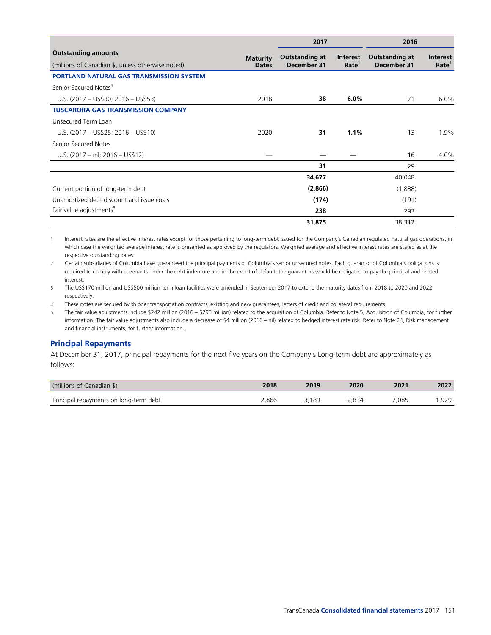|                                                                                 |                                 | 2017                                 |                               | 2016                                 |                                      |  |
|---------------------------------------------------------------------------------|---------------------------------|--------------------------------------|-------------------------------|--------------------------------------|--------------------------------------|--|
| <b>Outstanding amounts</b><br>(millions of Canadian \$, unless otherwise noted) | <b>Maturity</b><br><b>Dates</b> | <b>Outstanding at</b><br>December 31 | Interest<br>Rate <sup>1</sup> | <b>Outstanding at</b><br>December 31 | <b>Interest</b><br>Rate <sup>1</sup> |  |
| <b>PORTLAND NATURAL GAS TRANSMISSION SYSTEM</b>                                 |                                 |                                      |                               |                                      |                                      |  |
| Senior Secured Notes <sup>4</sup>                                               |                                 |                                      |                               |                                      |                                      |  |
| U.S. $(2017 - US$30; 2016 - US$53)$                                             | 2018                            | 38                                   | $6.0\%$                       | 71                                   | $6.0\%$                              |  |
| <b>TUSCARORA GAS TRANSMISSION COMPANY</b>                                       |                                 |                                      |                               |                                      |                                      |  |
| Unsecured Term Loan                                                             |                                 |                                      |                               |                                      |                                      |  |
| U.S. $(2017 - US$25; 2016 - US$10)$                                             | 2020                            | 31                                   | 1.1%                          | 13                                   | 1.9%                                 |  |
| Senior Secured Notes                                                            |                                 |                                      |                               |                                      |                                      |  |
| U.S. $(2017 - nil; 2016 - US$12)$                                               |                                 |                                      |                               | 16                                   | 4.0%                                 |  |
|                                                                                 |                                 | 31                                   |                               | 29                                   |                                      |  |
|                                                                                 |                                 | 34,677                               |                               | 40,048                               |                                      |  |
| Current portion of long-term debt                                               |                                 | (2,866)                              |                               | (1,838)                              |                                      |  |
| Unamortized debt discount and issue costs                                       |                                 | (174)                                |                               | (191)                                |                                      |  |
| Fair value adjustments <sup>5</sup>                                             |                                 | 238                                  |                               | 293                                  |                                      |  |
|                                                                                 |                                 | 31,875                               |                               | 38,312                               |                                      |  |

1 Interest rates are the effective interest rates except for those pertaining to long-term debt issued for the Company's Canadian regulated natural gas operations, in which case the weighted average interest rate is presented as approved by the regulators. Weighted average and effective interest rates are stated as at the respective outstanding dates.

2 Certain subsidiaries of Columbia have guaranteed the principal payments of Columbia's senior unsecured notes. Each guarantor of Columbia's obligations is required to comply with covenants under the debt indenture and in the event of default, the guarantors would be obligated to pay the principal and related interest.

3 The US\$170 million and US\$500 million term loan facilities were amended in September 2017 to extend the maturity dates from 2018 to 2020 and 2022, respectively.

4 These notes are secured by shipper transportation contracts, existing and new guarantees, letters of credit and collateral requirements.

5 The fair value adjustments include \$242 million (2016 – \$293 million) related to the acquisition of Columbia. Refer to Note 5, Acquisition of Columbia, for further information. The fair value adjustments also include a decrease of \$4 million (2016 – nil) related to hedged interest rate risk. Refer to Note 24, Risk management and financial instruments, for further information.

#### **Principal Repayments**

At December 31, 2017, principal repayments for the next five years on the Company's Long-term debt are approximately as follows:

| (millions of Canadian \$)              | 2018  | 2019  | 2020  | 2021  | 2022 |
|----------------------------------------|-------|-------|-------|-------|------|
| Principal repayments on long-term debt | 2.866 | 3.189 | 2.834 | 2.085 | .929 |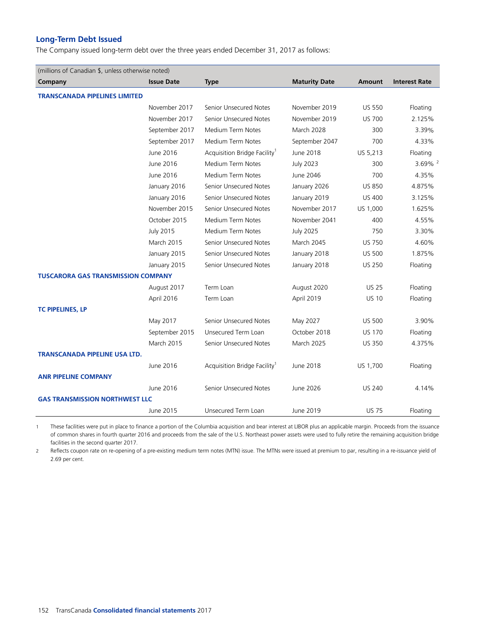# **Long-Term Debt Issued**

The Company issued long-term debt over the three years ended December 31, 2017 as follows:

| (millions of Canadian \$, unless otherwise noted) |                   |                                          |                      |               |                      |
|---------------------------------------------------|-------------------|------------------------------------------|----------------------|---------------|----------------------|
| Company                                           | <b>Issue Date</b> | <b>Type</b>                              | <b>Maturity Date</b> | Amount        | <b>Interest Rate</b> |
| <b>TRANSCANADA PIPELINES LIMITED</b>              |                   |                                          |                      |               |                      |
|                                                   | November 2017     | Senior Unsecured Notes                   | November 2019        | <b>US 550</b> | Floating             |
|                                                   | November 2017     | Senior Unsecured Notes                   | November 2019        | <b>US 700</b> | 2.125%               |
|                                                   | September 2017    | Medium Term Notes                        | March 2028           | 300           | 3.39%                |
|                                                   | September 2017    | Medium Term Notes                        | September 2047       | 700           | 4.33%                |
|                                                   | June 2016         | Acquisition Bridge Facility <sup>1</sup> | June 2018            | US 5,213      | Floating             |
|                                                   | June 2016         | Medium Term Notes                        | <b>July 2023</b>     | 300           | 3.69% 2              |
|                                                   | June 2016         | Medium Term Notes                        | June 2046            | 700           | 4.35%                |
|                                                   | January 2016      | Senior Unsecured Notes                   | January 2026         | <b>US 850</b> | 4.875%               |
|                                                   | January 2016      | Senior Unsecured Notes                   | January 2019         | <b>US 400</b> | 3.125%               |
|                                                   | November 2015     | Senior Unsecured Notes                   | November 2017        | US 1,000      | 1.625%               |
|                                                   | October 2015      | Medium Term Notes                        | November 2041        | 400           | 4.55%                |
|                                                   | <b>July 2015</b>  | Medium Term Notes                        | <b>July 2025</b>     | 750           | 3.30%                |
|                                                   | <b>March 2015</b> | Senior Unsecured Notes                   | March 2045           | <b>US 750</b> | 4.60%                |
|                                                   | January 2015      | Senior Unsecured Notes                   | January 2018         | <b>US 500</b> | 1.875%               |
|                                                   | January 2015      | Senior Unsecured Notes                   | January 2018         | <b>US 250</b> | Floating             |
| <b>TUSCARORA GAS TRANSMISSION COMPANY</b>         |                   |                                          |                      |               |                      |
|                                                   | August 2017       | Term Loan                                | August 2020          | <b>US 25</b>  | Floating             |
|                                                   | April 2016        | Term Loan                                | April 2019           | <b>US 10</b>  | Floating             |
| <b>TC PIPELINES, LP</b>                           |                   |                                          |                      |               |                      |
|                                                   | May 2017          | Senior Unsecured Notes                   | May 2027             | <b>US 500</b> | 3.90%                |
|                                                   | September 2015    | Unsecured Term Loan                      | October 2018         | <b>US 170</b> | Floating             |
|                                                   | <b>March 2015</b> | Senior Unsecured Notes                   | March 2025           | <b>US 350</b> | 4.375%               |
| <b>TRANSCANADA PIPELINE USA LTD.</b>              |                   |                                          |                      |               |                      |
|                                                   | June 2016         | Acquisition Bridge Facility <sup>1</sup> | June 2018            | US 1,700      | Floating             |
| <b>ANR PIPELINE COMPANY</b>                       |                   |                                          |                      |               |                      |
|                                                   | June 2016         | Senior Unsecured Notes                   | June 2026            | <b>US 240</b> | 4.14%                |
| <b>GAS TRANSMISSION NORTHWEST LLC</b>             |                   |                                          |                      |               |                      |
|                                                   | June 2015         | Unsecured Term Loan                      | June 2019            | <b>US 75</b>  | Floating             |

1 These facilities were put in place to finance a portion of the Columbia acquisition and bear interest at LIBOR plus an applicable margin. Proceeds from the issuance of common shares in fourth quarter 2016 and proceeds from the sale of the U.S. Northeast power assets were used to fully retire the remaining acquisition bridge facilities in the second quarter 2017.

2 Reflects coupon rate on re-opening of a pre-existing medium term notes (MTN) issue. The MTNs were issued at premium to par, resulting in a re-issuance yield of 2.69 per cent.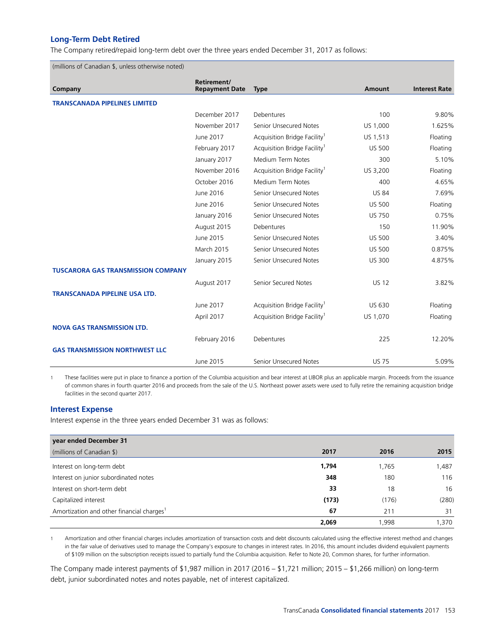## **Long-Term Debt Retired**

The Company retired/repaid long-term debt over the three years ended December 31, 2017 as follows:

(millions of Canadian \$, unless otherwise noted)

| Company                                   | Retirement/<br><b>Repayment Date</b> | <b>Type</b>                              | <b>Amount</b> | <b>Interest Rate</b> |
|-------------------------------------------|--------------------------------------|------------------------------------------|---------------|----------------------|
|                                           |                                      |                                          |               |                      |
| <b>TRANSCANADA PIPELINES LIMITED</b>      |                                      |                                          |               |                      |
|                                           | December 2017                        | Debentures                               | 100           | 9.80%                |
|                                           | November 2017                        | Senior Unsecured Notes                   | US 1,000      | 1.625%               |
|                                           | June 2017                            | Acquisition Bridge Facility <sup>1</sup> | US 1,513      | Floating             |
|                                           | February 2017                        | Acquisition Bridge Facility <sup>1</sup> | <b>US 500</b> | Floating             |
|                                           | January 2017                         | Medium Term Notes                        | 300           | 5.10%                |
|                                           | November 2016                        | Acquisition Bridge Facility <sup>1</sup> | US 3,200      | Floating             |
|                                           | October 2016                         | Medium Term Notes                        | 400           | 4.65%                |
|                                           | June 2016                            | Senior Unsecured Notes                   | <b>US 84</b>  | 7.69%                |
|                                           | June 2016                            | Senior Unsecured Notes                   | <b>US 500</b> | Floating             |
|                                           | January 2016                         | Senior Unsecured Notes                   | <b>US 750</b> | 0.75%                |
|                                           | August 2015                          | Debentures                               | 150           | 11.90%               |
|                                           | June 2015                            | Senior Unsecured Notes                   | <b>US 500</b> | 3.40%                |
|                                           | March 2015                           | Senior Unsecured Notes                   | <b>US 500</b> | 0.875%               |
|                                           | January 2015                         | Senior Unsecured Notes                   | <b>US 300</b> | 4.875%               |
| <b>TUSCARORA GAS TRANSMISSION COMPANY</b> |                                      |                                          |               |                      |
|                                           | August 2017                          | Senior Secured Notes                     | <b>US 12</b>  | 3.82%                |
| <b>TRANSCANADA PIPELINE USA LTD.</b>      |                                      |                                          |               |                      |
|                                           | June 2017                            | Acquisition Bridge Facility <sup>1</sup> | <b>US 630</b> | Floating             |
|                                           | April 2017                           | Acquisition Bridge Facility <sup>1</sup> | US 1,070      | Floating             |
| <b>NOVA GAS TRANSMISSION LTD.</b>         |                                      |                                          |               |                      |
|                                           | February 2016                        | Debentures                               | 225           | 12.20%               |
| <b>GAS TRANSMISSION NORTHWEST LLC</b>     |                                      |                                          |               |                      |
|                                           | June 2015                            | Senior Unsecured Notes                   | <b>US 75</b>  | 5.09%                |

1 These facilities were put in place to finance a portion of the Columbia acquisition and bear interest at LIBOR plus an applicable margin. Proceeds from the issuance of common shares in fourth quarter 2016 and proceeds from the sale of the U.S. Northeast power assets were used to fully retire the remaining acquisition bridge facilities in the second quarter 2017.

## **Interest Expense**

Interest expense in the three years ended December 31 was as follows:

| year ended December 31                                |       |       |       |
|-------------------------------------------------------|-------|-------|-------|
| (millions of Canadian \$)                             | 2017  | 2016  | 2015  |
| Interest on long-term debt                            | 1.794 | 1.765 | 1,487 |
| Interest on junior subordinated notes                 | 348   | 180   | 116   |
| Interest on short-term debt                           | 33    | 18    | 16    |
| Capitalized interest                                  | (173) | (176) | (280) |
| Amortization and other financial charges <sup>1</sup> | 67    | 211   | 31    |
|                                                       | 2,069 | 1.998 | 1.370 |

1 Amortization and other financial charges includes amortization of transaction costs and debt discounts calculated using the effective interest method and changes in the fair value of derivatives used to manage the Company's exposure to changes in interest rates. In 2016, this amount includes dividend equivalent payments of \$109 million on the subscription receipts issued to partially fund the Columbia acquisition. Refer to Note 20, Common shares, for further information.

The Company made interest payments of \$1,987 million in 2017 (2016 – \$1,721 million; 2015 – \$1,266 million) on long-term debt, junior subordinated notes and notes payable, net of interest capitalized.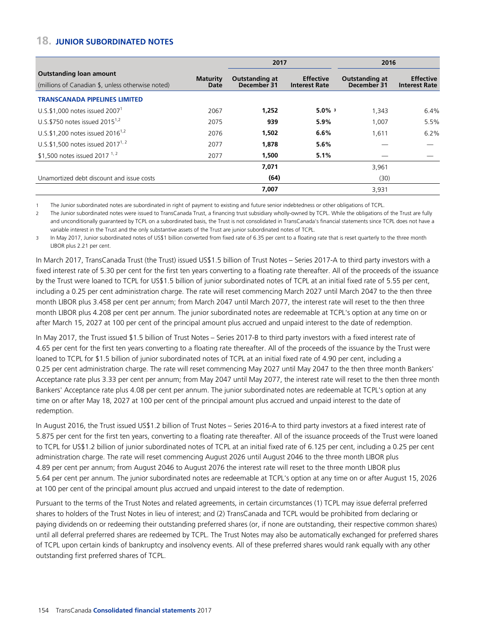# **18. JUNIOR SUBORDINATED NOTES**

|                                                                                     |                         | 2017                          |                                          | 2016                          |                                          |
|-------------------------------------------------------------------------------------|-------------------------|-------------------------------|------------------------------------------|-------------------------------|------------------------------------------|
| <b>Outstanding loan amount</b><br>(millions of Canadian \$, unless otherwise noted) | <b>Maturity</b><br>Date | Outstanding at<br>December 31 | <b>Effective</b><br><b>Interest Rate</b> | Outstanding at<br>December 31 | <b>Effective</b><br><b>Interest Rate</b> |
| <b>TRANSCANADA PIPELINES LIMITED</b>                                                |                         |                               |                                          |                               |                                          |
| U.S.\$1.000 notes issued $20071$                                                    | 2067                    | 1.252                         | $5.0\%$ <sup>3</sup>                     | 1.343                         | $6.4\%$                                  |
| U.S. \$750 notes issued 2015 <sup>1,2</sup>                                         | 2075                    | 939                           | 5.9%                                     | 1,007                         | 5.5%                                     |
| U.S.\$1.200 notes issued 2016 <sup>1,2</sup>                                        | 2076                    | 1.502                         | 6.6%                                     | 1,611                         | $6.2\%$                                  |
| U.S.\$1,500 notes issued 2017 <sup>1,2</sup>                                        | 2077                    | 1,878                         | 5.6%                                     |                               |                                          |
| \$1,500 notes issued 2017 <sup>1,2</sup>                                            | 2077                    | 1.500                         | 5.1%                                     |                               |                                          |
|                                                                                     |                         | 7,071                         |                                          | 3,961                         |                                          |
| Unamortized debt discount and issue costs                                           |                         | (64)                          |                                          | (30)                          |                                          |
|                                                                                     |                         | 7,007                         |                                          | 3,931                         |                                          |

1 The Junior subordinated notes are subordinated in right of payment to existing and future senior indebtedness or other obligations of TCPL.

2 The Junior subordinated notes were issued to TransCanada Trust, a financing trust subsidiary wholly-owned by TCPL. While the obligations of the Trust are fully and unconditionally guaranteed by TCPL on a subordinated basis, the Trust is not consolidated in TransCanada's financial statements since TCPL does not have a variable interest in the Trust and the only substantive assets of the Trust are junior subordinated notes of TCPL.

3 In May 2017, Junior subordinated notes of US\$1 billion converted from fixed rate of 6.35 per cent to a floating rate that is reset quarterly to the three month LIBOR plus 2.21 per cent.

In March 2017, TransCanada Trust (the Trust) issued US\$1.5 billion of Trust Notes – Series 2017-A to third party investors with a fixed interest rate of 5.30 per cent for the first ten years converting to a floating rate thereafter. All of the proceeds of the issuance by the Trust were loaned to TCPL for US\$1.5 billion of junior subordinated notes of TCPL at an initial fixed rate of 5.55 per cent, including a 0.25 per cent administration charge. The rate will reset commencing March 2027 until March 2047 to the then three month LIBOR plus 3.458 per cent per annum; from March 2047 until March 2077, the interest rate will reset to the then three month LIBOR plus 4.208 per cent per annum. The junior subordinated notes are redeemable at TCPL's option at any time on or after March 15, 2027 at 100 per cent of the principal amount plus accrued and unpaid interest to the date of redemption.

In May 2017, the Trust issued \$1.5 billion of Trust Notes – Series 2017-B to third party investors with a fixed interest rate of 4.65 per cent for the first ten years converting to a floating rate thereafter. All of the proceeds of the issuance by the Trust were loaned to TCPL for \$1.5 billion of junior subordinated notes of TCPL at an initial fixed rate of 4.90 per cent, including a 0.25 per cent administration charge. The rate will reset commencing May 2027 until May 2047 to the then three month Bankers' Acceptance rate plus 3.33 per cent per annum; from May 2047 until May 2077, the interest rate will reset to the then three month Bankers' Acceptance rate plus 4.08 per cent per annum. The junior subordinated notes are redeemable at TCPL's option at any time on or after May 18, 2027 at 100 per cent of the principal amount plus accrued and unpaid interest to the date of redemption.

In August 2016, the Trust issued US\$1.2 billion of Trust Notes – Series 2016-A to third party investors at a fixed interest rate of 5.875 per cent for the first ten years, converting to a floating rate thereafter. All of the issuance proceeds of the Trust were loaned to TCPL for US\$1.2 billion of junior subordinated notes of TCPL at an initial fixed rate of 6.125 per cent, including a 0.25 per cent administration charge. The rate will reset commencing August 2026 until August 2046 to the three month LIBOR plus 4.89 per cent per annum; from August 2046 to August 2076 the interest rate will reset to the three month LIBOR plus 5.64 per cent per annum. The junior subordinated notes are redeemable at TCPL's option at any time on or after August 15, 2026 at 100 per cent of the principal amount plus accrued and unpaid interest to the date of redemption.

Pursuant to the terms of the Trust Notes and related agreements, in certain circumstances (1) TCPL may issue deferral preferred shares to holders of the Trust Notes in lieu of interest; and (2) TransCanada and TCPL would be prohibited from declaring or paying dividends on or redeeming their outstanding preferred shares (or, if none are outstanding, their respective common shares) until all deferral preferred shares are redeemed by TCPL. The Trust Notes may also be automatically exchanged for preferred shares of TCPL upon certain kinds of bankruptcy and insolvency events. All of these preferred shares would rank equally with any other outstanding first preferred shares of TCPL.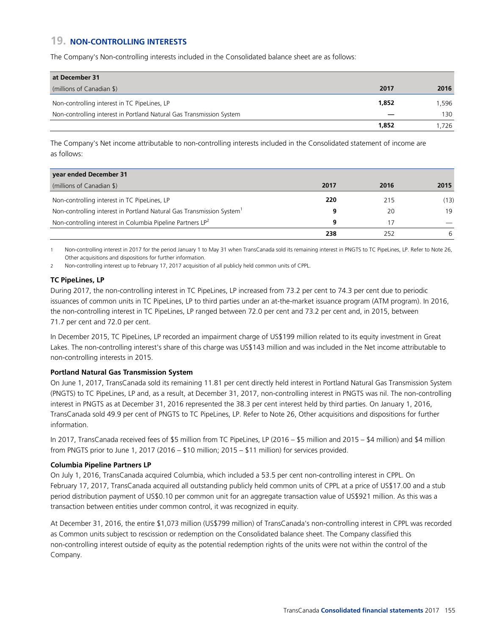# **19. NON-CONTROLLING INTERESTS**

The Company's Non-controlling interests included in the Consolidated balance sheet are as follows:

| at December 31                                                       |       |       |
|----------------------------------------------------------------------|-------|-------|
| (millions of Canadian \$)                                            | 2017  | 2016  |
| Non-controlling interest in TC PipeLines, LP                         | 1.852 | 1.596 |
| Non-controlling interest in Portland Natural Gas Transmission System |       | 130   |
|                                                                      | 1,852 | .726  |

The Company's Net income attributable to non-controlling interests included in the Consolidated statement of income are as follows:

| year ended December 31                                                            |      |      |      |
|-----------------------------------------------------------------------------------|------|------|------|
| (millions of Canadian \$)                                                         | 2017 | 2016 | 2015 |
| Non-controlling interest in TC PipeLines, LP                                      | 220  | 215  | (13) |
| Non-controlling interest in Portland Natural Gas Transmission System <sup>1</sup> | 9    | 20   | 19   |
| Non-controlling interest in Columbia Pipeline Partners LP <sup>2</sup>            | 9    |      |      |
|                                                                                   | 238  | 252  | 6    |

1 Non-controlling interest in 2017 for the period January 1 to May 31 when TransCanada sold its remaining interest in PNGTS to TC PipeLines, LP. Refer to Note 26, Other acquisitions and dispositions for further information.

2 Non-controlling interest up to February 17, 2017 acquisition of all publicly held common units of CPPL.

## **TC PipeLines, LP**

During 2017, the non-controlling interest in TC PipeLines, LP increased from 73.2 per cent to 74.3 per cent due to periodic issuances of common units in TC PipeLines, LP to third parties under an at-the-market issuance program (ATM program). In 2016, the non-controlling interest in TC PipeLines, LP ranged between 72.0 per cent and 73.2 per cent and, in 2015, between 71.7 per cent and 72.0 per cent.

In December 2015, TC PipeLines, LP recorded an impairment charge of US\$199 million related to its equity investment in Great Lakes. The non-controlling interest's share of this charge was US\$143 million and was included in the Net income attributable to non-controlling interests in 2015.

## **Portland Natural Gas Transmission System**

On June 1, 2017, TransCanada sold its remaining 11.81 per cent directly held interest in Portland Natural Gas Transmission System (PNGTS) to TC PipeLines, LP and, as a result, at December 31, 2017, non-controlling interest in PNGTS was nil. The non-controlling interest in PNGTS as at December 31, 2016 represented the 38.3 per cent interest held by third parties. On January 1, 2016, TransCanada sold 49.9 per cent of PNGTS to TC PipeLines, LP. Refer to Note 26, Other acquisitions and dispositions for further information.

In 2017, TransCanada received fees of \$5 million from TC PipeLines, LP (2016 – \$5 million and 2015 – \$4 million) and \$4 million from PNGTS prior to June 1, 2017 (2016 – \$10 million; 2015 – \$11 million) for services provided.

## **Columbia Pipeline Partners LP**

On July 1, 2016, TransCanada acquired Columbia, which included a 53.5 per cent non-controlling interest in CPPL. On February 17, 2017, TransCanada acquired all outstanding publicly held common units of CPPL at a price of US\$17.00 and a stub period distribution payment of US\$0.10 per common unit for an aggregate transaction value of US\$921 million. As this was a transaction between entities under common control, it was recognized in equity.

At December 31, 2016, the entire \$1,073 million (US\$799 million) of TransCanada's non-controlling interest in CPPL was recorded as Common units subject to rescission or redemption on the Consolidated balance sheet. The Company classified this non-controlling interest outside of equity as the potential redemption rights of the units were not within the control of the Company.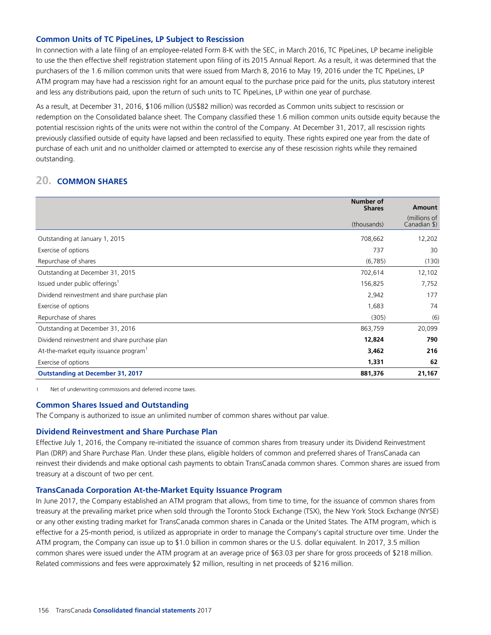## **Common Units of TC PipeLines, LP Subject to Rescission**

In connection with a late filing of an employee-related Form 8-K with the SEC, in March 2016, TC PipeLines, LP became ineligible to use the then effective shelf registration statement upon filing of its 2015 Annual Report. As a result, it was determined that the purchasers of the 1.6 million common units that were issued from March 8, 2016 to May 19, 2016 under the TC PipeLines, LP ATM program may have had a rescission right for an amount equal to the purchase price paid for the units, plus statutory interest and less any distributions paid, upon the return of such units to TC PipeLines, LP within one year of purchase.

As a result, at December 31, 2016, \$106 million (US\$82 million) was recorded as Common units subject to rescission or redemption on the Consolidated balance sheet. The Company classified these 1.6 million common units outside equity because the potential rescission rights of the units were not within the control of the Company. At December 31, 2017, all rescission rights previously classified outside of equity have lapsed and been reclassified to equity. These rights expired one year from the date of purchase of each unit and no unitholder claimed or attempted to exercise any of these rescission rights while they remained outstanding.

# **20. COMMON SHARES**

|                                                    | Number of<br><b>Shares</b> | Amount                       |
|----------------------------------------------------|----------------------------|------------------------------|
|                                                    | (thousands)                | (millions of<br>Canadian \$) |
| Outstanding at January 1, 2015                     | 708,662                    | 12,202                       |
| Exercise of options                                | 737                        | 30                           |
| Repurchase of shares                               | (6, 785)                   | (130)                        |
| Outstanding at December 31, 2015                   | 702,614                    | 12,102                       |
| Issued under public offerings <sup>1</sup>         | 156,825                    | 7,752                        |
| Dividend reinvestment and share purchase plan      | 2,942                      | 177                          |
| Exercise of options                                | 1,683                      | 74                           |
| Repurchase of shares                               | (305)                      | (6)                          |
| Outstanding at December 31, 2016                   | 863,759                    | 20,099                       |
| Dividend reinvestment and share purchase plan      | 12,824                     | 790                          |
| At-the-market equity issuance program <sup>1</sup> | 3,462                      | 216                          |
| Exercise of options                                | 1,331                      | 62                           |
| <b>Outstanding at December 31, 2017</b>            | 881,376                    | 21,167                       |

1 Net of underwriting commissions and deferred income taxes.

## **Common Shares Issued and Outstanding**

The Company is authorized to issue an unlimited number of common shares without par value.

#### **Dividend Reinvestment and Share Purchase Plan**

Effective July 1, 2016, the Company re-initiated the issuance of common shares from treasury under its Dividend Reinvestment Plan (DRP) and Share Purchase Plan. Under these plans, eligible holders of common and preferred shares of TransCanada can reinvest their dividends and make optional cash payments to obtain TransCanada common shares. Common shares are issued from treasury at a discount of two per cent.

#### **TransCanada Corporation At-the-Market Equity Issuance Program**

In June 2017, the Company established an ATM program that allows, from time to time, for the issuance of common shares from treasury at the prevailing market price when sold through the Toronto Stock Exchange (TSX), the New York Stock Exchange (NYSE) or any other existing trading market for TransCanada common shares in Canada or the United States. The ATM program, which is effective for a 25-month period, is utilized as appropriate in order to manage the Company's capital structure over time. Under the ATM program, the Company can issue up to \$1.0 billion in common shares or the U.S. dollar equivalent. In 2017, 3.5 million common shares were issued under the ATM program at an average price of \$63.03 per share for gross proceeds of \$218 million. Related commissions and fees were approximately \$2 million, resulting in net proceeds of \$216 million.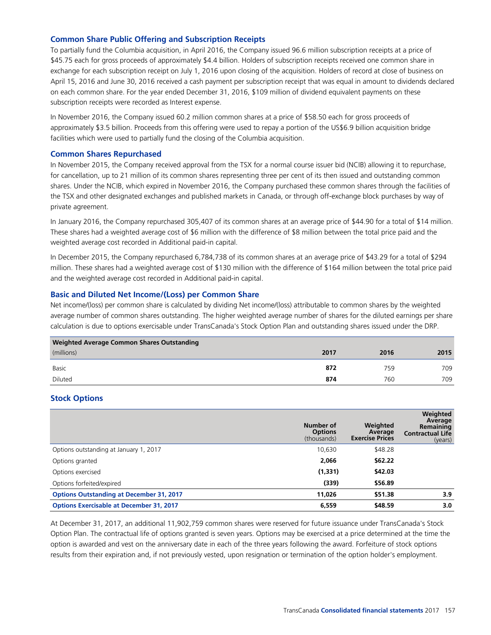## **Common Share Public Offering and Subscription Receipts**

To partially fund the Columbia acquisition, in April 2016, the Company issued 96.6 million subscription receipts at a price of \$45.75 each for gross proceeds of approximately \$4.4 billion. Holders of subscription receipts received one common share in exchange for each subscription receipt on July 1, 2016 upon closing of the acquisition. Holders of record at close of business on April 15, 2016 and June 30, 2016 received a cash payment per subscription receipt that was equal in amount to dividends declared on each common share. For the year ended December 31, 2016, \$109 million of dividend equivalent payments on these subscription receipts were recorded as Interest expense.

In November 2016, the Company issued 60.2 million common shares at a price of \$58.50 each for gross proceeds of approximately \$3.5 billion. Proceeds from this offering were used to repay a portion of the US\$6.9 billion acquisition bridge facilities which were used to partially fund the closing of the Columbia acquisition.

## **Common Shares Repurchased**

In November 2015, the Company received approval from the TSX for a normal course issuer bid (NCIB) allowing it to repurchase, for cancellation, up to 21 million of its common shares representing three per cent of its then issued and outstanding common shares. Under the NCIB, which expired in November 2016, the Company purchased these common shares through the facilities of the TSX and other designated exchanges and published markets in Canada, or through off-exchange block purchases by way of private agreement.

In January 2016, the Company repurchased 305,407 of its common shares at an average price of \$44.90 for a total of \$14 million. These shares had a weighted average cost of \$6 million with the difference of \$8 million between the total price paid and the weighted average cost recorded in Additional paid-in capital.

In December 2015, the Company repurchased 6,784,738 of its common shares at an average price of \$43.29 for a total of \$294 million. These shares had a weighted average cost of \$130 million with the difference of \$164 million between the total price paid and the weighted average cost recorded in Additional paid-in capital.

## **Basic and Diluted Net Income/(Loss) per Common Share**

Net income/(loss) per common share is calculated by dividing Net income/(loss) attributable to common shares by the weighted average number of common shares outstanding. The higher weighted average number of shares for the diluted earnings per share calculation is due to options exercisable under TransCanada's Stock Option Plan and outstanding shares issued under the DRP.

| Weighted Average Common Shares Outstanding |      |      |      |
|--------------------------------------------|------|------|------|
| (millions)                                 | 2017 | 2016 | 2015 |
| <b>Basic</b>                               | 872  | 759  | 709  |
| Diluted                                    | 874  | 760  | 709  |

## **Stock Options**

|                                                 | Number of<br><b>Options</b><br>(thousands) | Weighted<br>Average<br><b>Exercise Prices</b> | Weighted<br>Average<br>Remaining<br><b>Contractual Life</b><br>(years) |
|-------------------------------------------------|--------------------------------------------|-----------------------------------------------|------------------------------------------------------------------------|
| Options outstanding at January 1, 2017          | 10.630                                     | \$48.28                                       |                                                                        |
| Options granted                                 | 2.066                                      | \$62.22                                       |                                                                        |
| Options exercised                               | (1, 331)                                   | \$42.03                                       |                                                                        |
| Options forfeited/expired                       | (339)                                      | \$56.89                                       |                                                                        |
| <b>Options Outstanding at December 31, 2017</b> | 11,026                                     | \$51.38                                       | 3.9                                                                    |
| <b>Options Exercisable at December 31, 2017</b> | 6.559                                      | \$48.59                                       | 3.0                                                                    |

At December 31, 2017, an additional 11,902,759 common shares were reserved for future issuance under TransCanada's Stock Option Plan. The contractual life of options granted is seven years. Options may be exercised at a price determined at the time the option is awarded and vest on the anniversary date in each of the three years following the award. Forfeiture of stock options results from their expiration and, if not previously vested, upon resignation or termination of the option holder's employment.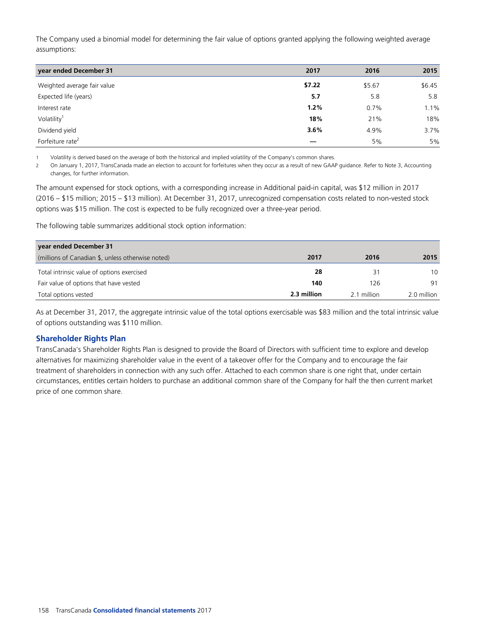The Company used a binomial model for determining the fair value of options granted applying the following weighted average assumptions:

| year ended December 31       | 2017   | 2016    | 2015   |
|------------------------------|--------|---------|--------|
| Weighted average fair value  | \$7.22 | \$5.67  | \$6.45 |
| Expected life (years)        | 5.7    | 5.8     | 5.8    |
| Interest rate                | 1.2%   | $0.7\%$ | 1.1%   |
| Volatility <sup>1</sup>      | 18%    | 21%     | 18%    |
| Dividend yield               | 3.6%   | 4.9%    | 3.7%   |
| Forfeiture rate <sup>2</sup> |        | 5%      | 5%     |

1 Volatility is derived based on the average of both the historical and implied volatility of the Company's common shares.

2 On January 1, 2017, TransCanada made an election to account for forfeitures when they occur as a result of new GAAP guidance. Refer to Note 3, Accounting changes, for further information.

The amount expensed for stock options, with a corresponding increase in Additional paid-in capital, was \$12 million in 2017 (2016 – \$15 million; 2015 – \$13 million). At December 31, 2017, unrecognized compensation costs related to non-vested stock options was \$15 million. The cost is expected to be fully recognized over a three-year period.

The following table summarizes additional stock option information:

| year ended December 31                            |             |             |             |
|---------------------------------------------------|-------------|-------------|-------------|
| (millions of Canadian \$, unless otherwise noted) | 2017        | 2016        | 2015        |
| Total intrinsic value of options exercised        | 28          | 31          | 10          |
| Fair value of options that have vested            | 140         | 126         | 91          |
| Total options vested                              | 2.3 million | 2.1 million | 2.0 million |

As at December 31, 2017, the aggregate intrinsic value of the total options exercisable was \$83 million and the total intrinsic value of options outstanding was \$110 million.

## **Shareholder Rights Plan**

TransCanada's Shareholder Rights Plan is designed to provide the Board of Directors with sufficient time to explore and develop alternatives for maximizing shareholder value in the event of a takeover offer for the Company and to encourage the fair treatment of shareholders in connection with any such offer. Attached to each common share is one right that, under certain circumstances, entitles certain holders to purchase an additional common share of the Company for half the then current market price of one common share.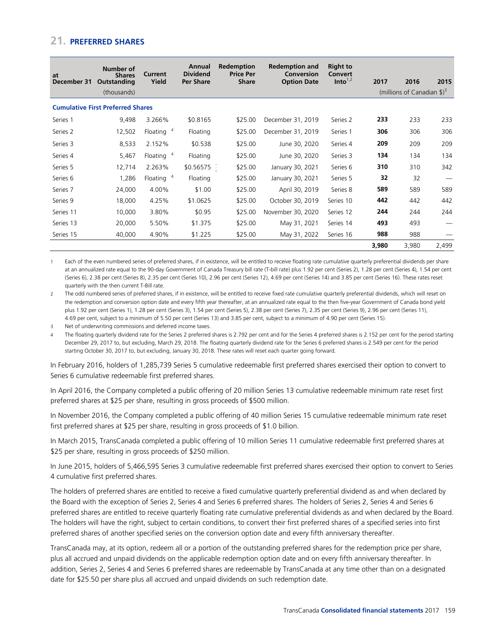# **21. PREFERRED SHARES**

| at<br>December 31 | Number of<br><b>Shares</b><br>Outstanding | Current<br>Yield | Annual<br><b>Dividend</b><br><b>Per Share</b> | <b>Redemption</b><br><b>Price Per</b><br><b>Share</b> | <b>Redemption and</b><br><b>Conversion</b><br><b>Option Date</b> | <b>Right to</b><br><b>Convert</b><br>Into $1,2$ | 2017  | 2016                                               | 2015                            |
|-------------------|-------------------------------------------|------------------|-----------------------------------------------|-------------------------------------------------------|------------------------------------------------------------------|-------------------------------------------------|-------|----------------------------------------------------|---------------------------------|
|                   | (thousands)                               |                  |                                               |                                                       |                                                                  |                                                 |       | (millions of Canadian $\frac{1}{2}$ ) <sup>3</sup> |                                 |
|                   | <b>Cumulative First Preferred Shares</b>  |                  |                                               |                                                       |                                                                  |                                                 |       |                                                    |                                 |
| Series 1          | 9,498                                     | 3.266%           | \$0.8165                                      | \$25.00                                               | December 31, 2019                                                | Series 2                                        | 233   | 233                                                | 233                             |
| Series 2          | 12,502                                    | Floating $4$     | Floating                                      | \$25.00                                               | December 31, 2019                                                | Series 1                                        | 306   | 306                                                | 306                             |
| Series 3          | 8,533                                     | 2.152%           | \$0.538                                       | \$25.00                                               | June 30, 2020                                                    | Series 4                                        | 209   | 209                                                | 209                             |
| Series 4          | 5,467                                     | Floating $4$     | Floating                                      | \$25.00                                               | June 30, 2020                                                    | Series 3                                        | 134   | 134                                                | 134                             |
| Series 5          | 12,714                                    | 2.263%           | \$0.56575                                     | \$25.00                                               | January 30, 2021                                                 | Series 6                                        | 310   | 310                                                | 342                             |
| Series 6          | 1,286                                     | Floating $4$     | Floating                                      | \$25.00                                               | January 30, 2021                                                 | Series 5                                        | 32    | 32                                                 | $\hspace{0.1mm}-\hspace{0.1mm}$ |
| Series 7          | 24,000                                    | 4.00%            | \$1.00                                        | \$25.00                                               | April 30, 2019                                                   | Series 8                                        | 589   | 589                                                | 589                             |
| Series 9          | 18,000                                    | 4.25%            | \$1.0625                                      | \$25.00                                               | October 30, 2019                                                 | Series 10                                       | 442   | 442                                                | 442                             |
| Series 11         | 10,000                                    | 3.80%            | \$0.95                                        | \$25.00                                               | November 30, 2020                                                | Series 12                                       | 244   | 244                                                | 244                             |
| Series 13         | 20,000                                    | 5.50%            | \$1.375                                       | \$25.00                                               | May 31, 2021                                                     | Series 14                                       | 493   | 493                                                |                                 |
| Series 15         | 40,000                                    | 4.90%            | \$1.225                                       | \$25.00                                               | May 31, 2022                                                     | Series 16                                       | 988   | 988                                                |                                 |
|                   |                                           |                  |                                               |                                                       |                                                                  |                                                 | 3,980 | 3,980                                              | 2,499                           |

1 Each of the even numbered series of preferred shares, if in existence, will be entitled to receive floating rate cumulative quarterly preferential dividends per share at an annualized rate equal to the 90-day Government of Canada Treasury bill rate (T-bill rate) plus 1.92 per cent (Series 2), 1.28 per cent (Series 4), 1.54 per cent (Series 6), 2.38 per cent (Series 8), 2.35 per cent (Series 10), 2.96 per cent (Series 12), 4.69 per cent (Series 14) and 3.85 per cent (Series 16). These rates reset quarterly with the then current T-Bill rate.

2 The odd numbered series of preferred shares, if in existence, will be entitled to receive fixed rate cumulative quarterly preferential dividends, which will reset on the redemption and conversion option date and every fifth year thereafter, at an annualized rate equal to the then five-year Government of Canada bond yield plus 1.92 per cent (Series 1), 1.28 per cent (Series 3), 1.54 per cent (Series 5), 2.38 per cent (Series 7), 2.35 per cent (Series 9), 2.96 per cent (Series 11), 4.69 per cent, subject to a minimum of 5.50 per cent (Series 13) and 3.85 per cent, subject to a minimum of 4.90 per cent (Series 15).

3 Net of underwriting commissions and deferred income taxes.

The floating quarterly dividend rate for the Series 2 preferred shares is 2.792 per cent and for the Series 4 preferred shares is 2.152 per cent for the period starting December 29, 2017 to, but excluding, March 29, 2018. The floating quarterly dividend rate for the Series 6 preferred shares is 2.549 per cent for the period starting October 30, 2017 to, but excluding, January 30, 2018. These rates will reset each quarter going forward.

In February 2016, holders of 1,285,739 Series 5 cumulative redeemable first preferred shares exercised their option to convert to Series 6 cumulative redeemable first preferred shares.

In April 2016, the Company completed a public offering of 20 million Series 13 cumulative redeemable minimum rate reset first preferred shares at \$25 per share, resulting in gross proceeds of \$500 million.

In November 2016, the Company completed a public offering of 40 million Series 15 cumulative redeemable minimum rate reset first preferred shares at \$25 per share, resulting in gross proceeds of \$1.0 billion.

In March 2015, TransCanada completed a public offering of 10 million Series 11 cumulative redeemable first preferred shares at \$25 per share, resulting in gross proceeds of \$250 million.

In June 2015, holders of 5,466,595 Series 3 cumulative redeemable first preferred shares exercised their option to convert to Series 4 cumulative first preferred shares.

The holders of preferred shares are entitled to receive a fixed cumulative quarterly preferential dividend as and when declared by the Board with the exception of Series 2, Series 4 and Series 6 preferred shares. The holders of Series 2, Series 4 and Series 6 preferred shares are entitled to receive quarterly floating rate cumulative preferential dividends as and when declared by the Board. The holders will have the right, subject to certain conditions, to convert their first preferred shares of a specified series into first preferred shares of another specified series on the conversion option date and every fifth anniversary thereafter.

TransCanada may, at its option, redeem all or a portion of the outstanding preferred shares for the redemption price per share, plus all accrued and unpaid dividends on the applicable redemption option date and on every fifth anniversary thereafter. In addition, Series 2, Series 4 and Series 6 preferred shares are redeemable by TransCanada at any time other than on a designated date for \$25.50 per share plus all accrued and unpaid dividends on such redemption date.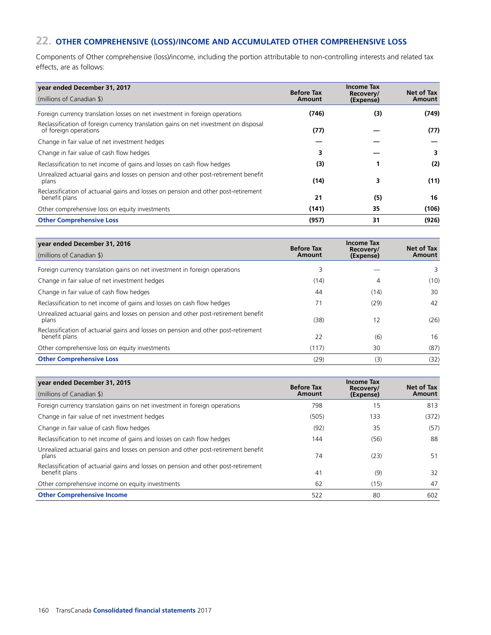# **22. OTHER COMPREHENSIVE (LOSS)/INCOME AND ACCUMULATED OTHER COMPREHENSIVE LOSS**

Components of Other comprehensive (loss)/income, including the portion attributable to non-controlling interests and related tax effects, are as follows:

| vear ended December 31, 2017                                                                                  | <b>Before Tax</b> | <b>Income Tax</b><br>Recovery/ | Net of Tax |
|---------------------------------------------------------------------------------------------------------------|-------------------|--------------------------------|------------|
| (millions of Canadian \$)                                                                                     | Amount            | (Expense)                      | Amount     |
| Foreign currency translation losses on net investment in foreign operations                                   | (746)             | (3)                            | (749)      |
| Reclassification of foreign currency translation gains on net investment on disposal<br>of foreign operations | (77)              |                                | (77)       |
| Change in fair value of net investment hedges                                                                 |                   |                                |            |
| Change in fair value of cash flow hedges                                                                      | 3                 |                                | 3          |
| Reclassification to net income of gains and losses on cash flow hedges                                        | (3)               |                                | (2)        |
| Unrealized actuarial gains and losses on pension and other post-retirement benefit<br>plans                   | (14)              | 3                              | (11)       |
| Reclassification of actuarial gains and losses on pension and other post-retirement<br>benefit plans          | 21                | (5)                            | 16         |
| Other comprehensive loss on equity investments                                                                | (141)             | 35                             | (106)      |
| <b>Other Comprehensive Loss</b>                                                                               | (957)             | 31                             | (926)      |

| vear ended December 31, 2016                                                                         | <b>Before Tax</b> | <b>Income Tax</b>      | Net of Tax |
|------------------------------------------------------------------------------------------------------|-------------------|------------------------|------------|
| (millions of Canadian \$)                                                                            | Amount            | Recovery/<br>(Expense) | Amount     |
| Foreign currency translation gains on net investment in foreign operations                           | 3                 |                        | 3          |
| Change in fair value of net investment hedges                                                        | (14)              | 4                      | (10)       |
| Change in fair value of cash flow hedges                                                             | 44                | (14)                   | 30         |
| Reclassification to net income of gains and losses on cash flow hedges                               | 71                | (29)                   | 42         |
| Unrealized actuarial gains and losses on pension and other post-retirement benefit<br>plans          | (38)              | 12                     | (26)       |
| Reclassification of actuarial gains and losses on pension and other post-retirement<br>benefit plans | 22                | (6)                    | 16         |
| Other comprehensive loss on equity investments                                                       | (117)             | 30                     | (87)       |
| <b>Other Comprehensive Loss</b>                                                                      | (29)              | (3)                    | (32)       |

| year ended December 31, 2015                                                                         | <b>Before Tax</b> | <b>Income Tax</b>      | Net of Tax |
|------------------------------------------------------------------------------------------------------|-------------------|------------------------|------------|
| (millions of Canadian \$)                                                                            | Amount            | Recovery/<br>(Expense) | Amount     |
| Foreign currency translation gains on net investment in foreign operations                           | 798               | 15                     | 813        |
| Change in fair value of net investment hedges                                                        | (505)             | 133                    | (372)      |
| Change in fair value of cash flow hedges                                                             | (92)              | 35                     | (57)       |
| Reclassification to net income of gains and losses on cash flow hedges                               | 144               | (56)                   | 88         |
| Unrealized actuarial gains and losses on pension and other post-retirement benefit<br>plans          | 74                | (23)                   | 51         |
| Reclassification of actuarial gains and losses on pension and other post-retirement<br>benefit plans | 41                | (9)                    | 32         |
| Other comprehensive income on equity investments                                                     | 62                | (15)                   | 47         |
| <b>Other Comprehensive Income</b>                                                                    | 522               | 80                     | 602        |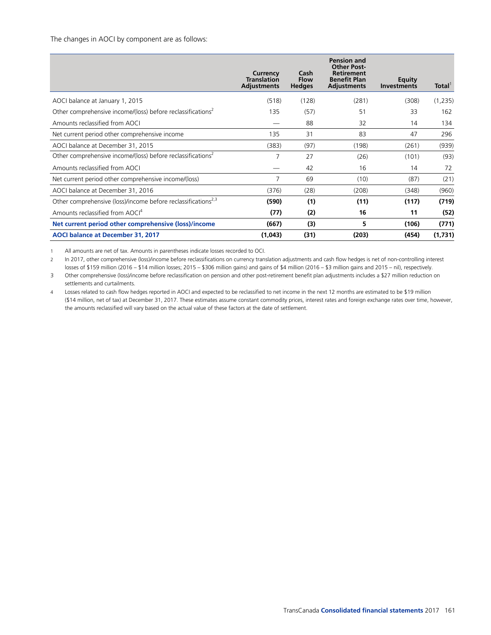#### The changes in AOCI by component are as follows:

|                                                                           | Currency<br>Translation<br><b>Adjustments</b> | Cash<br><b>Flow</b><br><b>Hedges</b> | <b>Pension and</b><br><b>Other Post-</b><br><b>Retirement</b><br><b>Benefit Plan</b><br><b>Adjustments</b> | <b>Equity</b><br><b>Investments</b> | <b>Total</b> |
|---------------------------------------------------------------------------|-----------------------------------------------|--------------------------------------|------------------------------------------------------------------------------------------------------------|-------------------------------------|--------------|
| AOCI balance at January 1, 2015                                           | (518)                                         | (128)                                | (281)                                                                                                      | (308)                               | (1,235)      |
| Other comprehensive income/(loss) before reclassifications <sup>2</sup>   | 135                                           | (57)                                 | 51                                                                                                         | 33                                  | 162          |
| Amounts reclassified from AOCI                                            |                                               | 88                                   | 32                                                                                                         | 14                                  | 134          |
| Net current period other comprehensive income                             | 135                                           | 31                                   | 83                                                                                                         | 47                                  | 296          |
| AOCI balance at December 31, 2015                                         | (383)                                         | (97)                                 | (198)                                                                                                      | (261)                               | (939)        |
| Other comprehensive income/(loss) before reclassifications <sup>2</sup>   | 7                                             | 27                                   | (26)                                                                                                       | (101)                               | (93)         |
| Amounts reclassified from AOCI                                            |                                               | 42                                   | 16                                                                                                         | 14                                  | 72           |
| Net current period other comprehensive income/(loss)                      | 7                                             | 69                                   | (10)                                                                                                       | (87)                                | (21)         |
| AOCI balance at December 31, 2016                                         | (376)                                         | (28)                                 | (208)                                                                                                      | (348)                               | (960)        |
| Other comprehensive (loss)/income before reclassifications <sup>2,3</sup> | (590)                                         | (1)                                  | (11)                                                                                                       | (117)                               | (719)        |
| Amounts reclassified from AOCI <sup>4</sup>                               | (77)                                          | (2)                                  | 16                                                                                                         | 11                                  | (52)         |
| Net current period other comprehensive (loss)/income                      | (667)                                         | (3)                                  | 5                                                                                                          | (106)                               | (771)        |
| AOCI balance at December 31, 2017                                         | (1,043)                                       | (31)                                 | (203)                                                                                                      | (454)                               | (1,731)      |

1 All amounts are net of tax. Amounts in parentheses indicate losses recorded to OCI.

2 In 2017, other comprehensive (loss)/income before reclassifications on currency translation adjustments and cash flow hedges is net of non-controlling interest losses of \$159 million (2016 – \$14 million losses; 2015 – \$306 million gains) and gains of \$4 million (2016 – \$3 million gains and 2015 – nil), respectively.

3 Other comprehensive (loss)/income before reclassification on pension and other post-retirement benefit plan adjustments includes a \$27 million reduction on settlements and curtailments.

4 Losses related to cash flow hedges reported in AOCI and expected to be reclassified to net income in the next 12 months are estimated to be \$19 million (\$14 million, net of tax) at December 31, 2017. These estimates assume constant commodity prices, interest rates and foreign exchange rates over time, however, the amounts reclassified will vary based on the actual value of these factors at the date of settlement.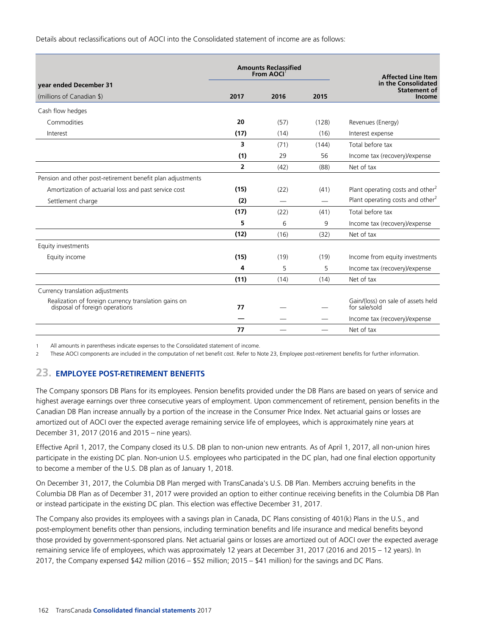Details about reclassifications out of AOCI into the Consolidated statement of income are as follows:

|                                                                                        |                | <b>Amounts Reclassified</b><br>From $AOCI1$ |       | <b>Affected Line Item</b>                           |
|----------------------------------------------------------------------------------------|----------------|---------------------------------------------|-------|-----------------------------------------------------|
| year ended December 31                                                                 |                |                                             |       | in the Consolidated<br><b>Statement of</b>          |
| (millions of Canadian \$)                                                              | 2017           | 2016                                        | 2015  | Income                                              |
| Cash flow hedges                                                                       |                |                                             |       |                                                     |
| Commodities                                                                            | 20             | (57)                                        | (128) | Revenues (Energy)                                   |
| Interest                                                                               | (17)           | (14)                                        | (16)  | Interest expense                                    |
|                                                                                        | 3              | (71)                                        | (144) | Total before tax                                    |
|                                                                                        | (1)            | 29                                          | 56    | Income tax (recovery)/expense                       |
|                                                                                        | $\overline{2}$ | (42)                                        | (88)  | Net of tax                                          |
| Pension and other post-retirement benefit plan adjustments                             |                |                                             |       |                                                     |
| Amortization of actuarial loss and past service cost                                   | (15)           | (22)                                        | (41)  | Plant operating costs and other <sup>2</sup>        |
| Settlement charge                                                                      | (2)            |                                             |       | Plant operating costs and other <sup>2</sup>        |
|                                                                                        | (17)           | (22)                                        | (41)  | Total before tax                                    |
|                                                                                        | 5              | 6                                           | 9     | Income tax (recovery)/expense                       |
|                                                                                        | (12)           | (16)                                        | (32)  | Net of tax                                          |
| Equity investments                                                                     |                |                                             |       |                                                     |
| Equity income                                                                          | (15)           | (19)                                        | (19)  | Income from equity investments                      |
|                                                                                        | 4              | 5                                           | 5     | Income tax (recovery)/expense                       |
|                                                                                        | (11)           | (14)                                        | (14)  | Net of tax                                          |
| Currency translation adjustments                                                       |                |                                             |       |                                                     |
| Realization of foreign currency translation gains on<br>disposal of foreign operations | 77             |                                             |       | Gain/(loss) on sale of assets held<br>for sale/sold |
|                                                                                        |                |                                             |       | Income tax (recovery)/expense                       |
|                                                                                        | 77             |                                             |       | Net of tax                                          |

1 All amounts in parentheses indicate expenses to the Consolidated statement of income.

2 These AOCI components are included in the computation of net benefit cost. Refer to Note 23, Employee post-retirement benefits for further information.

## **23. EMPLOYEE POST-RETIREMENT BENEFITS**

The Company sponsors DB Plans for its employees. Pension benefits provided under the DB Plans are based on years of service and highest average earnings over three consecutive years of employment. Upon commencement of retirement, pension benefits in the Canadian DB Plan increase annually by a portion of the increase in the Consumer Price Index. Net actuarial gains or losses are amortized out of AOCI over the expected average remaining service life of employees, which is approximately nine years at December 31, 2017 (2016 and 2015 – nine years).

Effective April 1, 2017, the Company closed its U.S. DB plan to non-union new entrants. As of April 1, 2017, all non-union hires participate in the existing DC plan. Non-union U.S. employees who participated in the DC plan, had one final election opportunity to become a member of the U.S. DB plan as of January 1, 2018.

On December 31, 2017, the Columbia DB Plan merged with TransCanada's U.S. DB Plan. Members accruing benefits in the Columbia DB Plan as of December 31, 2017 were provided an option to either continue receiving benefits in the Columbia DB Plan or instead participate in the existing DC plan. This election was effective December 31, 2017.

The Company also provides its employees with a savings plan in Canada, DC Plans consisting of 401(k) Plans in the U.S., and post-employment benefits other than pensions, including termination benefits and life insurance and medical benefits beyond those provided by government-sponsored plans. Net actuarial gains or losses are amortized out of AOCI over the expected average remaining service life of employees, which was approximately 12 years at December 31, 2017 (2016 and 2015 – 12 years). In 2017, the Company expensed \$42 million (2016 – \$52 million; 2015 – \$41 million) for the savings and DC Plans.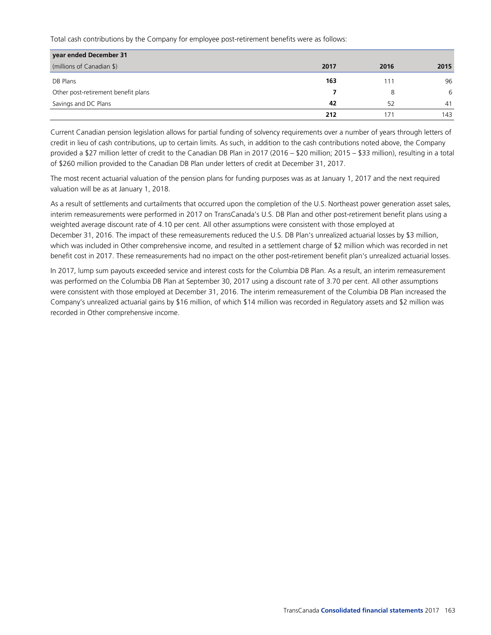Total cash contributions by the Company for employee post-retirement benefits were as follows:

| year ended December 31              |      |      |      |
|-------------------------------------|------|------|------|
| (millions of Canadian \$)           | 2017 | 2016 | 2015 |
| DB Plans                            | 163  | 111  | 96   |
| Other post-retirement benefit plans |      | 8    | 6    |
| Savings and DC Plans                | 42   | 52   | 41   |
|                                     | 212  | 171  | 143  |

Current Canadian pension legislation allows for partial funding of solvency requirements over a number of years through letters of credit in lieu of cash contributions, up to certain limits. As such, in addition to the cash contributions noted above, the Company provided a \$27 million letter of credit to the Canadian DB Plan in 2017 (2016 – \$20 million; 2015 – \$33 million), resulting in a total of \$260 million provided to the Canadian DB Plan under letters of credit at December 31, 2017.

The most recent actuarial valuation of the pension plans for funding purposes was as at January 1, 2017 and the next required valuation will be as at January 1, 2018.

As a result of settlements and curtailments that occurred upon the completion of the U.S. Northeast power generation asset sales, interim remeasurements were performed in 2017 on TransCanada's U.S. DB Plan and other post-retirement benefit plans using a weighted average discount rate of 4.10 per cent. All other assumptions were consistent with those employed at December 31, 2016. The impact of these remeasurements reduced the U.S. DB Plan's unrealized actuarial losses by \$3 million, which was included in Other comprehensive income, and resulted in a settlement charge of \$2 million which was recorded in net benefit cost in 2017. These remeasurements had no impact on the other post-retirement benefit plan's unrealized actuarial losses.

In 2017, lump sum payouts exceeded service and interest costs for the Columbia DB Plan. As a result, an interim remeasurement was performed on the Columbia DB Plan at September 30, 2017 using a discount rate of 3.70 per cent. All other assumptions were consistent with those employed at December 31, 2016. The interim remeasurement of the Columbia DB Plan increased the Company's unrealized actuarial gains by \$16 million, of which \$14 million was recorded in Regulatory assets and \$2 million was recorded in Other comprehensive income.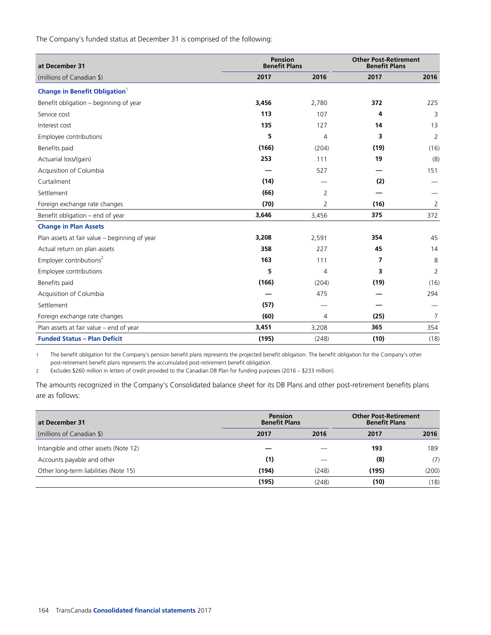The Company's funded status at December 31 is comprised of the following:

| at December 31                                | <b>Pension</b><br><b>Benefit Plans</b> |                | <b>Other Post-Retirement</b><br><b>Benefit Plans</b> |                |  |
|-----------------------------------------------|----------------------------------------|----------------|------------------------------------------------------|----------------|--|
| (millions of Canadian \$)                     | 2017                                   | 2016           | 2017                                                 | 2016           |  |
| Change in Benefit Obligation <sup>1</sup>     |                                        |                |                                                      |                |  |
| Benefit obligation - beginning of year        | 3.456                                  | 2,780          | 372                                                  | 225            |  |
| Service cost                                  | 113                                    | 107            | 4                                                    | 3              |  |
| Interest cost                                 | 135                                    | 127            | 14                                                   | 13             |  |
| Employee contributions                        | 5                                      | 4              | 3                                                    | $\overline{2}$ |  |
| Benefits paid                                 | (166)                                  | (204)          | (19)                                                 | (16)           |  |
| Actuarial loss/(gain)                         | 253                                    | 111            | 19                                                   | (8)            |  |
| Acquisition of Columbia                       |                                        | 527            |                                                      | 151            |  |
| Curtailment                                   | (14)                                   |                | (2)                                                  |                |  |
| Settlement                                    | (66)                                   | $\overline{2}$ |                                                      |                |  |
| Foreign exchange rate changes                 | (70)                                   | 2              | (16)                                                 | $\overline{2}$ |  |
| Benefit obligation - end of year              | 3,646                                  | 3,456          | 375                                                  | 372            |  |
| <b>Change in Plan Assets</b>                  |                                        |                |                                                      |                |  |
| Plan assets at fair value - beginning of year | 3,208                                  | 2,591          | 354                                                  | 45             |  |
| Actual return on plan assets                  | 358                                    | 227            | 45                                                   | 14             |  |
| Employer contributions <sup>2</sup>           | 163                                    | 111            | 7                                                    | 8              |  |
| Employee contributions                        | 5                                      | 4              | 3                                                    | 2              |  |
| Benefits paid                                 | (166)                                  | (204)          | (19)                                                 | (16)           |  |
| Acquisition of Columbia                       |                                        | 475            |                                                      | 294            |  |
| Settlement                                    | (57)                                   |                |                                                      |                |  |
| Foreign exchange rate changes                 | (60)                                   | 4              | (25)                                                 | 7              |  |
| Plan assets at fair value - end of year       | 3,451                                  | 3,208          | 365                                                  | 354            |  |
| <b>Funded Status - Plan Deficit</b>           | (195)                                  | (248)          | (10)                                                 | (18)           |  |

1 The benefit obligation for the Company's pension benefit plans represents the projected benefit obligation. The benefit obligation for the Company's other post-retirement benefit plans represents the accumulated post-retirement benefit obligation.

2 Excludes \$260 million in letters of credit provided to the Canadian DB Plan for funding purposes (2016 – \$233 million).

The amounts recognized in the Company's Consolidated balance sheet for its DB Plans and other post-retirement benefits plans are as follows:

| at December 31                        | <b>Pension</b><br><b>Benefit Plans</b> |       | <b>Other Post-Retirement</b><br><b>Benefit Plans</b> |       |  |
|---------------------------------------|----------------------------------------|-------|------------------------------------------------------|-------|--|
| (millions of Canadian \$)             | 2017                                   | 2016  | 2017                                                 | 2016  |  |
| Intangible and other assets (Note 12) |                                        |       | 193                                                  | 189   |  |
| Accounts payable and other            | (1)                                    |       | (8)                                                  | (7)   |  |
| Other long-term liabilities (Note 15) | (194)                                  | (248) | (195)                                                | (200) |  |
|                                       | (195)                                  | (248) | (10)                                                 | (18)  |  |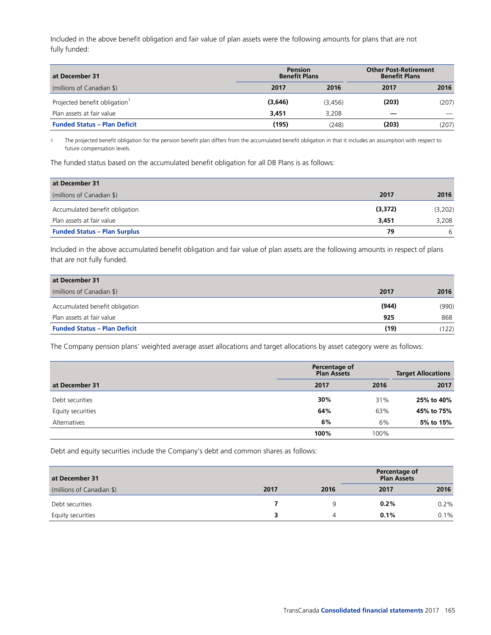Included in the above benefit obligation and fair value of plan assets were the following amounts for plans that are not fully funded:

| at December 31                            | Pension<br><b>Benefit Plans</b> |         | <b>Other Post-Retirement</b><br><b>Benefit Plans</b> |       |  |
|-------------------------------------------|---------------------------------|---------|------------------------------------------------------|-------|--|
| (millions of Canadian \$)                 | 2017                            | 2016    | 2017                                                 | 2016  |  |
| Projected benefit obligation <sup>1</sup> | (3,646)                         | (3,456) | (203)                                                | (207) |  |
| Plan assets at fair value                 | 3,451                           | 3.208   |                                                      |       |  |
| <b>Funded Status - Plan Deficit</b>       | (195)                           | (248)   | (203)                                                | (207) |  |

1 The projected benefit obligation for the pension benefit plan differs from the accumulated benefit obligation in that it includes an assumption with respect to future compensation levels.

The funded status based on the accumulated benefit obligation for all DB Plans is as follows:

| at December 31                      |         |         |
|-------------------------------------|---------|---------|
| (millions of Canadian \$)           | 2017    | 2016    |
| Accumulated benefit obligation      | (3,372) | (3,202) |
| Plan assets at fair value           | 3.451   | 3,208   |
| <b>Funded Status - Plan Surplus</b> | 79      | 6       |

Included in the above accumulated benefit obligation and fair value of plan assets are the following amounts in respect of plans that are not fully funded.

| at December 31                      |       |       |
|-------------------------------------|-------|-------|
| (millions of Canadian \$)           | 2017  | 2016  |
| Accumulated benefit obligation      | (944) | (990) |
| Plan assets at fair value           | 925   | 868   |
| <b>Funded Status - Plan Deficit</b> | (19)  | (122) |

The Company pension plans' weighted average asset allocations and target allocations by asset category were as follows:

|                   |      | Percentage of<br><b>Plan Assets</b> |            |  |
|-------------------|------|-------------------------------------|------------|--|
| at December 31    | 2017 | 2016                                | 2017       |  |
| Debt securities   | 30%  | 31%                                 | 25% to 40% |  |
| Equity securities | 64%  | 63%                                 | 45% to 75% |  |
| Alternatives      | 6%   | 6%                                  | 5% to 15%  |  |
|                   | 100% | 100%                                |            |  |

Debt and equity securities include the Company's debt and common shares as follows:

| at December 31            |      |                | Percentage of<br><b>Plan Assets</b> |      |  |
|---------------------------|------|----------------|-------------------------------------|------|--|
| (millions of Canadian \$) | 2017 | 2016           | 2017                                | 2016 |  |
| Debt securities           |      | q              | 0.2%                                | 0.2% |  |
| Equity securities         |      | $\overline{a}$ | 0.1%                                | 0.1% |  |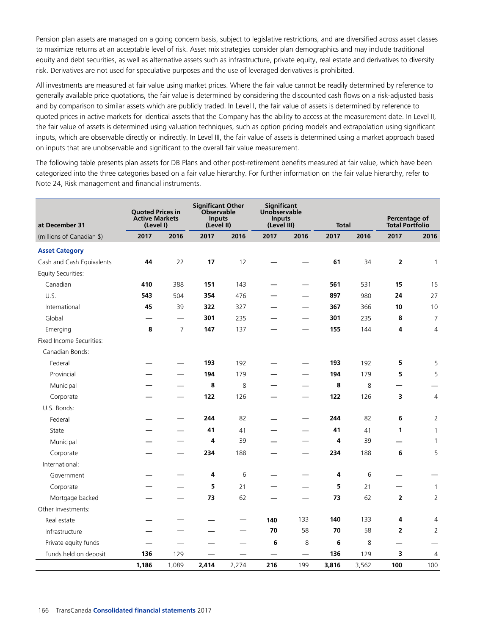Pension plan assets are managed on a going concern basis, subject to legislative restrictions, and are diversified across asset classes to maximize returns at an acceptable level of risk. Asset mix strategies consider plan demographics and may include traditional equity and debt securities, as well as alternative assets such as infrastructure, private equity, real estate and derivatives to diversify risk. Derivatives are not used for speculative purposes and the use of leveraged derivatives is prohibited.

All investments are measured at fair value using market prices. Where the fair value cannot be readily determined by reference to generally available price quotations, the fair value is determined by considering the discounted cash flows on a risk-adjusted basis and by comparison to similar assets which are publicly traded. In Level I, the fair value of assets is determined by reference to quoted prices in active markets for identical assets that the Company has the ability to access at the measurement date. In Level II, the fair value of assets is determined using valuation techniques, such as option pricing models and extrapolation using significant inputs, which are observable directly or indirectly. In Level III, the fair value of assets is determined using a market approach based on inputs that are unobservable and significant to the overall fair value measurement.

The following table presents plan assets for DB Plans and other post-retirement benefits measured at fair value, which have been categorized into the three categories based on a fair value hierarchy. For further information on the fair value hierarchy, refer to Note 24, Risk management and financial instruments.

| at December 31            | <b>Ouoted Prices in</b><br><b>Active Markets</b><br>(Level I) |                | <b>Significant Other</b><br><b>Observable</b><br><b>Inputs</b><br>(Level II) |                          | Significant<br><b>Unobservable</b><br><b>Inputs</b><br>(Level III) |                               | <b>Total</b> |       | Percentage of<br><b>Total Portfolio</b> |                |
|---------------------------|---------------------------------------------------------------|----------------|------------------------------------------------------------------------------|--------------------------|--------------------------------------------------------------------|-------------------------------|--------------|-------|-----------------------------------------|----------------|
| (millions of Canadian \$) | 2017                                                          | 2016           | 2017                                                                         | 2016                     | 2017                                                               | 2016                          | 2017         | 2016  | 2017                                    | 2016           |
| <b>Asset Category</b>     |                                                               |                |                                                                              |                          |                                                                    |                               |              |       |                                         |                |
| Cash and Cash Equivalents | 44                                                            | 22             | 17                                                                           | 12                       |                                                                    |                               | 61           | 34    | $\overline{\mathbf{2}}$                 | $\mathbf{1}$   |
| Equity Securities:        |                                                               |                |                                                                              |                          |                                                                    |                               |              |       |                                         |                |
| Canadian                  | 410                                                           | 388            | 151                                                                          | 143                      |                                                                    |                               | 561          | 531   | 15                                      | 15             |
| U.S.                      | 543                                                           | 504            | 354                                                                          | 476                      |                                                                    |                               | 897          | 980   | 24                                      | 27             |
| International             | 45                                                            | 39             | 322                                                                          | 327                      |                                                                    |                               | 367          | 366   | 10                                      | 10             |
| Global                    |                                                               |                | 301                                                                          | 235                      |                                                                    |                               | 301          | 235   | 8                                       | $\overline{7}$ |
| Emerging                  | 8                                                             | $\overline{7}$ | 147                                                                          | 137                      |                                                                    | $\overline{\phantom{0}}$      | 155          | 144   | 4                                       | $\overline{4}$ |
| Fixed Income Securities:  |                                                               |                |                                                                              |                          |                                                                    |                               |              |       |                                         |                |
| Canadian Bonds:           |                                                               |                |                                                                              |                          |                                                                    |                               |              |       |                                         |                |
| Federal                   |                                                               |                | 193                                                                          | 192                      |                                                                    |                               | 193          | 192   | 5                                       | 5              |
| Provincial                |                                                               |                | 194                                                                          | 179                      |                                                                    | $\overline{\phantom{0}}$      | 194          | 179   | 5                                       | 5              |
| Municipal                 |                                                               |                | 8                                                                            | 8                        |                                                                    |                               | 8            | 8     |                                         |                |
| Corporate                 |                                                               |                | 122                                                                          | 126                      |                                                                    |                               | 122          | 126   | 3                                       | $\overline{4}$ |
| U.S. Bonds:               |                                                               |                |                                                                              |                          |                                                                    |                               |              |       |                                         |                |
| Federal                   |                                                               |                | 244                                                                          | 82                       |                                                                    | $\overbrace{\phantom{aaaaa}}$ | 244          | 82    | 6                                       | $\overline{2}$ |
| State                     |                                                               |                | 41                                                                           | 41                       |                                                                    |                               | 41           | 41    | 1                                       | $\mathbf{1}$   |
| Municipal                 |                                                               |                | 4                                                                            | 39                       |                                                                    |                               | 4            | 39    |                                         | $\mathbf{1}$   |
| Corporate                 |                                                               |                | 234                                                                          | 188                      |                                                                    |                               | 234          | 188   | 6                                       | 5              |
| International:            |                                                               |                |                                                                              |                          |                                                                    |                               |              |       |                                         |                |
| Government                |                                                               |                | 4                                                                            | 6                        |                                                                    |                               | 4            | 6     |                                         |                |
| Corporate                 |                                                               |                | 5                                                                            | 21                       |                                                                    |                               | 5            | 21    |                                         | $\mathbf{1}$   |
| Mortgage backed           |                                                               |                | 73                                                                           | 62                       |                                                                    |                               | 73           | 62    | $\overline{2}$                          | $\overline{2}$ |
| Other Investments:        |                                                               |                |                                                                              |                          |                                                                    |                               |              |       |                                         |                |
| Real estate               |                                                               |                |                                                                              |                          | 140                                                                | 133                           | 140          | 133   | 4                                       | 4              |
| Infrastructure            |                                                               |                |                                                                              |                          | 70                                                                 | 58                            | 70           | 58    | 2                                       | $\overline{2}$ |
| Private equity funds      |                                                               |                |                                                                              | $\overline{\phantom{0}}$ | 6                                                                  | 8                             | 6            | 8     |                                         |                |
| Funds held on deposit     | 136                                                           | 129            |                                                                              |                          |                                                                    |                               | 136          | 129   | 3                                       | 4              |
|                           | 1,186                                                         | 1.089          | 2.414                                                                        | 2,274                    | 216                                                                | 199                           | 3.816        | 3.562 | 100                                     | 100            |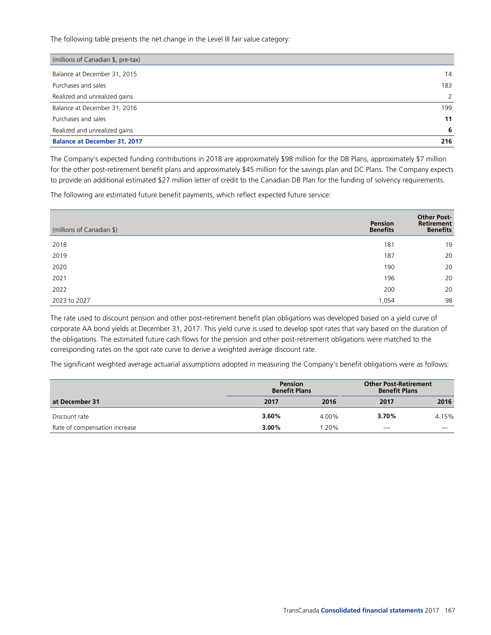The following table presents the net change in the Level III fair value category:

| (millions of Canadian \$, pre-tax)  |               |
|-------------------------------------|---------------|
| Balance at December 31, 2015        | 14            |
| Purchases and sales                 | 183           |
| Realized and unrealized gains       | $\mathcal{P}$ |
| Balance at December 31, 2016        | 199           |
| Purchases and sales                 | 11            |
| Realized and unrealized gains       | 6             |
| <b>Balance at December 31, 2017</b> | 216           |

The Company's expected funding contributions in 2018 are approximately \$98 million for the DB Plans, approximately \$7 million for the other post-retirement benefit plans and approximately \$45 million for the savings plan and DC Plans. The Company expects to provide an additional estimated \$27 million letter of credit to the Canadian DB Plan for the funding of solvency requirements.

The following are estimated future benefit payments, which reflect expected future service:

| (millions of Canadian \$) | Pension<br><b>Benefits</b> | <b>Other Post-</b><br>Retirement<br><b>Benefits</b> |
|---------------------------|----------------------------|-----------------------------------------------------|
| 2018                      | 181                        | 19                                                  |
| 2019                      | 187                        | 20                                                  |
| 2020                      | 190                        | 20                                                  |
| 2021                      | 196                        | 20                                                  |
| 2022                      | 200                        | 20                                                  |
| 2023 to 2027              | 1,054                      | 98                                                  |

The rate used to discount pension and other post-retirement benefit plan obligations was developed based on a yield curve of corporate AA bond yields at December 31, 2017. This yield curve is used to develop spot rates that vary based on the duration of the obligations. The estimated future cash flows for the pension and other post-retirement obligations were matched to the corresponding rates on the spot rate curve to derive a weighted average discount rate.

The significant weighted average actuarial assumptions adopted in measuring the Company's benefit obligations were as follows:

|                               | <b>Pension</b><br><b>Benefit Plans</b> |       | <b>Other Post-Retirement</b><br><b>Benefit Plans</b> |       |  |
|-------------------------------|----------------------------------------|-------|------------------------------------------------------|-------|--|
| at December 31                | 2017                                   | 2016  | 2017                                                 | 2016  |  |
| Discount rate                 | 3.60%                                  | 4.00% | 3.70%                                                | 4.15% |  |
| Rate of compensation increase | $3.00\%$                               | .20%  | $\overline{\phantom{a}}$                             |       |  |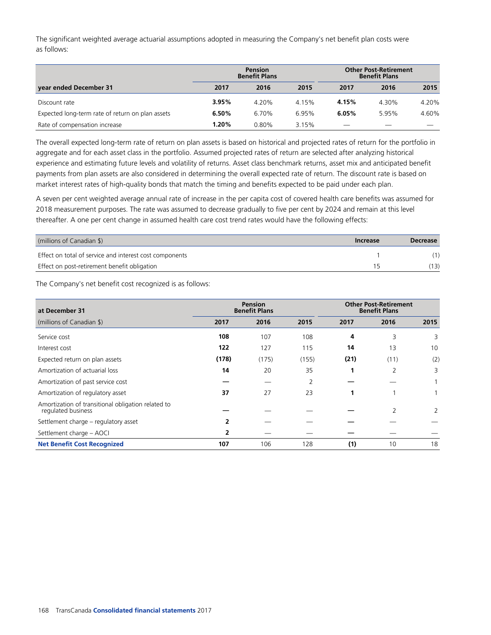The significant weighted average actuarial assumptions adopted in measuring the Company's net benefit plan costs were as follows:

|                                                  | <b>Pension</b><br><b>Benefit Plans</b> |       |       | <b>Other Post-Retirement</b><br><b>Benefit Plans</b> |       |       |
|--------------------------------------------------|----------------------------------------|-------|-------|------------------------------------------------------|-------|-------|
| year ended December 31                           | 2017                                   | 2016  | 2015  | 2017                                                 | 2016  | 2015  |
| Discount rate                                    | 3.95%                                  | 4.20% | 4.15% | 4.15%                                                | 4.30% | 4.20% |
| Expected long-term rate of return on plan assets | 6.50%                                  | 6.70% | 6.95% | 6.05%                                                | 5.95% | 4.60% |
| Rate of compensation increase                    | 1.20%                                  | 0.80% | 3.15% | __                                                   |       |       |

The overall expected long-term rate of return on plan assets is based on historical and projected rates of return for the portfolio in aggregate and for each asset class in the portfolio. Assumed projected rates of return are selected after analyzing historical experience and estimating future levels and volatility of returns. Asset class benchmark returns, asset mix and anticipated benefit payments from plan assets are also considered in determining the overall expected rate of return. The discount rate is based on market interest rates of high-quality bonds that match the timing and benefits expected to be paid under each plan.

A seven per cent weighted average annual rate of increase in the per capita cost of covered health care benefits was assumed for 2018 measurement purposes. The rate was assumed to decrease gradually to five per cent by 2024 and remain at this level thereafter. A one per cent change in assumed health care cost trend rates would have the following effects:

| (millions of Canadian \$)                               | Increase | <b>Decrease</b> |
|---------------------------------------------------------|----------|-----------------|
| Effect on total of service and interest cost components |          |                 |
| Effect on post-retirement benefit obligation            |          | $^{\prime}13)$  |

The Company's net benefit cost recognized is as follows:

| at December 31                                                           | Pension<br><b>Benefit Plans</b> |       |                | <b>Other Post-Retirement</b><br><b>Benefit Plans</b> |      |      |
|--------------------------------------------------------------------------|---------------------------------|-------|----------------|------------------------------------------------------|------|------|
| (millions of Canadian \$)                                                | 2017                            | 2016  | 2015           | 2017                                                 | 2016 | 2015 |
| Service cost                                                             | 108                             | 107   | 108            | 4                                                    | 3    | 3    |
| Interest cost                                                            | 122                             | 127   | 115            | 14                                                   | 13   | 10   |
| Expected return on plan assets                                           | (178)                           | (175) | (155)          | (21)                                                 | (11) | (2)  |
| Amortization of actuarial loss                                           | 14                              | 20    | 35             |                                                      | 2    | 3    |
| Amortization of past service cost                                        |                                 |       | $\overline{2}$ |                                                      |      |      |
| Amortization of regulatory asset                                         | 37                              | 27    | 23             |                                                      |      |      |
| Amortization of transitional obligation related to<br>regulated business |                                 |       |                |                                                      | 2    | 2    |
| Settlement charge - regulatory asset                                     |                                 |       |                |                                                      |      |      |
| Settlement charge - AOCI                                                 |                                 |       |                |                                                      |      |      |
| <b>Net Benefit Cost Recognized</b>                                       | 107                             | 106   | 128            | (1)                                                  | 10   | 18   |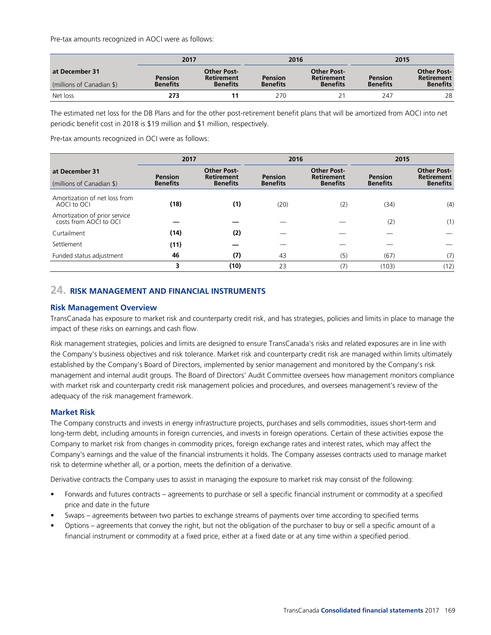Pre-tax amounts recognized in AOCI were as follows:

|                                             | 2017                              |                                                     |                                   | 2016                                                       | 2015                              |                                                            |
|---------------------------------------------|-----------------------------------|-----------------------------------------------------|-----------------------------------|------------------------------------------------------------|-----------------------------------|------------------------------------------------------------|
| at December 31<br>(millions of Canadian \$) | <b>Pension</b><br><b>Benefits</b> | <b>Other Post-</b><br>Retirement<br><b>Benefits</b> | <b>Pension</b><br><b>Benefits</b> | <b>Other Post-</b><br><b>Retirement</b><br><b>Benefits</b> | <b>Pension</b><br><b>Benefits</b> | <b>Other Post-</b><br><b>Retirement</b><br><b>Benefits</b> |
| Net loss                                    | 273                               |                                                     | 270                               |                                                            | 247                               | 28                                                         |

The estimated net loss for the DB Plans and for the other post-retirement benefit plans that will be amortized from AOCI into net periodic benefit cost in 2018 is \$19 million and \$1 million, respectively.

Pre-tax amounts recognized in OCI were as follows:

|                                                         | 2017                              |                                                            | 2016                              |                                                            |                                   | 2015                                                       |
|---------------------------------------------------------|-----------------------------------|------------------------------------------------------------|-----------------------------------|------------------------------------------------------------|-----------------------------------|------------------------------------------------------------|
| at December 31<br>(millions of Canadian \$)             | <b>Pension</b><br><b>Benefits</b> | <b>Other Post-</b><br><b>Retirement</b><br><b>Benefits</b> | <b>Pension</b><br><b>Benefits</b> | <b>Other Post-</b><br><b>Retirement</b><br><b>Benefits</b> | <b>Pension</b><br><b>Benefits</b> | <b>Other Post-</b><br><b>Retirement</b><br><b>Benefits</b> |
| Amortization of net loss from<br>AOCI to OCI            | (18)                              | (1)                                                        | (20)                              | (2)                                                        | (34)                              | (4)                                                        |
| Amortization of prior service<br>costs from AOCI to OCI |                                   |                                                            |                                   |                                                            | (2)                               | (1)                                                        |
| Curtailment                                             | (14)                              | (2)                                                        |                                   |                                                            |                                   |                                                            |
| Settlement                                              | (11)                              |                                                            |                                   |                                                            |                                   |                                                            |
| Funded status adjustment                                | 46                                | (7)                                                        | 43                                | (5)                                                        | (67)                              | (7)                                                        |
|                                                         | 3                                 | (10)                                                       | 23                                | (7)                                                        | (103)                             | (12)                                                       |

# **24. RISK MANAGEMENT AND FINANCIAL INSTRUMENTS**

#### **Risk Management Overview**

TransCanada has exposure to market risk and counterparty credit risk, and has strategies, policies and limits in place to manage the impact of these risks on earnings and cash flow.

Risk management strategies, policies and limits are designed to ensure TransCanada's risks and related exposures are in line with the Company's business objectives and risk tolerance. Market risk and counterparty credit risk are managed within limits ultimately established by the Company's Board of Directors, implemented by senior management and monitored by the Company's risk management and internal audit groups. The Board of Directors' Audit Committee oversees how management monitors compliance with market risk and counterparty credit risk management policies and procedures, and oversees management's review of the adequacy of the risk management framework.

## **Market Risk**

The Company constructs and invests in energy infrastructure projects, purchases and sells commodities, issues short-term and long-term debt, including amounts in foreign currencies, and invests in foreign operations. Certain of these activities expose the Company to market risk from changes in commodity prices, foreign exchange rates and interest rates, which may affect the Company's earnings and the value of the financial instruments it holds. The Company assesses contracts used to manage market risk to determine whether all, or a portion, meets the definition of a derivative.

Derivative contracts the Company uses to assist in managing the exposure to market risk may consist of the following:

- Forwards and futures contracts agreements to purchase or sell a specific financial instrument or commodity at a specified price and date in the future
- Swaps agreements between two parties to exchange streams of payments over time according to specified terms
- Options agreements that convey the right, but not the obligation of the purchaser to buy or sell a specific amount of a financial instrument or commodity at a fixed price, either at a fixed date or at any time within a specified period.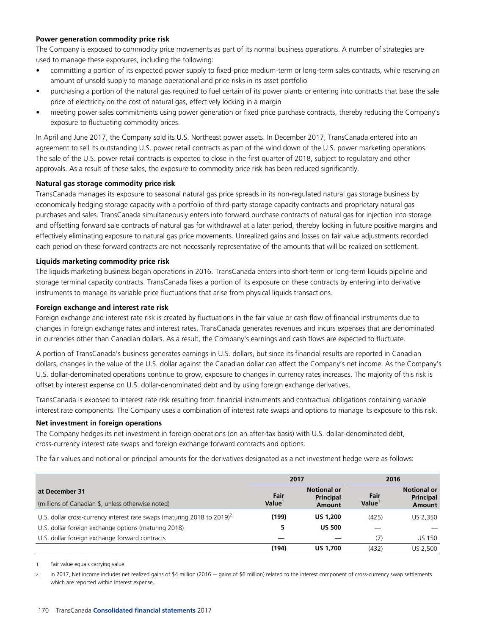#### **Power generation commodity price risk**

The Company is exposed to commodity price movements as part of its normal business operations. A number of strategies are used to manage these exposures, including the following:

- committing a portion of its expected power supply to fixed-price medium-term or long-term sales contracts, while reserving an amount of unsold supply to manage operational and price risks in its asset portfolio
- purchasing a portion of the natural gas required to fuel certain of its power plants or entering into contracts that base the sale price of electricity on the cost of natural gas, effectively locking in a margin
- meeting power sales commitments using power generation or fixed price purchase contracts, thereby reducing the Company's exposure to fluctuating commodity prices.

In April and June 2017, the Company sold its U.S. Northeast power assets. In December 2017, TransCanada entered into an agreement to sell its outstanding U.S. power retail contracts as part of the wind down of the U.S. power marketing operations. The sale of the U.S. power retail contracts is expected to close in the first quarter of 2018, subject to regulatory and other approvals. As a result of these sales, the exposure to commodity price risk has been reduced significantly.

#### **Natural gas storage commodity price risk**

TransCanada manages its exposure to seasonal natural gas price spreads in its non-regulated natural gas storage business by economically hedging storage capacity with a portfolio of third-party storage capacity contracts and proprietary natural gas purchases and sales. TransCanada simultaneously enters into forward purchase contracts of natural gas for injection into storage and offsetting forward sale contracts of natural gas for withdrawal at a later period, thereby locking in future positive margins and effectively eliminating exposure to natural gas price movements. Unrealized gains and losses on fair value adjustments recorded each period on these forward contracts are not necessarily representative of the amounts that will be realized on settlement.

#### **Liquids marketing commodity price risk**

The liquids marketing business began operations in 2016. TransCanada enters into short-term or long-term liquids pipeline and storage terminal capacity contracts. TransCanada fixes a portion of its exposure on these contracts by entering into derivative instruments to manage its variable price fluctuations that arise from physical liquids transactions.

#### **Foreign exchange and interest rate risk**

Foreign exchange and interest rate risk is created by fluctuations in the fair value or cash flow of financial instruments due to changes in foreign exchange rates and interest rates. TransCanada generates revenues and incurs expenses that are denominated in currencies other than Canadian dollars. As a result, the Company's earnings and cash flows are expected to fluctuate.

A portion of TransCanada's business generates earnings in U.S. dollars, but since its financial results are reported in Canadian dollars, changes in the value of the U.S. dollar against the Canadian dollar can affect the Company's net income. As the Company's U.S. dollar-denominated operations continue to grow, exposure to changes in currency rates increases. The majority of this risk is offset by interest expense on U.S. dollar-denominated debt and by using foreign exchange derivatives.

TransCanada is exposed to interest rate risk resulting from financial instruments and contractual obligations containing variable interest rate components. The Company uses a combination of interest rate swaps and options to manage its exposure to this risk.

#### **Net investment in foreign operations**

The Company hedges its net investment in foreign operations (on an after-tax basis) with U.S. dollar-denominated debt, cross-currency interest rate swaps and foreign exchange forward contracts and options.

The fair values and notional or principal amounts for the derivatives designated as a net investment hedge were as follows:

|                                                                                     | 2017                      |                                 | 2016                       |                                 |
|-------------------------------------------------------------------------------------|---------------------------|---------------------------------|----------------------------|---------------------------------|
| at December 31                                                                      | Fair<br>$Value^{\dagger}$ | <b>Notional or</b><br>Principal | Fair<br>Value <sup>1</sup> | <b>Notional or</b><br>Principal |
| (millions of Canadian \$, unless otherwise noted)                                   |                           | Amount                          |                            | Amount                          |
| U.S. dollar cross-currency interest rate swaps (maturing 2018 to 2019) <sup>2</sup> | (199)                     | <b>US 1.200</b>                 | (425)                      | US 2.350                        |
| U.S. dollar foreign exchange options (maturing 2018)                                |                           | <b>US 500</b>                   |                            |                                 |
| U.S. dollar foreign exchange forward contracts                                      |                           |                                 | (7)                        | US 150                          |
|                                                                                     | (194)                     | <b>US 1.700</b>                 | (432)                      | US 2.500                        |

1 Fair value equals carrying value.

2 In 2017, Net income includes net realized gains of \$4 million (2016 – gains of \$6 million) related to the interest component of cross-currency swap settlements which are reported within Interest expense.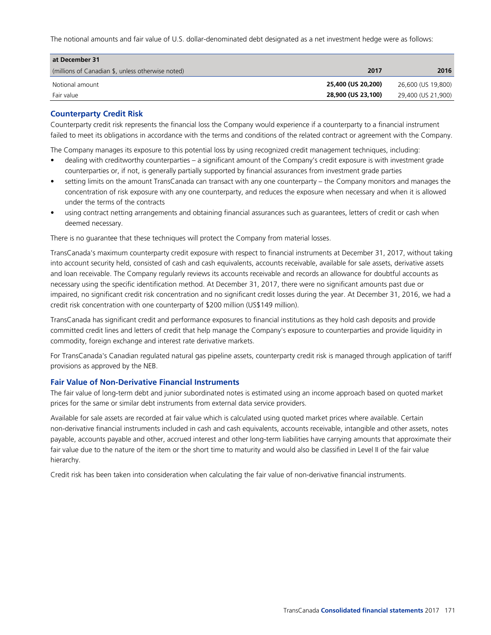The notional amounts and fair value of U.S. dollar-denominated debt designated as a net investment hedge were as follows:

| at December 31                                    |                    |                    |
|---------------------------------------------------|--------------------|--------------------|
| (millions of Canadian \$, unless otherwise noted) | 2017               | 2016               |
| Notional amount                                   | 25,400 (US 20,200) | 26,600 (US 19,800) |
| Fair value                                        | 28,900 (US 23,100) | 29,400 (US 21,900) |

## **Counterparty Credit Risk**

Counterparty credit risk represents the financial loss the Company would experience if a counterparty to a financial instrument failed to meet its obligations in accordance with the terms and conditions of the related contract or agreement with the Company.

The Company manages its exposure to this potential loss by using recognized credit management techniques, including:

- dealing with creditworthy counterparties a significant amount of the Company's credit exposure is with investment grade counterparties or, if not, is generally partially supported by financial assurances from investment grade parties
- setting limits on the amount TransCanada can transact with any one counterparty the Company monitors and manages the concentration of risk exposure with any one counterparty, and reduces the exposure when necessary and when it is allowed under the terms of the contracts
- using contract netting arrangements and obtaining financial assurances such as guarantees, letters of credit or cash when deemed necessary.

There is no guarantee that these techniques will protect the Company from material losses.

TransCanada's maximum counterparty credit exposure with respect to financial instruments at December 31, 2017, without taking into account security held, consisted of cash and cash equivalents, accounts receivable, available for sale assets, derivative assets and loan receivable. The Company regularly reviews its accounts receivable and records an allowance for doubtful accounts as necessary using the specific identification method. At December 31, 2017, there were no significant amounts past due or impaired, no significant credit risk concentration and no significant credit losses during the year. At December 31, 2016, we had a credit risk concentration with one counterparty of \$200 million (US\$149 million).

TransCanada has significant credit and performance exposures to financial institutions as they hold cash deposits and provide committed credit lines and letters of credit that help manage the Company's exposure to counterparties and provide liquidity in commodity, foreign exchange and interest rate derivative markets.

For TransCanada's Canadian regulated natural gas pipeline assets, counterparty credit risk is managed through application of tariff provisions as approved by the NEB.

## **Fair Value of Non-Derivative Financial Instruments**

The fair value of long-term debt and junior subordinated notes is estimated using an income approach based on quoted market prices for the same or similar debt instruments from external data service providers.

Available for sale assets are recorded at fair value which is calculated using quoted market prices where available. Certain non-derivative financial instruments included in cash and cash equivalents, accounts receivable, intangible and other assets, notes payable, accounts payable and other, accrued interest and other long-term liabilities have carrying amounts that approximate their fair value due to the nature of the item or the short time to maturity and would also be classified in Level II of the fair value hierarchy.

Credit risk has been taken into consideration when calculating the fair value of non-derivative financial instruments.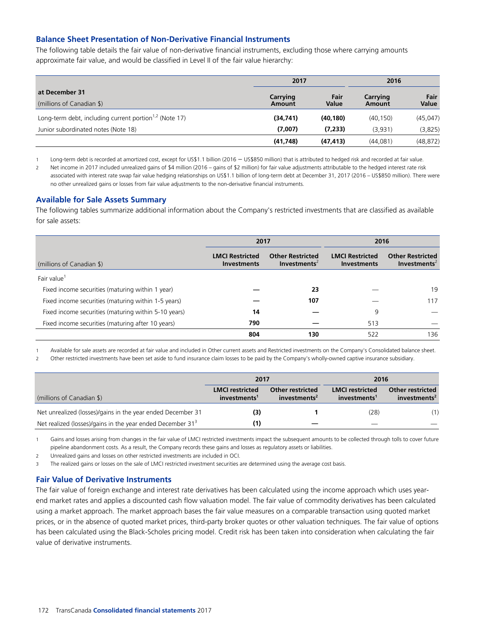## **Balance Sheet Presentation of Non-Derivative Financial Instruments**

The following table details the fair value of non-derivative financial instruments, excluding those where carrying amounts approximate fair value, and would be classified in Level II of the fair value hierarchy:

|                                                                    | 2017      |              | 2016      |           |  |
|--------------------------------------------------------------------|-----------|--------------|-----------|-----------|--|
| at December 31                                                     | Carrying  | Fair         | Carrying  | Fair      |  |
| (millions of Canadian \$)                                          | Amount    | <b>Value</b> | Amount    | Value     |  |
| Long-term debt, including current portion <sup>1,2</sup> (Note 17) | (34,741)  | (40, 180)    | (40, 150) | (45,047)  |  |
| Junior subordinated notes (Note 18)                                | (7,007)   | (7, 233)     | (3,931)   | (3,825)   |  |
|                                                                    | (41, 748) | (47, 413)    | (44.081)  | (48, 872) |  |

<sup>1</sup> Long-term debt is recorded at amortized cost, except for US\$1.1 billion (2016 – US\$850 million) that is attributed to hedged risk and recorded at fair value.

2 Net income in 2017 included unrealized gains of \$4 million (2016 – gains of \$2 million) for fair value adjustments attributable to the hedged interest rate risk associated with interest rate swap fair value hedging relationships on US\$1.1 billion of long-term debt at December 31, 2017 (2016 – US\$850 million). There were

no other unrealized gains or losses from fair value adjustments to the non-derivative financial instruments.

#### **Available for Sale Assets Summary**

The following tables summarize additional information about the Company's restricted investments that are classified as available for sale assets:

|                                                      | 2017                                         |                                                     | 2016                                         |                                                     |  |
|------------------------------------------------------|----------------------------------------------|-----------------------------------------------------|----------------------------------------------|-----------------------------------------------------|--|
| (millions of Canadian \$)                            | <b>LMCI Restricted</b><br><b>Investments</b> | <b>Other Restricted</b><br>Investments <sup>2</sup> | <b>LMCI Restricted</b><br><b>Investments</b> | <b>Other Restricted</b><br>Investments <sup>2</sup> |  |
| Fair value <sup>1</sup>                              |                                              |                                                     |                                              |                                                     |  |
| Fixed income securities (maturing within 1 year)     |                                              | 23                                                  |                                              | 19                                                  |  |
| Fixed income securities (maturing within 1-5 years)  |                                              | 107                                                 |                                              | 117                                                 |  |
| Fixed income securities (maturing within 5-10 years) | 14                                           |                                                     | 9                                            |                                                     |  |
| Fixed income securities (maturing after 10 years)    | 790                                          |                                                     | 513                                          |                                                     |  |
|                                                      | 804                                          | 130                                                 | 522                                          | 136                                                 |  |

1 Available for sale assets are recorded at fair value and included in Other current assets and Restricted investments on the Company's Consolidated balance sheet. 2 Other restricted investments have been set aside to fund insurance claim losses to be paid by the Company's wholly-owned captive insurance subsidiary.

|                                                              | 2017                                               |                                              | 2016                                               |                                              |
|--------------------------------------------------------------|----------------------------------------------------|----------------------------------------------|----------------------------------------------------|----------------------------------------------|
| (millions of Canadian \$)                                    | <b>LMCI</b> restricted<br>investments <sup>1</sup> | Other restricted<br>investments <sup>2</sup> | <b>LMCI</b> restricted<br>investments <sup>1</sup> | Other restricted<br>investments <sup>2</sup> |
| Net unrealized (losses)/gains in the year ended December 31  | (3)                                                |                                              | (28)                                               | (1)                                          |
| Net realized (losses)/gains in the year ended December $313$ | '1)                                                |                                              |                                                    |                                              |

1 Gains and losses arising from changes in the fair value of LMCI restricted investments impact the subsequent amounts to be collected through tolls to cover future pipeline abandonment costs. As a result, the Company records these gains and losses as regulatory assets or liabilities.

2 Unrealized gains and losses on other restricted investments are included in OCI.

3 The realized gains or losses on the sale of LMCI restricted investment securities are determined using the average cost basis.

#### **Fair Value of Derivative Instruments**

The fair value of foreign exchange and interest rate derivatives has been calculated using the income approach which uses yearend market rates and applies a discounted cash flow valuation model. The fair value of commodity derivatives has been calculated using a market approach. The market approach bases the fair value measures on a comparable transaction using quoted market prices, or in the absence of quoted market prices, third-party broker quotes or other valuation techniques. The fair value of options has been calculated using the Black-Scholes pricing model. Credit risk has been taken into consideration when calculating the fair value of derivative instruments.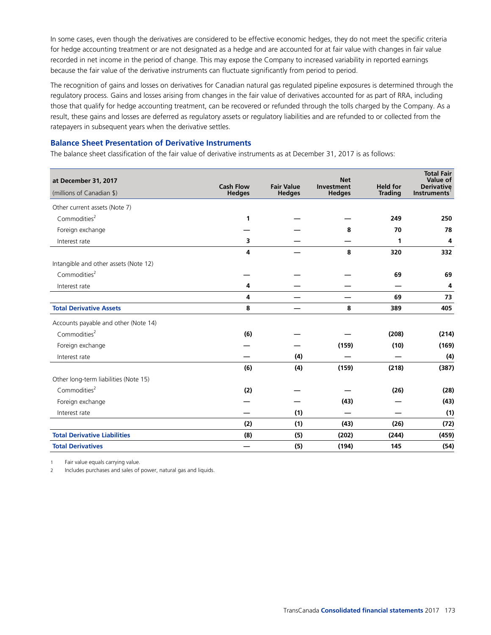In some cases, even though the derivatives are considered to be effective economic hedges, they do not meet the specific criteria for hedge accounting treatment or are not designated as a hedge and are accounted for at fair value with changes in fair value recorded in net income in the period of change. This may expose the Company to increased variability in reported earnings because the fair value of the derivative instruments can fluctuate significantly from period to period.

The recognition of gains and losses on derivatives for Canadian natural gas regulated pipeline exposures is determined through the regulatory process. Gains and losses arising from changes in the fair value of derivatives accounted for as part of RRA, including those that qualify for hedge accounting treatment, can be recovered or refunded through the tolls charged by the Company. As a result, these gains and losses are deferred as regulatory assets or regulatory liabilities and are refunded to or collected from the ratepayers in subsequent years when the derivative settles.

#### **Balance Sheet Presentation of Derivative Instruments**

The balance sheet classification of the fair value of derivative instruments as at December 31, 2017 is as follows:

| at December 31, 2017<br>(millions of Canadian \$) | <b>Cash Flow</b><br><b>Hedges</b> | <b>Fair Value</b><br><b>Hedges</b> | <b>Net</b><br>Investment<br><b>Hedges</b> | <b>Held for</b><br><b>Trading</b> | <b>Total Fair</b><br>Value of<br><b>Derivative</b><br>Instruments |
|---------------------------------------------------|-----------------------------------|------------------------------------|-------------------------------------------|-----------------------------------|-------------------------------------------------------------------|
| Other current assets (Note 7)                     |                                   |                                    |                                           |                                   |                                                                   |
| Commodities <sup>2</sup>                          | $\mathbf{1}$                      |                                    |                                           | 249                               | 250                                                               |
| Foreign exchange                                  |                                   |                                    | 8                                         | 70                                | 78                                                                |
| Interest rate                                     | 3                                 |                                    |                                           | 1                                 | 4                                                                 |
|                                                   | 4                                 |                                    | 8                                         | 320                               | 332                                                               |
| Intangible and other assets (Note 12)             |                                   |                                    |                                           |                                   |                                                                   |
| Commodities <sup>2</sup>                          |                                   |                                    |                                           | 69                                | 69                                                                |
| Interest rate                                     | 4                                 |                                    |                                           |                                   | 4                                                                 |
|                                                   | 4                                 |                                    |                                           | 69                                | 73                                                                |
| <b>Total Derivative Assets</b>                    | 8                                 |                                    | 8                                         | 389                               | 405                                                               |
| Accounts payable and other (Note 14)              |                                   |                                    |                                           |                                   |                                                                   |
| Commodities <sup>2</sup>                          | (6)                               |                                    |                                           | (208)                             | (214)                                                             |
| Foreign exchange                                  |                                   |                                    | (159)                                     | (10)                              | (169)                                                             |
| Interest rate                                     |                                   | (4)                                |                                           |                                   | (4)                                                               |
|                                                   | (6)                               | (4)                                | (159)                                     | (218)                             | (387)                                                             |
| Other long-term liabilities (Note 15)             |                                   |                                    |                                           |                                   |                                                                   |
| Commodities <sup>2</sup>                          | (2)                               |                                    |                                           | (26)                              | (28)                                                              |
| Foreign exchange                                  |                                   |                                    | (43)                                      |                                   | (43)                                                              |
| Interest rate                                     |                                   | (1)                                |                                           |                                   | (1)                                                               |
|                                                   | (2)                               | (1)                                | (43)                                      | (26)                              | (72)                                                              |
| <b>Total Derivative Liabilities</b>               | (8)                               | (5)                                | (202)                                     | (244)                             | (459)                                                             |
| <b>Total Derivatives</b>                          |                                   | (5)                                | (194)                                     | 145                               | (54)                                                              |

1 Fair value equals carrying value.

2 Includes purchases and sales of power, natural gas and liquids.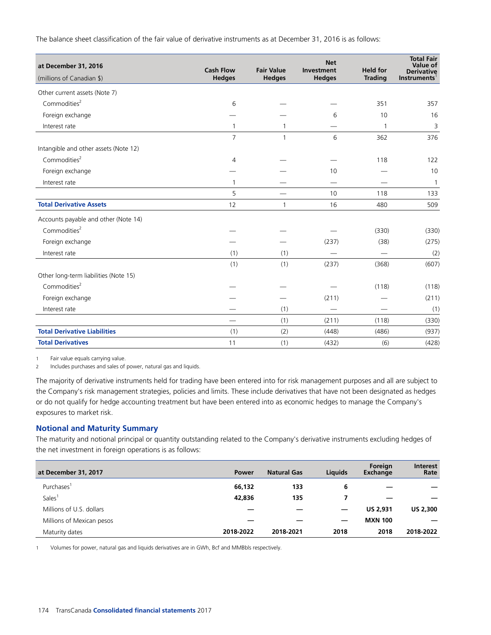The balance sheet classification of the fair value of derivative instruments as at December 31, 2016 is as follows:

| at December 31, 2016<br>(millions of Canadian \$) | <b>Cash Flow</b><br><b>Hedges</b> | <b>Fair Value</b><br><b>Hedges</b> | <b>Net</b><br><b>Investment</b><br><b>Hedges</b> | <b>Held for</b><br><b>Trading</b> | <b>Total Fair</b><br>Value of<br><b>Derivative</b><br>Instruments |
|---------------------------------------------------|-----------------------------------|------------------------------------|--------------------------------------------------|-----------------------------------|-------------------------------------------------------------------|
| Other current assets (Note 7)                     |                                   |                                    |                                                  |                                   |                                                                   |
| Commodities <sup>2</sup>                          | 6                                 |                                    |                                                  | 351                               | 357                                                               |
| Foreign exchange                                  |                                   |                                    | 6                                                | 10                                | 16                                                                |
| Interest rate                                     |                                   |                                    |                                                  | $\mathbf{1}$                      | 3                                                                 |
|                                                   | $\overline{7}$                    | $\mathbf{1}$                       | 6                                                | 362                               | 376                                                               |
| Intangible and other assets (Note 12)             |                                   |                                    |                                                  |                                   |                                                                   |
| Commodities <sup>2</sup>                          | 4                                 |                                    |                                                  | 118                               | 122                                                               |
| Foreign exchange                                  |                                   |                                    | 10                                               |                                   | 10                                                                |
| Interest rate                                     |                                   |                                    |                                                  |                                   | $\overline{1}$                                                    |
|                                                   | 5                                 |                                    | 10                                               | 118                               | 133                                                               |
| <b>Total Derivative Assets</b>                    | 12                                | $\overline{1}$                     | 16                                               | 480                               | 509                                                               |
| Accounts payable and other (Note 14)              |                                   |                                    |                                                  |                                   |                                                                   |
| Commodities <sup>2</sup>                          |                                   |                                    |                                                  | (330)                             | (330)                                                             |
| Foreign exchange                                  |                                   |                                    | (237)                                            | (38)                              | (275)                                                             |
| Interest rate                                     | (1)                               | (1)                                |                                                  |                                   | (2)                                                               |
|                                                   | (1)                               | (1)                                | (237)                                            | (368)                             | (607)                                                             |
| Other long-term liabilities (Note 15)             |                                   |                                    |                                                  |                                   |                                                                   |
| Commodities <sup>2</sup>                          |                                   |                                    |                                                  | (118)                             | (118)                                                             |
| Foreign exchange                                  |                                   |                                    | (211)                                            |                                   | (211)                                                             |
| Interest rate                                     |                                   | (1)                                |                                                  |                                   | (1)                                                               |
|                                                   |                                   | (1)                                | (211)                                            | (118)                             | (330)                                                             |
| <b>Total Derivative Liabilities</b>               | (1)                               | (2)                                | (448)                                            | (486)                             | (937)                                                             |
| <b>Total Derivatives</b>                          | 11                                | (1)                                | (432)                                            | (6)                               | (428)                                                             |

1 Fair value equals carrying value.

2 Includes purchases and sales of power, natural gas and liquids.

The majority of derivative instruments held for trading have been entered into for risk management purposes and all are subject to the Company's risk management strategies, policies and limits. These include derivatives that have not been designated as hedges or do not qualify for hedge accounting treatment but have been entered into as economic hedges to manage the Company's exposures to market risk.

## **Notional and Maturity Summary**

The maturity and notional principal or quantity outstanding related to the Company's derivative instruments excluding hedges of the net investment in foreign operations is as follows:

| at December 31, 2017      | Power     | <b>Natural Gas</b> | Liquids | Foreign<br><b>Exchange</b> | <b>Interest</b><br>Rate |
|---------------------------|-----------|--------------------|---------|----------------------------|-------------------------|
| Purchases                 | 66,132    | 133                | 6       |                            |                         |
| Sales <sup>1</sup>        | 42,836    | 135                |         |                            |                         |
| Millions of U.S. dollars  |           |                    |         | <b>US 2,931</b>            | <b>US 2,300</b>         |
| Millions of Mexican pesos |           |                    |         | <b>MXN 100</b>             |                         |
| Maturity dates            | 2018-2022 | 2018-2021          | 2018    | 2018                       | 2018-2022               |

1 Volumes for power, natural gas and liquids derivatives are in GWh, Bcf and MMBbls respectively.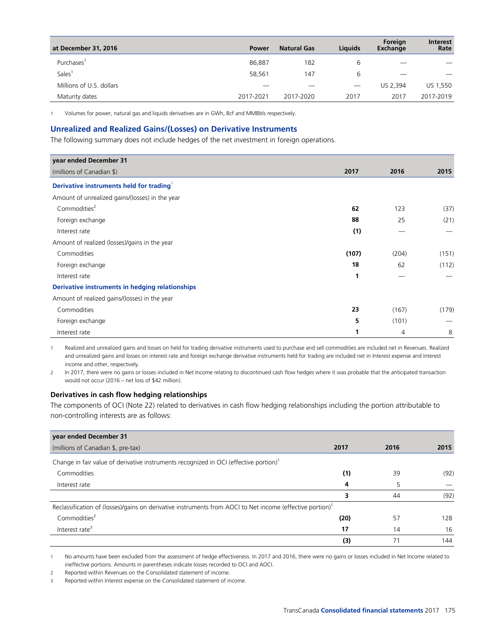| at December 31, 2016     | Power     | <b>Natural Gas</b> | <b>Liquids</b> | Foreign<br><b>Exchange</b> | <b>Interest</b><br>Rate |
|--------------------------|-----------|--------------------|----------------|----------------------------|-------------------------|
| Purchases <sup>1</sup>   | 86.887    | 182                | 6              | $\overline{\phantom{a}}$   |                         |
| Sales <sup>1</sup>       | 58,561    | 147                | 6              | $\overline{\phantom{a}}$   |                         |
| Millions of U.S. dollars |           |                    |                | US 2.394                   | US 1,550                |
| Maturity dates           | 2017-2021 | 2017-2020          | 2017           | 2017                       | 2017-2019               |

1 Volumes for power, natural gas and liquids derivatives are in GWh, Bcf and MMBbls respectively.

#### **Unrealized and Realized Gains/(Losses) on Derivative Instruments**

The following summary does not include hedges of the net investment in foreign operations.

| year ended December 31                               |       |       |       |
|------------------------------------------------------|-------|-------|-------|
| (millions of Canadian \$)                            | 2017  | 2016  | 2015  |
| Derivative instruments held for trading <sup>1</sup> |       |       |       |
| Amount of unrealized gains/(losses) in the year      |       |       |       |
| Commodities <sup>2</sup>                             | 62    | 123   | (37)  |
| Foreign exchange                                     | 88    | 25    | (21)  |
| Interest rate                                        | (1)   |       |       |
| Amount of realized (losses)/gains in the year        |       |       |       |
| Commodities                                          | (107) | (204) | (151) |
| Foreign exchange                                     | 18    | 62    | (112) |
| Interest rate                                        | 1     |       |       |
| Derivative instruments in hedging relationships      |       |       |       |
| Amount of realized gains/(losses) in the year        |       |       |       |
| Commodities                                          | 23    | (167) | (179) |
| Foreign exchange                                     | 5     | (101) |       |
| Interest rate                                        | 1     | 4     | 8     |

1 Realized and unrealized gains and losses on held for trading derivative instruments used to purchase and sell commodities are included net in Revenues. Realized and unrealized gains and losses on interest rate and foreign exchange derivative instruments held for trading are included net in Interest expense and Interest income and other, respectively.

2 In 2017, there were no gains or losses included in Net Income relating to discontinued cash flow hedges where it was probable that the anticipated transaction would not occur (2016 – net loss of \$42 million).

#### **Derivatives in cash flow hedging relationships**

The components of OCI (Note 22) related to derivatives in cash flow hedging relationships including the portion attributable to non-controlling interests are as follows:

| year ended December 31                                                                                                |      |      |      |
|-----------------------------------------------------------------------------------------------------------------------|------|------|------|
| (millions of Canadian \$, pre-tax)                                                                                    | 2017 | 2016 | 2015 |
| Change in fair value of derivative instruments recognized in OCI (effective portion) <sup>1</sup>                     |      |      |      |
| Commodities                                                                                                           | (1)  | 39   | (92) |
| Interest rate                                                                                                         | 4    | 5    |      |
|                                                                                                                       |      | 44   | (92) |
| Reclassification of (losses)/gains on derivative instruments from AOCI to Net income (effective portion) <sup>1</sup> |      |      |      |
| Commodities <sup>2</sup>                                                                                              | (20) | 57   | 128  |
| Interest rate <sup>3</sup>                                                                                            | 17   | 14   | 16   |
|                                                                                                                       | (3)  |      | 144  |

1 No amounts have been excluded from the assessment of hedge effectiveness. In 2017 and 2016, there were no gains or losses included in Net Income related to ineffective portions. Amounts in parentheses indicate losses recorded to OCI and AOCI.

2 Reported within Revenues on the Consolidated statement of income.

3 Reported within Interest expense on the Consolidated statement of income.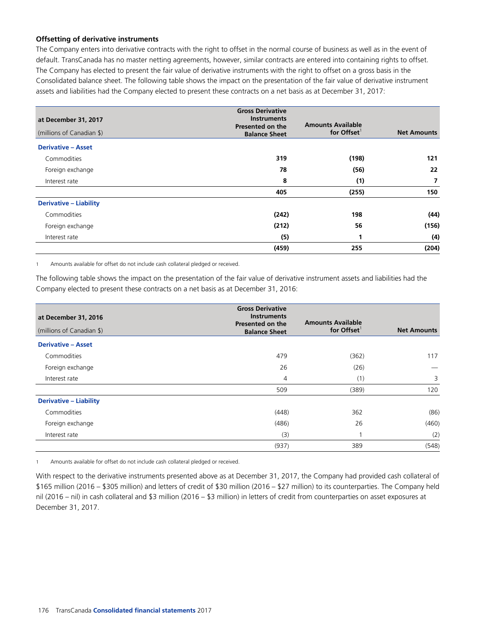#### **Offsetting of derivative instruments**

The Company enters into derivative contracts with the right to offset in the normal course of business as well as in the event of default. TransCanada has no master netting agreements, however, similar contracts are entered into containing rights to offset. The Company has elected to present the fair value of derivative instruments with the right to offset on a gross basis in the Consolidated balance sheet. The following table shows the impact on the presentation of the fair value of derivative instrument assets and liabilities had the Company elected to present these contracts on a net basis as at December 31, 2017:

| at December 31, 2017          | <b>Gross Derivative</b><br><b>Instruments</b> |                          |                    |
|-------------------------------|-----------------------------------------------|--------------------------|--------------------|
|                               | Presented on the                              | <b>Amounts Available</b> |                    |
| (millions of Canadian \$)     | <b>Balance Sheet</b>                          | for Offset <sup>1</sup>  | <b>Net Amounts</b> |
| <b>Derivative - Asset</b>     |                                               |                          |                    |
| Commodities                   | 319                                           | (198)                    | 121                |
| Foreign exchange              | 78                                            | (56)                     | 22                 |
| Interest rate                 | 8                                             | (1)                      | 7                  |
|                               | 405                                           | (255)                    | 150                |
| <b>Derivative - Liability</b> |                                               |                          |                    |
| Commodities                   | (242)                                         | 198                      | (44)               |
| Foreign exchange              | (212)                                         | 56                       | (156)              |
| Interest rate                 | (5)                                           | 1                        | (4)                |
|                               | (459)                                         | 255                      | (204)              |

1 Amounts available for offset do not include cash collateral pledged or received.

The following table shows the impact on the presentation of the fair value of derivative instrument assets and liabilities had the Company elected to present these contracts on a net basis as at December 31, 2016:

| at December 31, 2016          | <b>Gross Derivative</b><br><b>Instruments</b> |                                                     |                    |
|-------------------------------|-----------------------------------------------|-----------------------------------------------------|--------------------|
| (millions of Canadian \$)     | Presented on the<br><b>Balance Sheet</b>      | <b>Amounts Available</b><br>for Offset <sup>1</sup> | <b>Net Amounts</b> |
|                               |                                               |                                                     |                    |
| <b>Derivative - Asset</b>     |                                               |                                                     |                    |
| Commodities                   | 479                                           | (362)                                               | 117                |
| Foreign exchange              | 26                                            | (26)                                                |                    |
| Interest rate                 | 4                                             | (1)                                                 | 3                  |
|                               | 509                                           | (389)                                               | 120                |
| <b>Derivative - Liability</b> |                                               |                                                     |                    |
| Commodities                   | (448)                                         | 362                                                 | (86)               |
| Foreign exchange              | (486)                                         | 26                                                  | (460)              |
| Interest rate                 | (3)                                           |                                                     | (2)                |
|                               | (937)                                         | 389                                                 | (548)              |

1 Amounts available for offset do not include cash collateral pledged or received.

With respect to the derivative instruments presented above as at December 31, 2017, the Company had provided cash collateral of \$165 million (2016 – \$305 million) and letters of credit of \$30 million (2016 – \$27 million) to its counterparties. The Company held nil (2016 – nil) in cash collateral and \$3 million (2016 – \$3 million) in letters of credit from counterparties on asset exposures at December 31, 2017.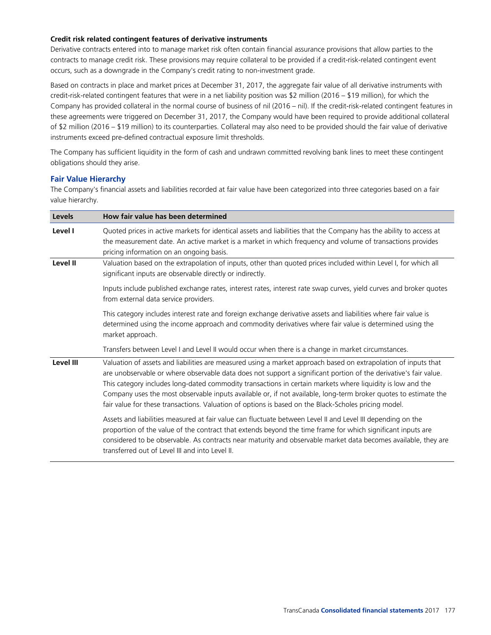#### **Credit risk related contingent features of derivative instruments**

Derivative contracts entered into to manage market risk often contain financial assurance provisions that allow parties to the contracts to manage credit risk. These provisions may require collateral to be provided if a credit-risk-related contingent event occurs, such as a downgrade in the Company's credit rating to non-investment grade.

Based on contracts in place and market prices at December 31, 2017, the aggregate fair value of all derivative instruments with credit-risk-related contingent features that were in a net liability position was \$2 million (2016 – \$19 million), for which the Company has provided collateral in the normal course of business of nil (2016 – nil). If the credit-risk-related contingent features in these agreements were triggered on December 31, 2017, the Company would have been required to provide additional collateral of \$2 million (2016 – \$19 million) to its counterparties. Collateral may also need to be provided should the fair value of derivative instruments exceed pre-defined contractual exposure limit thresholds.

The Company has sufficient liquidity in the form of cash and undrawn committed revolving bank lines to meet these contingent obligations should they arise.

## **Fair Value Hierarchy**

The Company's financial assets and liabilities recorded at fair value have been categorized into three categories based on a fair value hierarchy.

| <b>Levels</b> | How fair value has been determined                                                                                                                                                                                                                                                                                                                                                                                                                                                                                                                                          |
|---------------|-----------------------------------------------------------------------------------------------------------------------------------------------------------------------------------------------------------------------------------------------------------------------------------------------------------------------------------------------------------------------------------------------------------------------------------------------------------------------------------------------------------------------------------------------------------------------------|
| Level I       | Quoted prices in active markets for identical assets and liabilities that the Company has the ability to access at<br>the measurement date. An active market is a market in which frequency and volume of transactions provides<br>pricing information on an ongoing basis.                                                                                                                                                                                                                                                                                                 |
| Level II      | Valuation based on the extrapolation of inputs, other than quoted prices included within Level I, for which all<br>significant inputs are observable directly or indirectly.                                                                                                                                                                                                                                                                                                                                                                                                |
|               | Inputs include published exchange rates, interest rates, interest rate swap curves, yield curves and broker quotes<br>from external data service providers.                                                                                                                                                                                                                                                                                                                                                                                                                 |
|               | This category includes interest rate and foreign exchange derivative assets and liabilities where fair value is<br>determined using the income approach and commodity derivatives where fair value is determined using the<br>market approach.                                                                                                                                                                                                                                                                                                                              |
|               | Transfers between Level I and Level II would occur when there is a change in market circumstances.                                                                                                                                                                                                                                                                                                                                                                                                                                                                          |
| Level III     | Valuation of assets and liabilities are measured using a market approach based on extrapolation of inputs that<br>are unobservable or where observable data does not support a significant portion of the derivative's fair value.<br>This category includes long-dated commodity transactions in certain markets where liquidity is low and the<br>Company uses the most observable inputs available or, if not available, long-term broker quotes to estimate the<br>fair value for these transactions. Valuation of options is based on the Black-Scholes pricing model. |
|               | Assets and liabilities measured at fair value can fluctuate between Level II and Level III depending on the<br>proportion of the value of the contract that extends beyond the time frame for which significant inputs are<br>considered to be observable. As contracts near maturity and observable market data becomes available, they are<br>transferred out of Level III and into Level II.                                                                                                                                                                             |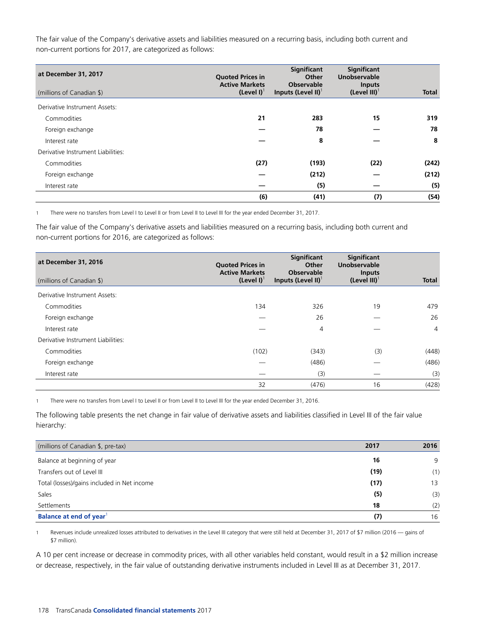The fair value of the Company's derivative assets and liabilities measured on a recurring basis, including both current and non-current portions for 2017, are categorized as follows:

| at December 31, 2017<br>(millions of Canadian \$) | <b>Quoted Prices in</b><br><b>Active Markets</b><br>$(Level I)^T$ | Significant<br>Other<br><b>Observable</b><br>Inputs (Level II) $^{\dagger}$ | Significant<br>Unobservable<br><b>Inputs</b><br>(Level $III$ ) <sup>1</sup> | <b>Total</b> |
|---------------------------------------------------|-------------------------------------------------------------------|-----------------------------------------------------------------------------|-----------------------------------------------------------------------------|--------------|
| Derivative Instrument Assets:                     |                                                                   |                                                                             |                                                                             |              |
| Commodities                                       | 21                                                                | 283                                                                         | 15                                                                          | 319          |
| Foreign exchange                                  |                                                                   | 78                                                                          |                                                                             | 78           |
| Interest rate                                     |                                                                   | 8                                                                           |                                                                             | 8            |
| Derivative Instrument Liabilities:                |                                                                   |                                                                             |                                                                             |              |
| Commodities                                       | (27)                                                              | (193)                                                                       | (22)                                                                        | (242)        |
| Foreign exchange                                  |                                                                   | (212)                                                                       |                                                                             | (212)        |
| Interest rate                                     |                                                                   | (5)                                                                         |                                                                             | (5)          |
|                                                   | (6)                                                               | (41)                                                                        | (7)                                                                         | (54)         |

1 There were no transfers from Level I to Level II or from Level II to Level III for the year ended December 31, 2017.

The fair value of the Company's derivative assets and liabilities measured on a recurring basis, including both current and non-current portions for 2016, are categorized as follows:

| at December 31, 2016               | <b>Quoted Prices in</b><br><b>Active Markets</b> | <b>Significant</b><br>Other<br><b>Observable</b> | <b>Significant</b><br><b>Unobservable</b><br><b>Inputs</b> |                |
|------------------------------------|--------------------------------------------------|--------------------------------------------------|------------------------------------------------------------|----------------|
| (millions of Canadian \$)          | (Level I) $1$                                    | Inputs (Level II) $^1$                           | (Level III) $^1$                                           | <b>Total</b>   |
| Derivative Instrument Assets:      |                                                  |                                                  |                                                            |                |
| Commodities                        | 134                                              | 326                                              | 19                                                         | 479            |
| Foreign exchange                   |                                                  | 26                                               |                                                            | 26             |
| Interest rate                      |                                                  | $\overline{4}$                                   |                                                            | $\overline{4}$ |
| Derivative Instrument Liabilities: |                                                  |                                                  |                                                            |                |
| Commodities                        | (102)                                            | (343)                                            | (3)                                                        | (448)          |
| Foreign exchange                   |                                                  | (486)                                            |                                                            | (486)          |
| Interest rate                      |                                                  | (3)                                              |                                                            | (3)            |
|                                    | 32                                               | (476)                                            | 16                                                         | (428)          |

1 There were no transfers from Level I to Level II or from Level II to Level III for the year ended December 31, 2016.

The following table presents the net change in fair value of derivative assets and liabilities classified in Level III of the fair value hierarchy:

| (millions of Canadian \$, pre-tax)          |      | 2016 |
|---------------------------------------------|------|------|
| Balance at beginning of year                | 16   | 9    |
| Transfers out of Level III                  | (19) | (1)  |
| Total (losses)/gains included in Net income | (17) | 13   |
| Sales                                       | (5)  | (3)  |
| Settlements                                 | 18   | (2)  |
| Balance at end of year                      | (7)  | 16   |

1 Revenues include unrealized losses attributed to derivatives in the Level III category that were still held at December 31, 2017 of \$7 million (2016 — gains of \$7 million).

A 10 per cent increase or decrease in commodity prices, with all other variables held constant, would result in a \$2 million increase or decrease, respectively, in the fair value of outstanding derivative instruments included in Level III as at December 31, 2017.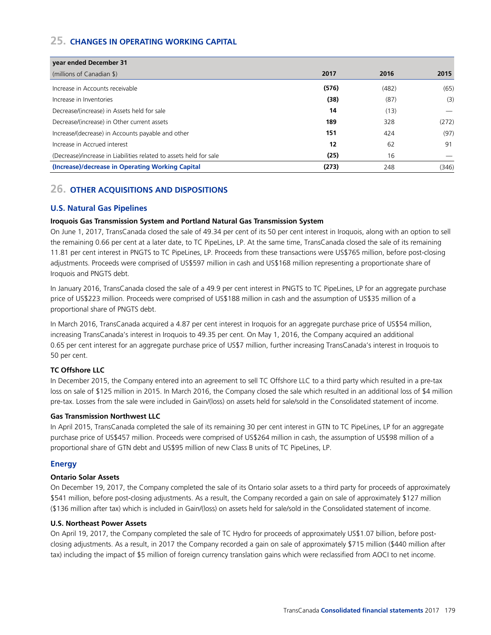# **25. CHANGES IN OPERATING WORKING CAPITAL**

| year ended December 31                                             |       |       |       |
|--------------------------------------------------------------------|-------|-------|-------|
| (millions of Canadian \$)                                          | 2017  | 2016  | 2015  |
| Increase in Accounts receivable                                    | (576) | (482) | (65)  |
| Increase in Inventories                                            | (38)  | (87)  | (3)   |
| Decrease/(increase) in Assets held for sale                        | 14    | (13)  |       |
| Decrease/(increase) in Other current assets                        | 189   | 328   | (272) |
| Increase/(decrease) in Accounts payable and other                  | 151   | 424   | (97)  |
| Increase in Accrued interest                                       | 12    | 62    | 91    |
| (Decrease)/increase in Liabilities related to assets held for sale | (25)  | 16    |       |
| (Increase)/decrease in Operating Working Capital                   | (273) | 248   | (346) |

# **26. OTHER ACQUISITIONS AND DISPOSITIONS**

## **U.S. Natural Gas Pipelines**

## **Iroquois Gas Transmission System and Portland Natural Gas Transmission System**

On June 1, 2017, TransCanada closed the sale of 49.34 per cent of its 50 per cent interest in Iroquois, along with an option to sell the remaining 0.66 per cent at a later date, to TC PipeLines, LP. At the same time, TransCanada closed the sale of its remaining 11.81 per cent interest in PNGTS to TC PipeLines, LP. Proceeds from these transactions were US\$765 million, before post-closing adjustments. Proceeds were comprised of US\$597 million in cash and US\$168 million representing a proportionate share of Iroquois and PNGTS debt.

In January 2016, TransCanada closed the sale of a 49.9 per cent interest in PNGTS to TC PipeLines, LP for an aggregate purchase price of US\$223 million. Proceeds were comprised of US\$188 million in cash and the assumption of US\$35 million of a proportional share of PNGTS debt.

In March 2016, TransCanada acquired a 4.87 per cent interest in Iroquois for an aggregate purchase price of US\$54 million, increasing TransCanada's interest in Iroquois to 49.35 per cent. On May 1, 2016, the Company acquired an additional 0.65 per cent interest for an aggregate purchase price of US\$7 million, further increasing TransCanada's interest in Iroquois to 50 per cent.

## **TC Offshore LLC**

In December 2015, the Company entered into an agreement to sell TC Offshore LLC to a third party which resulted in a pre-tax loss on sale of \$125 million in 2015. In March 2016, the Company closed the sale which resulted in an additional loss of \$4 million pre-tax. Losses from the sale were included in Gain/(loss) on assets held for sale/sold in the Consolidated statement of income.

## **Gas Transmission Northwest LLC**

In April 2015, TransCanada completed the sale of its remaining 30 per cent interest in GTN to TC PipeLines, LP for an aggregate purchase price of US\$457 million. Proceeds were comprised of US\$264 million in cash, the assumption of US\$98 million of a proportional share of GTN debt and US\$95 million of new Class B units of TC PipeLines, LP.

## **Energy**

## **Ontario Solar Assets**

On December 19, 2017, the Company completed the sale of its Ontario solar assets to a third party for proceeds of approximately \$541 million, before post-closing adjustments. As a result, the Company recorded a gain on sale of approximately \$127 million (\$136 million after tax) which is included in Gain/(loss) on assets held for sale/sold in the Consolidated statement of income.

## **U.S. Northeast Power Assets**

On April 19, 2017, the Company completed the sale of TC Hydro for proceeds of approximately US\$1.07 billion, before postclosing adjustments. As a result, in 2017 the Company recorded a gain on sale of approximately \$715 million (\$440 million after tax) including the impact of \$5 million of foreign currency translation gains which were reclassified from AOCI to net income.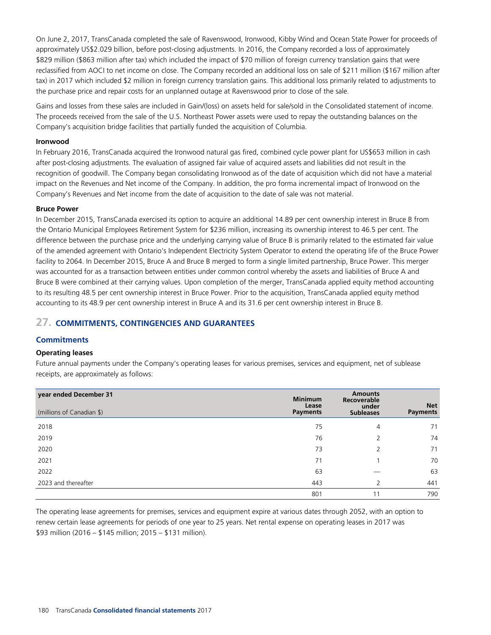On June 2, 2017, TransCanada completed the sale of Ravenswood, Ironwood, Kibby Wind and Ocean State Power for proceeds of approximately US\$2.029 billion, before post-closing adjustments. In 2016, the Company recorded a loss of approximately \$829 million (\$863 million after tax) which included the impact of \$70 million of foreign currency translation gains that were reclassified from AOCI to net income on close. The Company recorded an additional loss on sale of \$211 million (\$167 million after tax) in 2017 which included \$2 million in foreign currency translation gains. This additional loss primarily related to adjustments to the purchase price and repair costs for an unplanned outage at Ravenswood prior to close of the sale.

Gains and losses from these sales are included in Gain/(loss) on assets held for sale/sold in the Consolidated statement of income. The proceeds received from the sale of the U.S. Northeast Power assets were used to repay the outstanding balances on the Company's acquisition bridge facilities that partially funded the acquisition of Columbia.

#### **Ironwood**

In February 2016, TransCanada acquired the Ironwood natural gas fired, combined cycle power plant for US\$653 million in cash after post-closing adjustments. The evaluation of assigned fair value of acquired assets and liabilities did not result in the recognition of goodwill. The Company began consolidating Ironwood as of the date of acquisition which did not have a material impact on the Revenues and Net income of the Company. In addition, the pro forma incremental impact of Ironwood on the Company's Revenues and Net income from the date of acquisition to the date of sale was not material.

#### **Bruce Power**

In December 2015, TransCanada exercised its option to acquire an additional 14.89 per cent ownership interest in Bruce B from the Ontario Municipal Employees Retirement System for \$236 million, increasing its ownership interest to 46.5 per cent. The difference between the purchase price and the underlying carrying value of Bruce B is primarily related to the estimated fair value of the amended agreement with Ontario's Independent Electricity System Operator to extend the operating life of the Bruce Power facility to 2064. In December 2015, Bruce A and Bruce B merged to form a single limited partnership, Bruce Power. This merger was accounted for as a transaction between entities under common control whereby the assets and liabilities of Bruce A and Bruce B were combined at their carrying values. Upon completion of the merger, TransCanada applied equity method accounting to its resulting 48.5 per cent ownership interest in Bruce Power. Prior to the acquisition, TransCanada applied equity method accounting to its 48.9 per cent ownership interest in Bruce A and its 31.6 per cent ownership interest in Bruce B.

# **27. COMMITMENTS, CONTINGENCIES AND GUARANTEES**

#### **Commitments**

#### **Operating leases**

Future annual payments under the Company's operating leases for various premises, services and equipment, net of sublease receipts, are approximately as follows:

| year ended December 31<br>(millions of Canadian \$) | <b>Minimum</b><br>Lease<br><b>Payments</b> | <b>Amounts</b><br>Recoverable<br>under<br><b>Subleases</b> | <b>Net</b><br><b>Payments</b> |
|-----------------------------------------------------|--------------------------------------------|------------------------------------------------------------|-------------------------------|
| 2018                                                | 75                                         | 4                                                          | 71                            |
| 2019                                                | 76                                         | 2                                                          | 74                            |
| 2020                                                | 73                                         | 2                                                          | 71                            |
| 2021                                                | 71                                         |                                                            | 70                            |
| 2022                                                | 63                                         |                                                            | 63                            |
| 2023 and thereafter                                 | 443                                        | 2                                                          | 441                           |
|                                                     | 801                                        | 11                                                         | 790                           |

The operating lease agreements for premises, services and equipment expire at various dates through 2052, with an option to renew certain lease agreements for periods of one year to 25 years. Net rental expense on operating leases in 2017 was \$93 million (2016 – \$145 million; 2015 – \$131 million).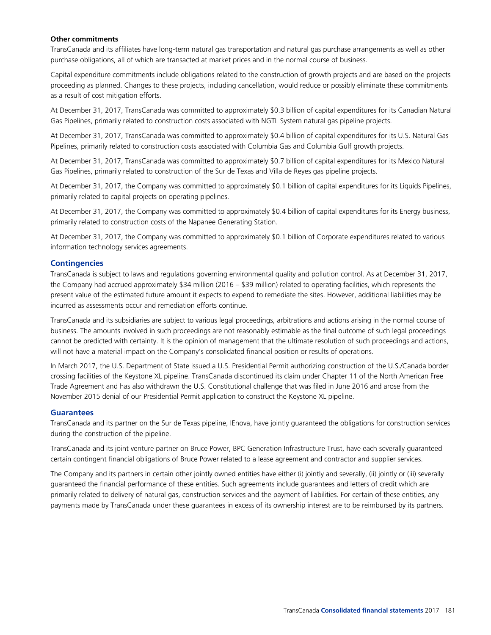#### **Other commitments**

TransCanada and its affiliates have long-term natural gas transportation and natural gas purchase arrangements as well as other purchase obligations, all of which are transacted at market prices and in the normal course of business.

Capital expenditure commitments include obligations related to the construction of growth projects and are based on the projects proceeding as planned. Changes to these projects, including cancellation, would reduce or possibly eliminate these commitments as a result of cost mitigation efforts.

At December 31, 2017, TransCanada was committed to approximately \$0.3 billion of capital expenditures for its Canadian Natural Gas Pipelines, primarily related to construction costs associated with NGTL System natural gas pipeline projects.

At December 31, 2017, TransCanada was committed to approximately \$0.4 billion of capital expenditures for its U.S. Natural Gas Pipelines, primarily related to construction costs associated with Columbia Gas and Columbia Gulf growth projects.

At December 31, 2017, TransCanada was committed to approximately \$0.7 billion of capital expenditures for its Mexico Natural Gas Pipelines, primarily related to construction of the Sur de Texas and Villa de Reyes gas pipeline projects.

At December 31, 2017, the Company was committed to approximately \$0.1 billion of capital expenditures for its Liquids Pipelines, primarily related to capital projects on operating pipelines.

At December 31, 2017, the Company was committed to approximately \$0.4 billion of capital expenditures for its Energy business, primarily related to construction costs of the Napanee Generating Station.

At December 31, 2017, the Company was committed to approximately \$0.1 billion of Corporate expenditures related to various information technology services agreements.

### **Contingencies**

TransCanada is subject to laws and regulations governing environmental quality and pollution control. As at December 31, 2017, the Company had accrued approximately \$34 million (2016 – \$39 million) related to operating facilities, which represents the present value of the estimated future amount it expects to expend to remediate the sites. However, additional liabilities may be incurred as assessments occur and remediation efforts continue.

TransCanada and its subsidiaries are subject to various legal proceedings, arbitrations and actions arising in the normal course of business. The amounts involved in such proceedings are not reasonably estimable as the final outcome of such legal proceedings cannot be predicted with certainty. It is the opinion of management that the ultimate resolution of such proceedings and actions, will not have a material impact on the Company's consolidated financial position or results of operations.

In March 2017, the U.S. Department of State issued a U.S. Presidential Permit authorizing construction of the U.S./Canada border crossing facilities of the Keystone XL pipeline. TransCanada discontinued its claim under Chapter 11 of the North American Free Trade Agreement and has also withdrawn the U.S. Constitutional challenge that was filed in June 2016 and arose from the November 2015 denial of our Presidential Permit application to construct the Keystone XL pipeline.

#### **Guarantees**

TransCanada and its partner on the Sur de Texas pipeline, IEnova, have jointly guaranteed the obligations for construction services during the construction of the pipeline.

TransCanada and its joint venture partner on Bruce Power, BPC Generation Infrastructure Trust, have each severally guaranteed certain contingent financial obligations of Bruce Power related to a lease agreement and contractor and supplier services.

The Company and its partners in certain other jointly owned entities have either (i) jointly and severally, (ii) jointly or (iii) severally guaranteed the financial performance of these entities. Such agreements include guarantees and letters of credit which are primarily related to delivery of natural gas, construction services and the payment of liabilities. For certain of these entities, any payments made by TransCanada under these guarantees in excess of its ownership interest are to be reimbursed by its partners.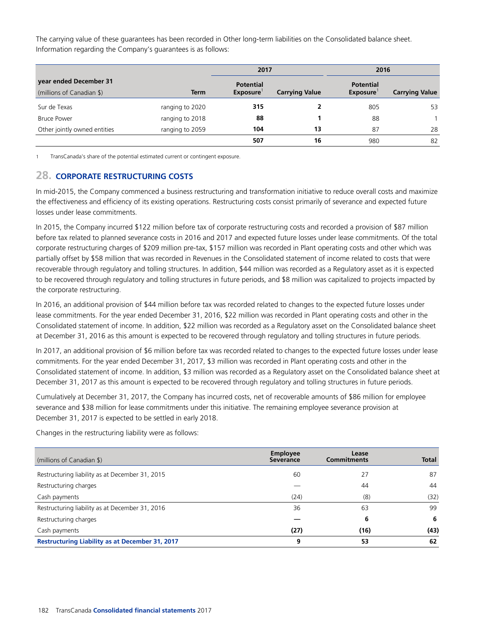The carrying value of these guarantees has been recorded in Other long-term liabilities on the Consolidated balance sheet. Information regarding the Company's guarantees is as follows:

|                                                     |                 | 2017                                |                       | 2016                                |                       |
|-----------------------------------------------------|-----------------|-------------------------------------|-----------------------|-------------------------------------|-----------------------|
| year ended December 31<br>(millions of Canadian \$) | <b>Term</b>     | <b>Potential</b><br><b>Exposure</b> | <b>Carrying Value</b> | <b>Potential</b><br><b>Exposure</b> | <b>Carrying Value</b> |
|                                                     |                 |                                     |                       |                                     |                       |
| Sur de Texas                                        | ranging to 2020 | 315                                 |                       | 805                                 | 53                    |
| <b>Bruce Power</b>                                  | ranging to 2018 | 88                                  |                       | 88                                  |                       |
| Other jointly owned entities                        | ranging to 2059 | 104                                 | 13                    | 87                                  | 28                    |
|                                                     |                 | 507                                 | 16                    | 980                                 | 82                    |

1 TransCanada's share of the potential estimated current or contingent exposure.

# **28. CORPORATE RESTRUCTURING COSTS**

In mid-2015, the Company commenced a business restructuring and transformation initiative to reduce overall costs and maximize the effectiveness and efficiency of its existing operations. Restructuring costs consist primarily of severance and expected future losses under lease commitments.

In 2015, the Company incurred \$122 million before tax of corporate restructuring costs and recorded a provision of \$87 million before tax related to planned severance costs in 2016 and 2017 and expected future losses under lease commitments. Of the total corporate restructuring charges of \$209 million pre-tax, \$157 million was recorded in Plant operating costs and other which was partially offset by \$58 million that was recorded in Revenues in the Consolidated statement of income related to costs that were recoverable through regulatory and tolling structures. In addition, \$44 million was recorded as a Regulatory asset as it is expected to be recovered through regulatory and tolling structures in future periods, and \$8 million was capitalized to projects impacted by the corporate restructuring.

In 2016, an additional provision of \$44 million before tax was recorded related to changes to the expected future losses under lease commitments. For the year ended December 31, 2016, \$22 million was recorded in Plant operating costs and other in the Consolidated statement of income. In addition, \$22 million was recorded as a Regulatory asset on the Consolidated balance sheet at December 31, 2016 as this amount is expected to be recovered through regulatory and tolling structures in future periods.

In 2017, an additional provision of \$6 million before tax was recorded related to changes to the expected future losses under lease commitments. For the year ended December 31, 2017, \$3 million was recorded in Plant operating costs and other in the Consolidated statement of income. In addition, \$3 million was recorded as a Regulatory asset on the Consolidated balance sheet at December 31, 2017 as this amount is expected to be recovered through regulatory and tolling structures in future periods.

Cumulatively at December 31, 2017, the Company has incurred costs, net of recoverable amounts of \$86 million for employee severance and \$38 million for lease commitments under this initiative. The remaining employee severance provision at December 31, 2017 is expected to be settled in early 2018.

Changes in the restructuring liability were as follows:

| (millions of Canadian \$)                              | <b>Employee</b><br><b>Severance</b> | Lease<br><b>Commitments</b> | <b>Total</b> |
|--------------------------------------------------------|-------------------------------------|-----------------------------|--------------|
| Restructuring liability as at December 31, 2015        | 60                                  | 27                          | 87           |
| Restructuring charges                                  |                                     | 44                          | 44           |
| Cash payments                                          | (24)                                | (8)                         | (32)         |
| Restructuring liability as at December 31, 2016        | 36                                  | 63                          | 99           |
| Restructuring charges                                  |                                     | 6                           | 6            |
| Cash payments                                          | (27)                                | (16)                        | (43)         |
| <b>Restructuring Liability as at December 31, 2017</b> | 9                                   | 53                          | 62           |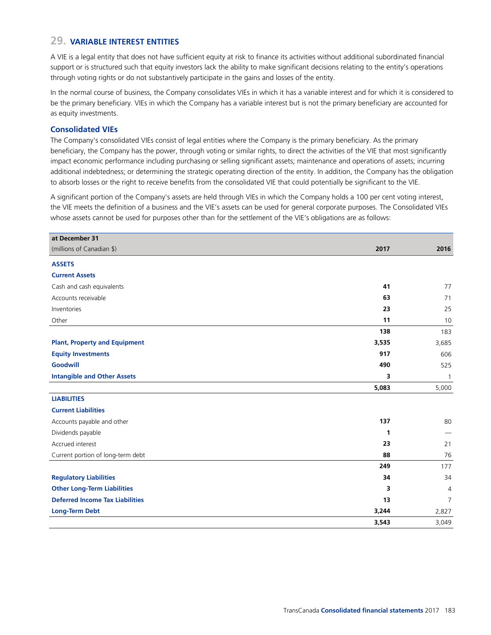# **29. VARIABLE INTEREST ENTITIES**

A VIE is a legal entity that does not have sufficient equity at risk to finance its activities without additional subordinated financial support or is structured such that equity investors lack the ability to make significant decisions relating to the entity's operations through voting rights or do not substantively participate in the gains and losses of the entity.

In the normal course of business, the Company consolidates VIEs in which it has a variable interest and for which it is considered to be the primary beneficiary. VIEs in which the Company has a variable interest but is not the primary beneficiary are accounted for as equity investments.

### **Consolidated VIEs**

The Company's consolidated VIEs consist of legal entities where the Company is the primary beneficiary. As the primary beneficiary, the Company has the power, through voting or similar rights, to direct the activities of the VIE that most significantly impact economic performance including purchasing or selling significant assets; maintenance and operations of assets; incurring additional indebtedness; or determining the strategic operating direction of the entity. In addition, the Company has the obligation to absorb losses or the right to receive benefits from the consolidated VIE that could potentially be significant to the VIE.

A significant portion of the Company's assets are held through VIEs in which the Company holds a 100 per cent voting interest, the VIE meets the definition of a business and the VIE's assets can be used for general corporate purposes. The Consolidated VIEs whose assets cannot be used for purposes other than for the settlement of the VIE's obligations are as follows:

| at December 31                         |       |                |
|----------------------------------------|-------|----------------|
| (millions of Canadian \$)              | 2017  | 2016           |
| <b>ASSETS</b>                          |       |                |
| <b>Current Assets</b>                  |       |                |
| Cash and cash equivalents              | 41    | 77             |
| Accounts receivable                    | 63    | 71             |
| Inventories                            | 23    | 25             |
| Other                                  | 11    | 10             |
|                                        | 138   | 183            |
| <b>Plant, Property and Equipment</b>   | 3,535 | 3,685          |
| <b>Equity Investments</b>              | 917   | 606            |
| Goodwill                               | 490   | 525            |
| <b>Intangible and Other Assets</b>     | 3     | 1              |
|                                        | 5,083 | 5,000          |
| <b>LIABILITIES</b>                     |       |                |
| <b>Current Liabilities</b>             |       |                |
| Accounts payable and other             | 137   | 80             |
| Dividends payable                      | 1     |                |
| Accrued interest                       | 23    | 21             |
| Current portion of long-term debt      | 88    | 76             |
|                                        | 249   | 177            |
| <b>Regulatory Liabilities</b>          | 34    | 34             |
| <b>Other Long-Term Liabilities</b>     | 3     | $\overline{4}$ |
| <b>Deferred Income Tax Liabilities</b> | 13    | $\overline{7}$ |
| <b>Long-Term Debt</b>                  | 3,244 | 2,827          |
|                                        | 3,543 | 3,049          |